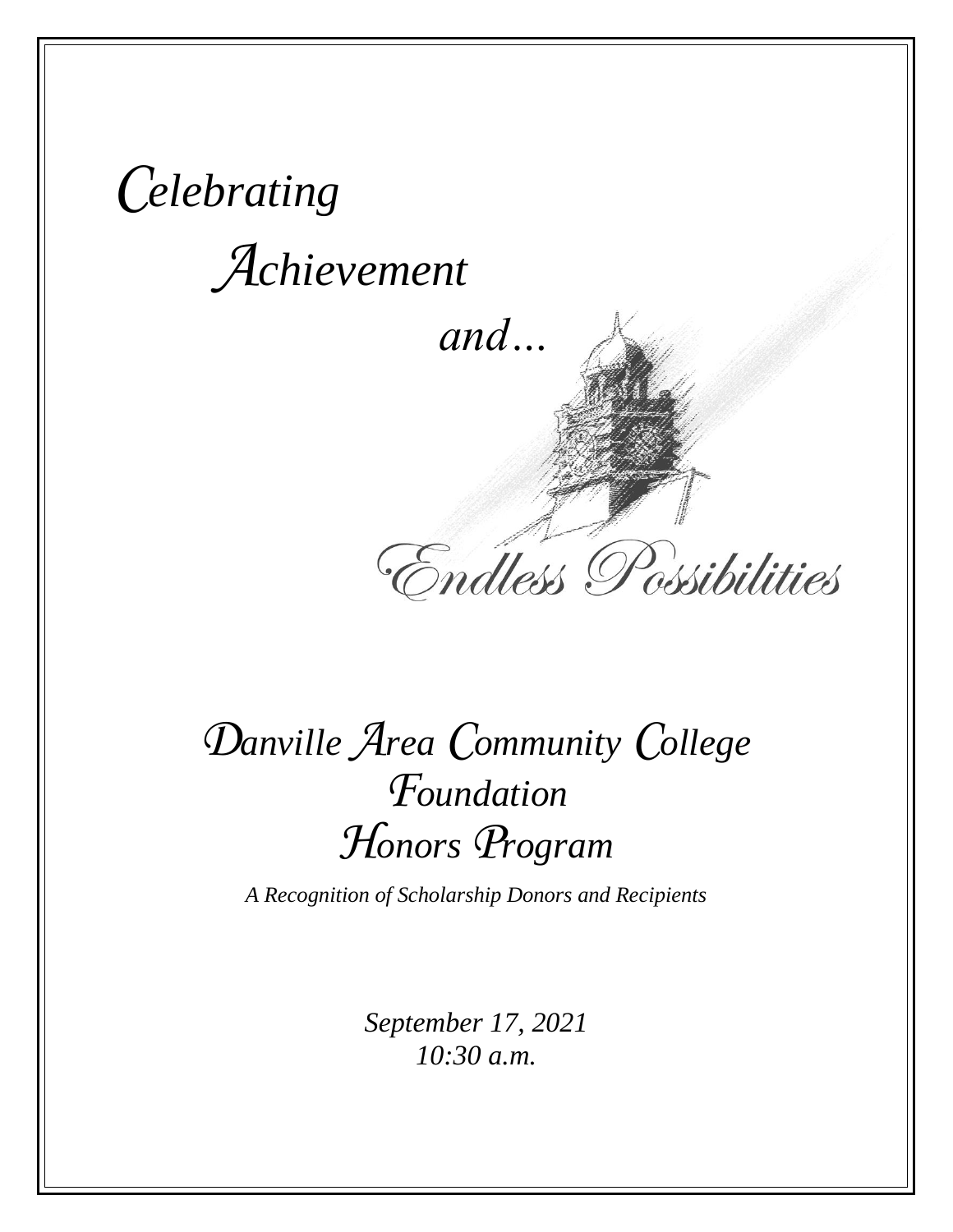*Celebrating Achievement*

 *and…*

Endless Possibilities

# *Danville Area Community College Foundation Honors Program*

*A Recognition of Scholarship Donors and Recipients*

*September 17, 2021 10:30 a.m.*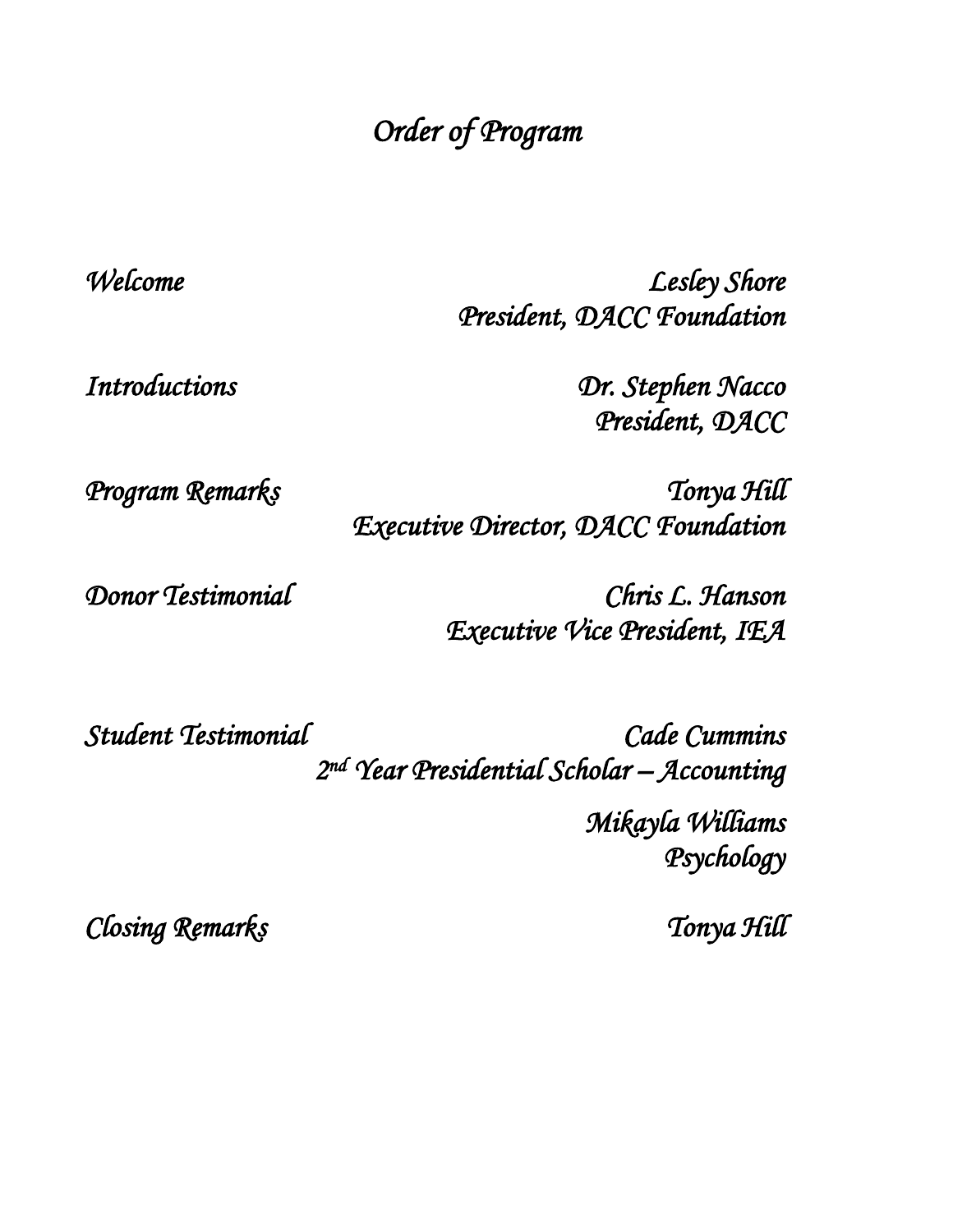## *Order of Program*

*Welcome Lesley Shore President, DACC Foundation* 

*Introductions Dr. Stephen Nacco President, DACC* 

*Program Remarks Tonya Hill Executive Director, DACC Foundation* 

*Donor Testimonial Chris L. Hanson Executive Vice President, IEA* 

*Student Testimonial Cade Cummins 2 nd Year Presidential Scholar – Accounting* 

> *Mikayla Williams Psychology*

*Closing Remarks Tonya Hill*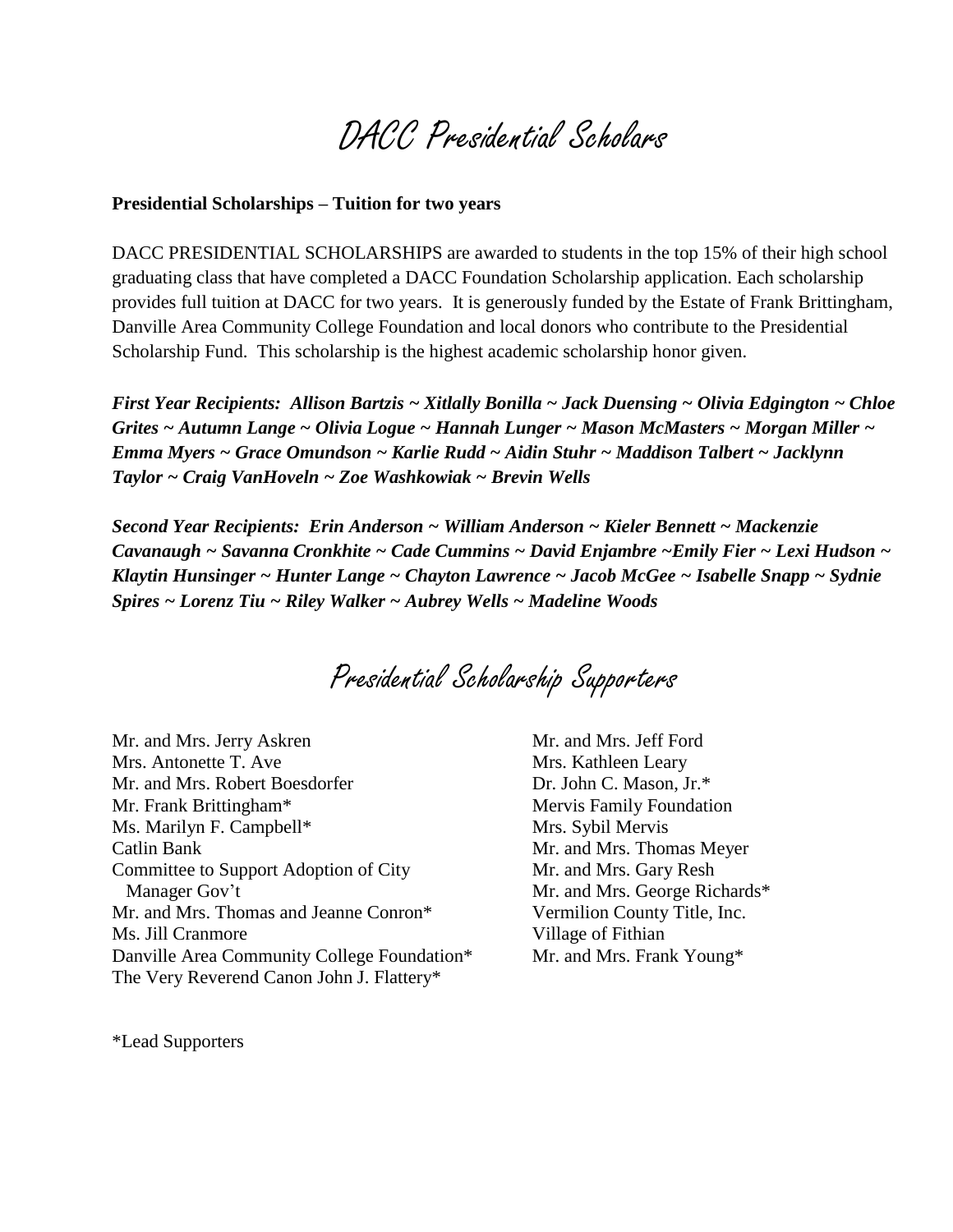## DACC Presidential Scholars

#### **Presidential Scholarships – Tuition for two years**

DACC PRESIDENTIAL SCHOLARSHIPS are awarded to students in the top 15% of their high school graduating class that have completed a DACC Foundation Scholarship application. Each scholarship provides full tuition at DACC for two years. It is generously funded by the Estate of Frank Brittingham, Danville Area Community College Foundation and local donors who contribute to the Presidential Scholarship Fund. This scholarship is the highest academic scholarship honor given.

*First Year Recipients: Allison Bartzis ~ Xitlally Bonilla ~ Jack Duensing ~ Olivia Edgington ~ Chloe Grites ~ Autumn Lange ~ Olivia Logue ~ Hannah Lunger ~ Mason McMasters ~ Morgan Miller ~ Emma Myers ~ Grace Omundson ~ Karlie Rudd ~ Aidin Stuhr ~ Maddison Talbert ~ Jacklynn Taylor ~ Craig VanHoveln ~ Zoe Washkowiak ~ Brevin Wells*

*Second Year Recipients: Erin Anderson ~ William Anderson ~ Kieler Bennett ~ Mackenzie Cavanaugh ~ Savanna Cronkhite ~ Cade Cummins ~ David Enjambre ~Emily Fier ~ Lexi Hudson ~ Klaytin Hunsinger ~ Hunter Lange ~ Chayton Lawrence ~ Jacob McGee ~ Isabelle Snapp ~ Sydnie Spires ~ Lorenz Tiu ~ Riley Walker ~ Aubrey Wells ~ Madeline Woods*

## Presidential Scholarship Supporters

Mr. and Mrs. Jerry Askren Mrs. Antonette T. Ave Mr. and Mrs. Robert Boesdorfer Mr. Frank Brittingham\* Ms. Marilyn F. Campbell\* Catlin Bank Committee to Support Adoption of City Manager Gov't Mr. and Mrs. Thomas and Jeanne Conron\* Ms. Jill Cranmore Danville Area Community College Foundation\* The Very Reverend Canon John J. Flattery\*

Mr. and Mrs. Jeff Ford Mrs. Kathleen Leary Dr. John C. Mason, Jr.\* Mervis Family Foundation Mrs. Sybil Mervis Mr. and Mrs. Thomas Meyer Mr. and Mrs. Gary Resh Mr. and Mrs. George Richards\* Vermilion County Title, Inc. Village of Fithian Mr. and Mrs. Frank Young\*

\*Lead Supporters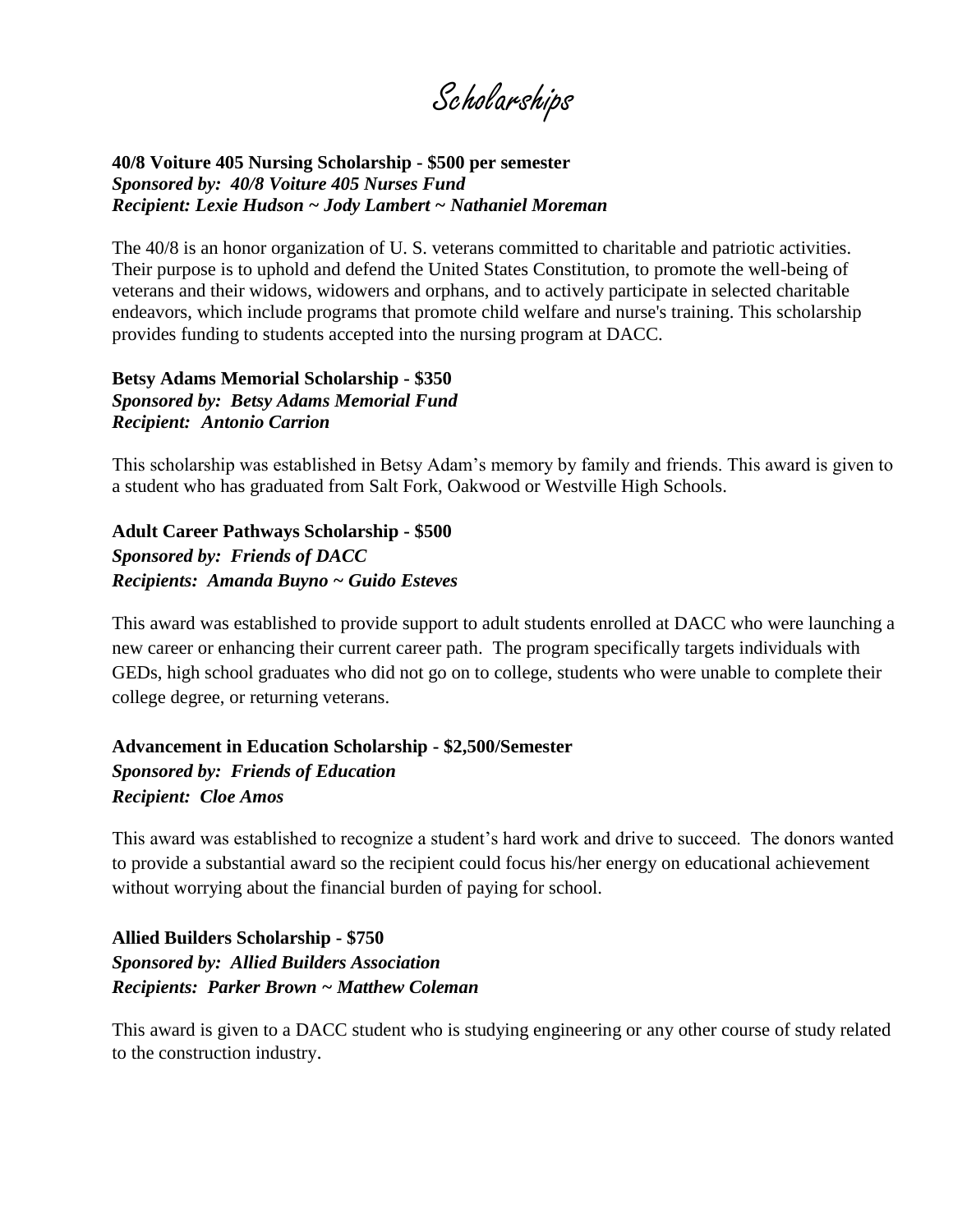Scholarships

#### **40/8 Voiture 405 Nursing Scholarship - \$500 per semester** *Sponsored by: 40/8 Voiture 405 Nurses Fund Recipient: Lexie Hudson ~ Jody Lambert ~ Nathaniel Moreman*

The 40/8 is an honor organization of U. S. veterans committed to charitable and patriotic activities. Their purpose is to uphold and defend the United States Constitution, to promote the well-being of veterans and their widows, widowers and orphans, and to actively participate in selected charitable endeavors, which include programs that promote child welfare and nurse's training. This scholarship provides funding to students accepted into the nursing program at DACC.

#### **Betsy Adams Memorial Scholarship - \$350** *Sponsored by: Betsy Adams Memorial Fund Recipient: Antonio Carrion*

This scholarship was established in Betsy Adam's memory by family and friends. This award is given to a student who has graduated from Salt Fork, Oakwood or Westville High Schools.

**Adult Career Pathways Scholarship - \$500** *Sponsored by: Friends of DACC Recipients: Amanda Buyno ~ Guido Esteves*

This award was established to provide support to adult students enrolled at DACC who were launching a new career or enhancing their current career path. The program specifically targets individuals with GEDs, high school graduates who did not go on to college, students who were unable to complete their college degree, or returning veterans.

#### **Advancement in Education Scholarship - \$2,500/Semester** *Sponsored by: Friends of Education Recipient: Cloe Amos*

This award was established to recognize a student's hard work and drive to succeed. The donors wanted to provide a substantial award so the recipient could focus his/her energy on educational achievement without worrying about the financial burden of paying for school.

#### **Allied Builders Scholarship - \$750** *Sponsored by: Allied Builders Association Recipients: Parker Brown ~ Matthew Coleman*

This award is given to a DACC student who is studying engineering or any other course of study related to the construction industry.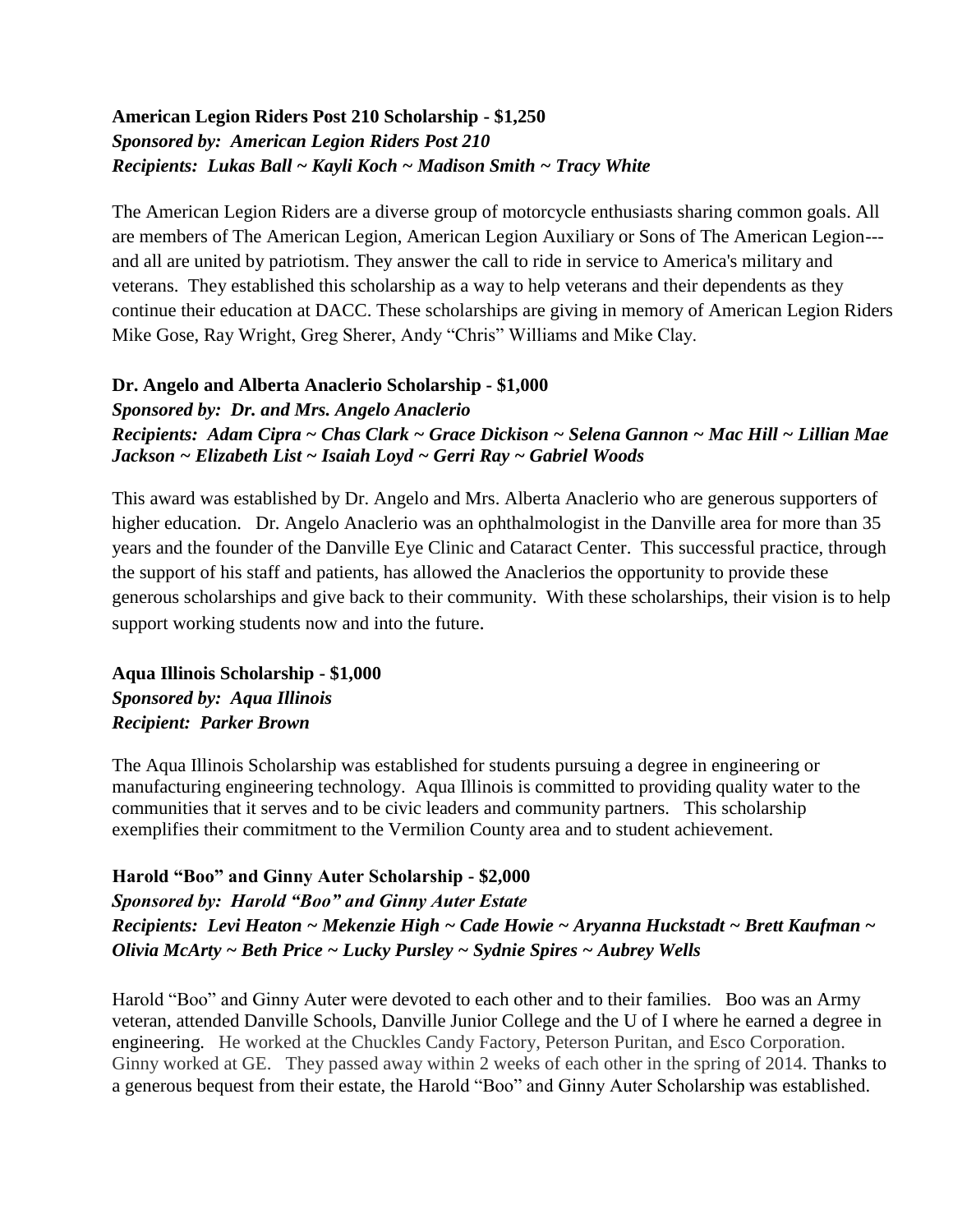#### **American Legion Riders Post 210 Scholarship - \$1,250** *Sponsored by: American Legion Riders Post 210 Recipients: Lukas Ball ~ Kayli Koch ~ Madison Smith ~ Tracy White*

The American Legion Riders are a diverse group of motorcycle enthusiasts sharing common goals. All are members of The American Legion, American Legion Auxiliary or Sons of The American Legion-- and all are united by patriotism. They answer the call to ride in service to America's military and veterans. They established this scholarship as a way to help veterans and their dependents as they continue their education at DACC. These scholarships are giving in memory of American Legion Riders Mike Gose, Ray Wright, Greg Sherer, Andy "Chris" Williams and Mike Clay.

#### **Dr. Angelo and Alberta Anaclerio Scholarship - \$1,000** *Sponsored by: Dr. and Mrs. Angelo Anaclerio Recipients: Adam Cipra ~ Chas Clark ~ Grace Dickison ~ Selena Gannon ~ Mac Hill ~ Lillian Mae Jackson ~ Elizabeth List ~ Isaiah Loyd ~ Gerri Ray ~ Gabriel Woods*

This award was established by Dr. Angelo and Mrs. Alberta Anaclerio who are generous supporters of higher education. Dr. Angelo Anaclerio was an ophthalmologist in the Danville area for more than 35 years and the founder of the Danville Eye Clinic and Cataract Center. This successful practice, through the support of his staff and patients, has allowed the Anaclerios the opportunity to provide these generous scholarships and give back to their community. With these scholarships, their vision is to help support working students now and into the future.

**Aqua Illinois Scholarship - \$1,000** *Sponsored by: Aqua Illinois Recipient: Parker Brown*

The Aqua Illinois Scholarship was established for students pursuing a degree in engineering or manufacturing engineering technology. Aqua Illinois is committed to providing quality water to the communities that it serves and to be civic leaders and community partners. This scholarship exemplifies their commitment to the Vermilion County area and to student achievement.

#### **Harold "Boo" and Ginny Auter Scholarship - \$2,000**

#### *Sponsored by: Harold "Boo" and Ginny Auter Estate Recipients: Levi Heaton ~ Mekenzie High ~ Cade Howie ~ Aryanna Huckstadt ~ Brett Kaufman ~ Olivia McArty ~ Beth Price ~ Lucky Pursley ~ Sydnie Spires ~ Aubrey Wells*

Harold "Boo" and Ginny Auter were devoted to each other and to their families. Boo was an Army veteran, attended Danville Schools, Danville Junior College and the U of I where he earned a degree in engineering. He worked at the Chuckles Candy Factory, Peterson Puritan, and Esco Corporation. Ginny worked at GE. They passed away within 2 weeks of each other in the spring of 2014. Thanks to a generous bequest from their estate, the Harold "Boo" and Ginny Auter Scholarship was established.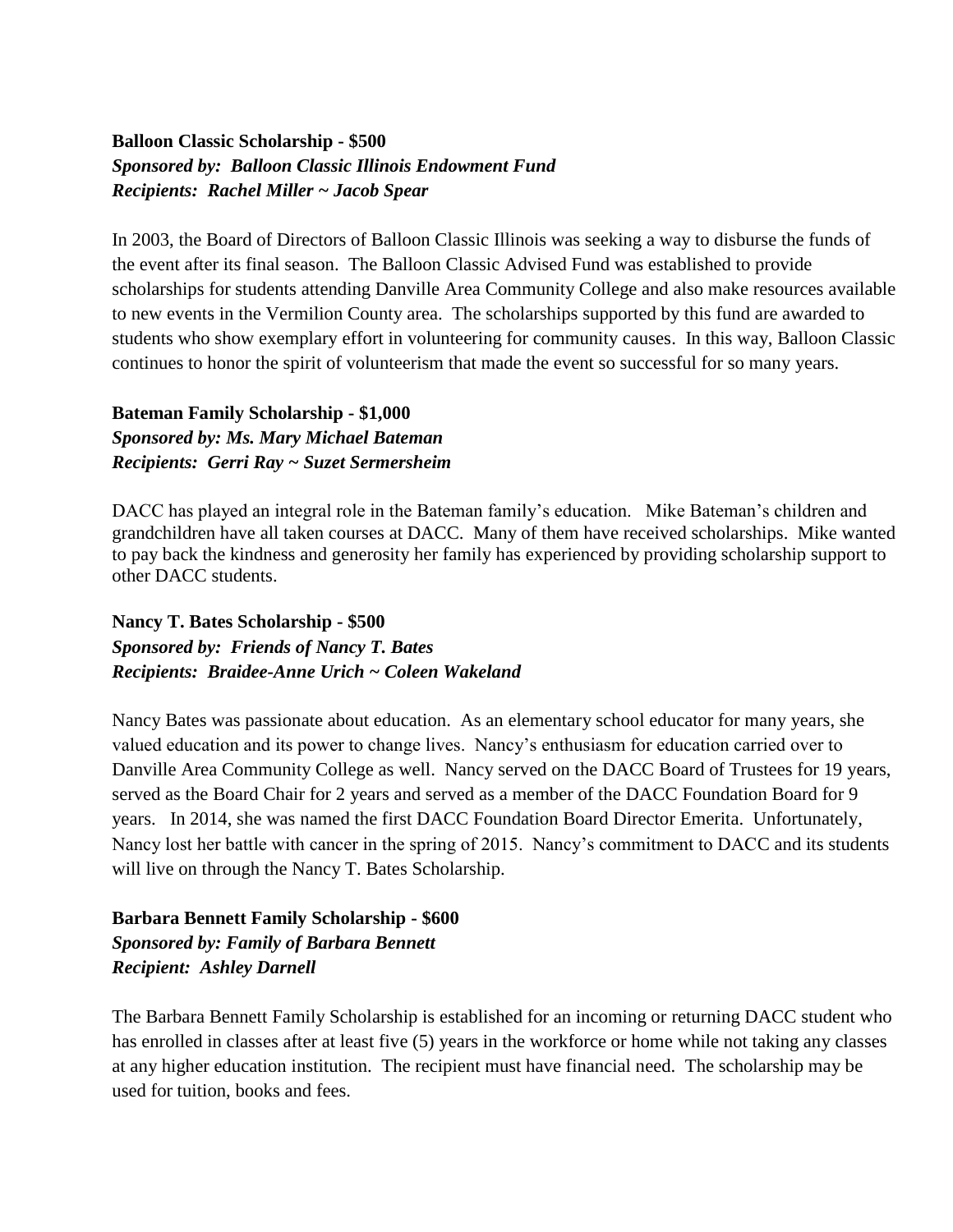#### **Balloon Classic Scholarship - \$500** *Sponsored by: Balloon Classic Illinois Endowment Fund Recipients: Rachel Miller ~ Jacob Spear*

In 2003, the Board of Directors of Balloon Classic Illinois was seeking a way to disburse the funds of the event after its final season. The Balloon Classic Advised Fund was established to provide scholarships for students attending Danville Area Community College and also make resources available to new events in the Vermilion County area. The scholarships supported by this fund are awarded to students who show exemplary effort in volunteering for community causes. In this way, Balloon Classic continues to honor the spirit of volunteerism that made the event so successful for so many years.

#### **Bateman Family Scholarship - \$1,000** *Sponsored by: Ms. Mary Michael Bateman Recipients: Gerri Ray ~ Suzet Sermersheim*

DACC has played an integral role in the Bateman family's education. Mike Bateman's children and grandchildren have all taken courses at DACC. Many of them have received scholarships. Mike wanted to pay back the kindness and generosity her family has experienced by providing scholarship support to other DACC students.

#### **Nancy T. Bates Scholarship - \$500** *Sponsored by: Friends of Nancy T. Bates Recipients: Braidee-Anne Urich ~ Coleen Wakeland*

Nancy Bates was passionate about education. As an elementary school educator for many years, she valued education and its power to change lives. Nancy's enthusiasm for education carried over to Danville Area Community College as well. Nancy served on the DACC Board of Trustees for 19 years, served as the Board Chair for 2 years and served as a member of the DACC Foundation Board for 9 years. In 2014, she was named the first DACC Foundation Board Director Emerita. Unfortunately, Nancy lost her battle with cancer in the spring of 2015. Nancy's commitment to DACC and its students will live on through the Nancy T. Bates Scholarship.

#### **Barbara Bennett Family Scholarship - \$600** *Sponsored by: Family of Barbara Bennett Recipient: Ashley Darnell*

The Barbara Bennett Family Scholarship is established for an incoming or returning DACC student who has enrolled in classes after at least five (5) years in the workforce or home while not taking any classes at any higher education institution. The recipient must have financial need. The scholarship may be used for tuition, books and fees.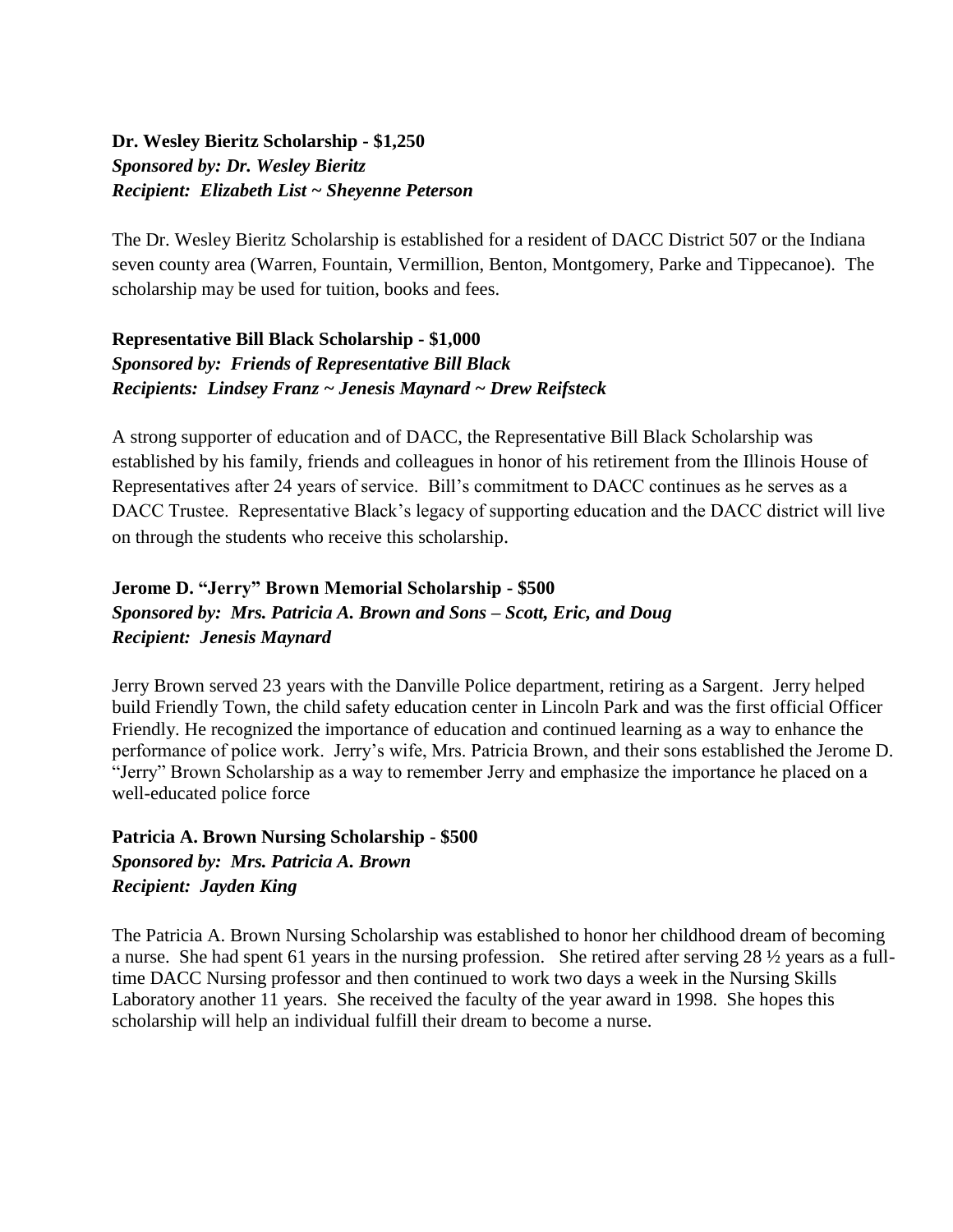#### **Dr. Wesley Bieritz Scholarship - \$1,250** *Sponsored by: Dr. Wesley Bieritz Recipient: Elizabeth List ~ Sheyenne Peterson*

The Dr. Wesley Bieritz Scholarship is established for a resident of DACC District 507 or the Indiana seven county area (Warren, Fountain, Vermillion, Benton, Montgomery, Parke and Tippecanoe). The scholarship may be used for tuition, books and fees.

#### **Representative Bill Black Scholarship - \$1,000** *Sponsored by: Friends of Representative Bill Black Recipients: Lindsey Franz ~ Jenesis Maynard ~ Drew Reifsteck*

A strong supporter of education and of DACC, the Representative Bill Black Scholarship was established by his family, friends and colleagues in honor of his retirement from the Illinois House of Representatives after 24 years of service. Bill's commitment to DACC continues as he serves as a DACC Trustee. Representative Black's legacy of supporting education and the DACC district will live on through the students who receive this scholarship.

#### **Jerome D. "Jerry" Brown Memorial Scholarship - \$500** *Sponsored by: Mrs. Patricia A. Brown and Sons – Scott, Eric, and Doug Recipient: Jenesis Maynard*

Jerry Brown served 23 years with the Danville Police department, retiring as a Sargent. Jerry helped build Friendly Town, the child safety education center in Lincoln Park and was the first official Officer Friendly. He recognized the importance of education and continued learning as a way to enhance the performance of police work. Jerry's wife, Mrs. Patricia Brown, and their sons established the Jerome D. "Jerry" Brown Scholarship as a way to remember Jerry and emphasize the importance he placed on a well-educated police force

**Patricia A. Brown Nursing Scholarship - \$500** *Sponsored by: Mrs. Patricia A. Brown Recipient: Jayden King*

The Patricia A. Brown Nursing Scholarship was established to honor her childhood dream of becoming a nurse. She had spent 61 years in the nursing profession. She retired after serving 28 ½ years as a fulltime DACC Nursing professor and then continued to work two days a week in the Nursing Skills Laboratory another 11 years. She received the faculty of the year award in 1998. She hopes this scholarship will help an individual fulfill their dream to become a nurse.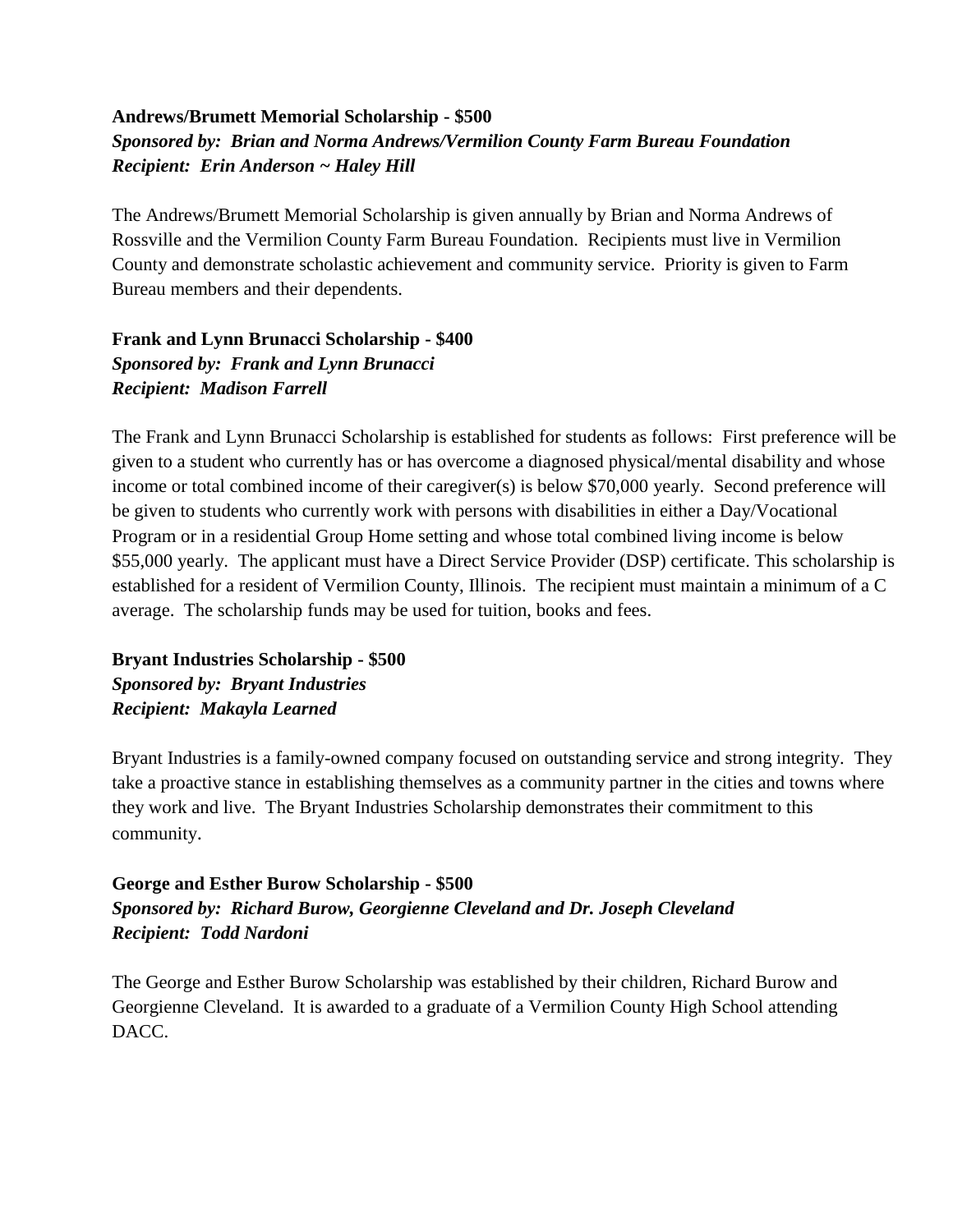#### **Andrews/Brumett Memorial Scholarship - \$500** *Sponsored by: Brian and Norma Andrews/Vermilion County Farm Bureau Foundation Recipient: Erin Anderson ~ Haley Hill*

The Andrews/Brumett Memorial Scholarship is given annually by Brian and Norma Andrews of Rossville and the Vermilion County Farm Bureau Foundation. Recipients must live in Vermilion County and demonstrate scholastic achievement and community service. Priority is given to Farm Bureau members and their dependents.

**Frank and Lynn Brunacci Scholarship - \$400** *Sponsored by: Frank and Lynn Brunacci Recipient: Madison Farrell*

The Frank and Lynn Brunacci Scholarship is established for students as follows: First preference will be given to a student who currently has or has overcome a diagnosed physical/mental disability and whose income or total combined income of their caregiver(s) is below \$70,000 yearly. Second preference will be given to students who currently work with persons with disabilities in either a Day/Vocational Program or in a residential Group Home setting and whose total combined living income is below \$55,000 yearly. The applicant must have a Direct Service Provider (DSP) certificate. This scholarship is established for a resident of Vermilion County, Illinois. The recipient must maintain a minimum of a C average. The scholarship funds may be used for tuition, books and fees.

**Bryant Industries Scholarship - \$500** *Sponsored by: Bryant Industries Recipient: Makayla Learned*

Bryant Industries is a family-owned company focused on outstanding service and strong integrity. They take a proactive stance in establishing themselves as a community partner in the cities and towns where they work and live. The Bryant Industries Scholarship demonstrates their commitment to this community.

**George and Esther Burow Scholarship - \$500** *Sponsored by: Richard Burow, Georgienne Cleveland and Dr. Joseph Cleveland Recipient: Todd Nardoni*

The George and Esther Burow Scholarship was established by their children, Richard Burow and Georgienne Cleveland. It is awarded to a graduate of a Vermilion County High School attending DACC.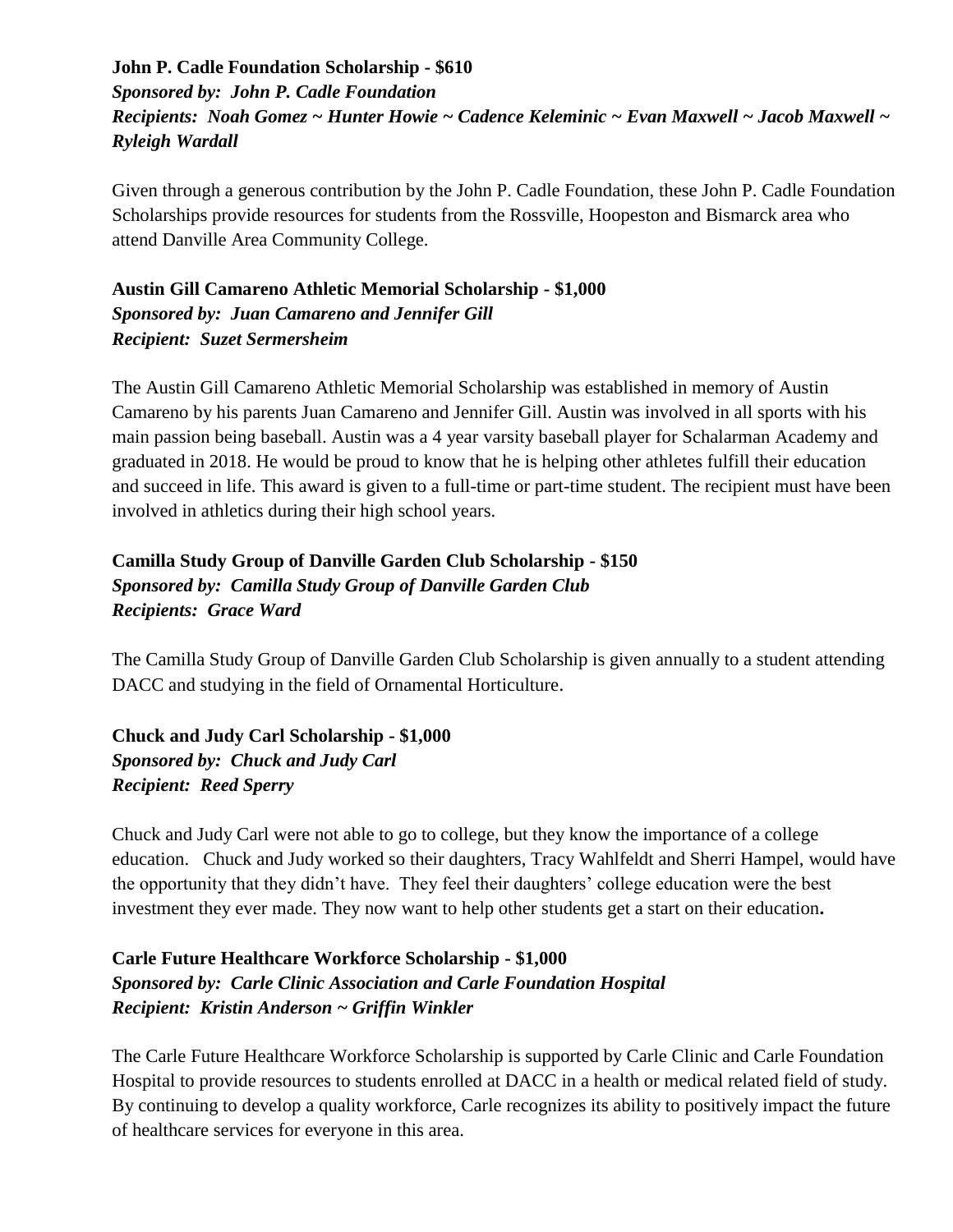#### **John P. Cadle Foundation Scholarship - \$610** *Sponsored by: John P. Cadle Foundation Recipients: Noah Gomez ~ Hunter Howie ~ Cadence Keleminic ~ Evan Maxwell ~ Jacob Maxwell ~ Ryleigh Wardall*

Given through a generous contribution by the John P. Cadle Foundation, these John P. Cadle Foundation Scholarships provide resources for students from the Rossville, Hoopeston and Bismarck area who attend Danville Area Community College.

#### **Austin Gill Camareno Athletic Memorial Scholarship - \$1,000** *Sponsored by: Juan Camareno and Jennifer Gill Recipient: Suzet Sermersheim*

The Austin Gill Camareno Athletic Memorial Scholarship was established in memory of Austin Camareno by his parents Juan Camareno and Jennifer Gill. Austin was involved in all sports with his main passion being baseball. Austin was a 4 year varsity baseball player for Schalarman Academy and graduated in 2018. He would be proud to know that he is helping other athletes fulfill their education and succeed in life. This award is given to a full-time or part-time student. The recipient must have been involved in athletics during their high school years.

#### **Camilla Study Group of Danville Garden Club Scholarship - \$150** *Sponsored by: Camilla Study Group of Danville Garden Club Recipients: Grace Ward*

The Camilla Study Group of Danville Garden Club Scholarship is given annually to a student attending DACC and studying in the field of Ornamental Horticulture.

**Chuck and Judy Carl Scholarship - \$1,000** *Sponsored by: Chuck and Judy Carl Recipient: Reed Sperry*

Chuck and Judy Carl were not able to go to college, but they know the importance of a college education. Chuck and Judy worked so their daughters, Tracy Wahlfeldt and Sherri Hampel, would have the opportunity that they didn't have. They feel their daughters' college education were the best investment they ever made. They now want to help other students get a start on their education**.**

#### **Carle Future Healthcare Workforce Scholarship - \$1,000** *Sponsored by: Carle Clinic Association and Carle Foundation Hospital Recipient: Kristin Anderson ~ Griffin Winkler*

The Carle Future Healthcare Workforce Scholarship is supported by Carle Clinic and Carle Foundation Hospital to provide resources to students enrolled at DACC in a health or medical related field of study. By continuing to develop a quality workforce, Carle recognizes its ability to positively impact the future of healthcare services for everyone in this area.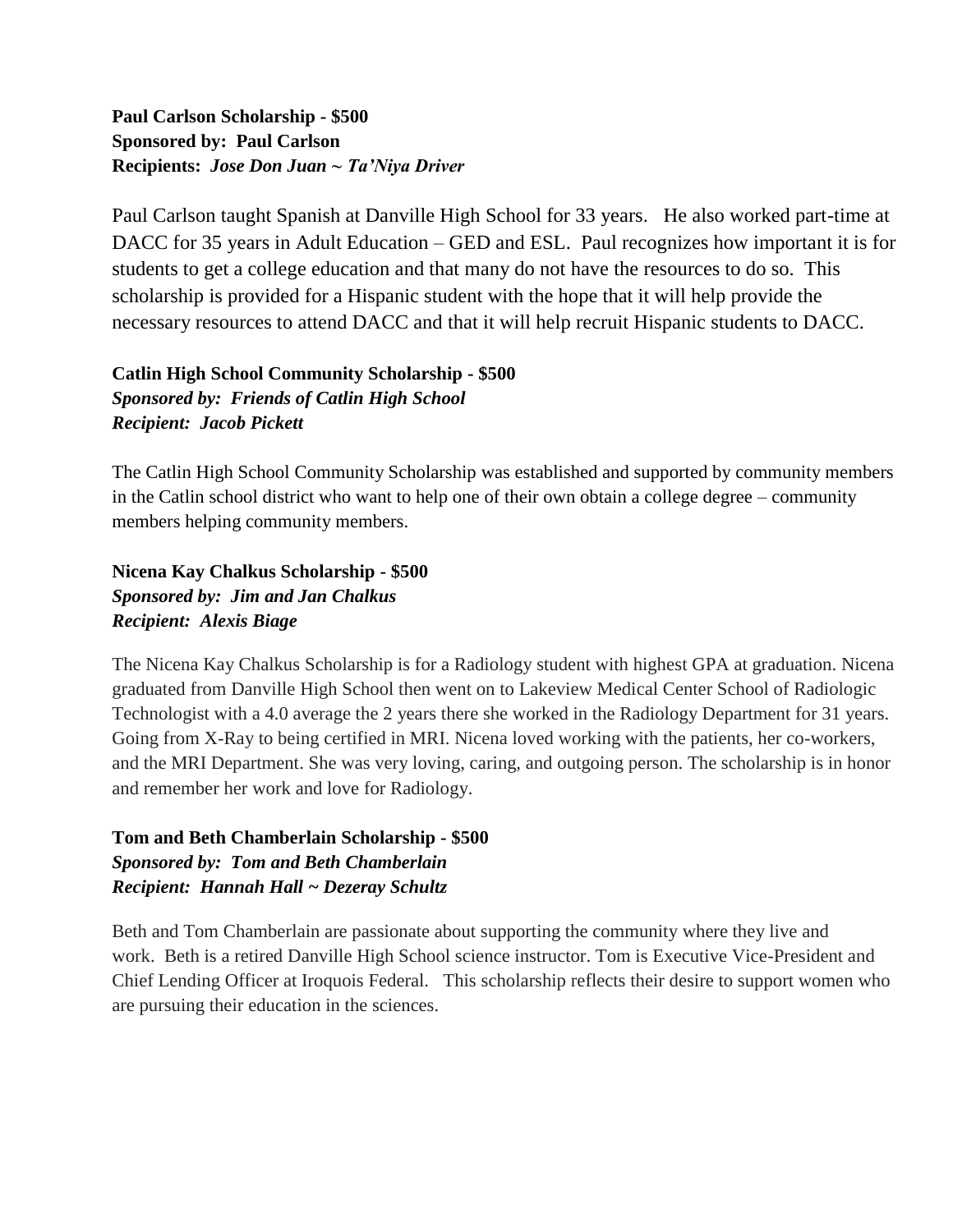#### **Paul Carlson Scholarship - \$500 Sponsored by: Paul Carlson Recipients:** *Jose Don Juan ~ Ta'Niya Driver*

Paul Carlson taught Spanish at Danville High School for 33 years. He also worked part-time at DACC for 35 years in Adult Education – GED and ESL. Paul recognizes how important it is for students to get a college education and that many do not have the resources to do so. This scholarship is provided for a Hispanic student with the hope that it will help provide the necessary resources to attend DACC and that it will help recruit Hispanic students to DACC.

#### **Catlin High School Community Scholarship - \$500** *Sponsored by: Friends of Catlin High School Recipient: Jacob Pickett*

The Catlin High School Community Scholarship was established and supported by community members in the Catlin school district who want to help one of their own obtain a college degree – community members helping community members.

**Nicena Kay Chalkus Scholarship - \$500** *Sponsored by: Jim and Jan Chalkus Recipient: Alexis Biage*

The Nicena Kay Chalkus Scholarship is for a Radiology student with highest GPA at graduation. Nicena graduated from Danville High School then went on to Lakeview Medical Center School of Radiologic Technologist with a 4.0 average the 2 years there she worked in the Radiology Department for 31 years. Going from X-Ray to being certified in MRI. Nicena loved working with the patients, her co-workers, and the MRI Department. She was very loving, caring, and outgoing person. The scholarship is in honor and remember her work and love for Radiology.

**Tom and Beth Chamberlain Scholarship - \$500** *Sponsored by: Tom and Beth Chamberlain Recipient: Hannah Hall ~ Dezeray Schultz*

Beth and Tom Chamberlain are passionate about supporting the community where they live and work. Beth is a retired Danville High School science instructor. Tom is Executive Vice-President and Chief Lending Officer at Iroquois Federal. This scholarship reflects their desire to support women who are pursuing their education in the sciences.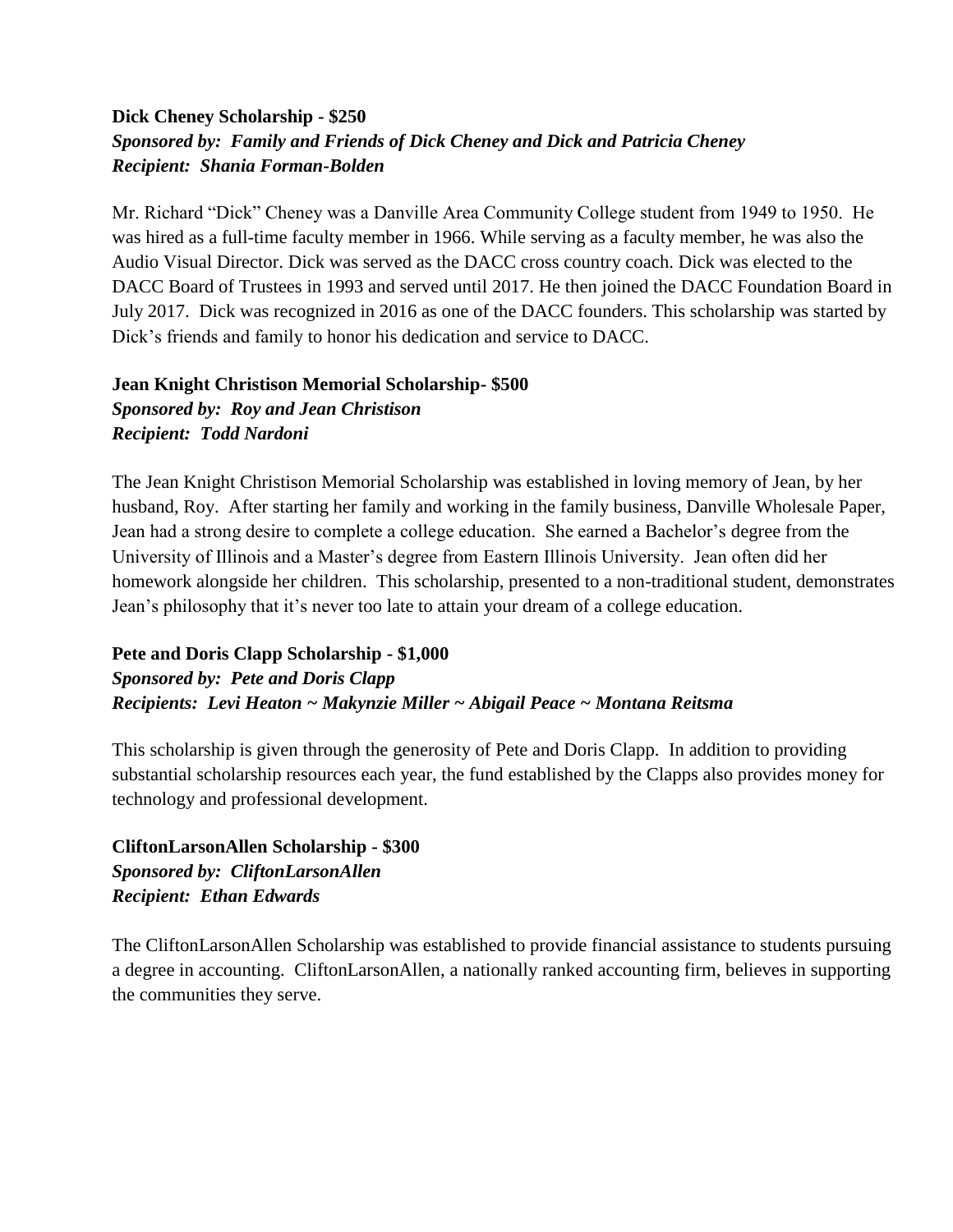#### **Dick Cheney Scholarship - \$250** *Sponsored by: Family and Friends of Dick Cheney and Dick and Patricia Cheney Recipient: Shania Forman-Bolden*

Mr. Richard "Dick" Cheney was a Danville Area Community College student from 1949 to 1950. He was hired as a full-time faculty member in 1966. While serving as a faculty member, he was also the Audio Visual Director. Dick was served as the DACC cross country coach. Dick was elected to the DACC Board of Trustees in 1993 and served until 2017. He then joined the DACC Foundation Board in July 2017. Dick was recognized in 2016 as one of the DACC founders. This scholarship was started by Dick's friends and family to honor his dedication and service to DACC.

#### **Jean Knight Christison Memorial Scholarship- \$500** *Sponsored by: Roy and Jean Christison Recipient: Todd Nardoni*

The Jean Knight Christison Memorial Scholarship was established in loving memory of Jean, by her husband, Roy. After starting her family and working in the family business, Danville Wholesale Paper, Jean had a strong desire to complete a college education. She earned a Bachelor's degree from the University of Illinois and a Master's degree from Eastern Illinois University. Jean often did her homework alongside her children. This scholarship, presented to a non-traditional student, demonstrates Jean's philosophy that it's never too late to attain your dream of a college education.

#### **Pete and Doris Clapp Scholarship - \$1,000** *Sponsored by: Pete and Doris Clapp Recipients: Levi Heaton ~ Makynzie Miller ~ Abigail Peace ~ Montana Reitsma*

This scholarship is given through the generosity of Pete and Doris Clapp. In addition to providing substantial scholarship resources each year, the fund established by the Clapps also provides money for technology and professional development.

**CliftonLarsonAllen Scholarship - \$300** *Sponsored by: CliftonLarsonAllen Recipient: Ethan Edwards*

The CliftonLarsonAllen Scholarship was established to provide financial assistance to students pursuing a degree in accounting. CliftonLarsonAllen, a nationally ranked accounting firm, believes in supporting the communities they serve.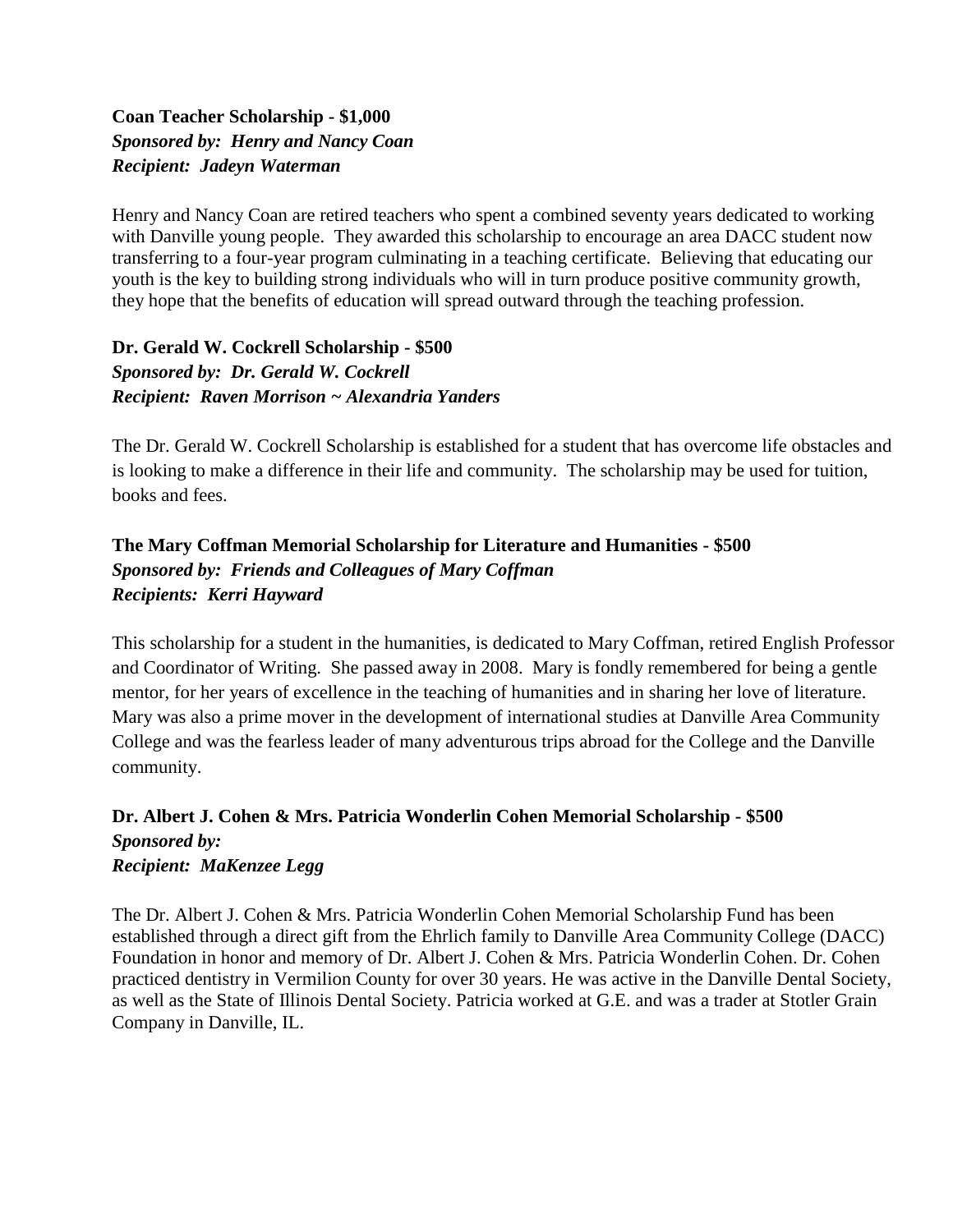#### **Coan Teacher Scholarship - \$1,000** *Sponsored by: Henry and Nancy Coan Recipient: Jadeyn Waterman*

Henry and Nancy Coan are retired teachers who spent a combined seventy years dedicated to working with Danville young people. They awarded this scholarship to encourage an area DACC student now transferring to a four-year program culminating in a teaching certificate. Believing that educating our youth is the key to building strong individuals who will in turn produce positive community growth, they hope that the benefits of education will spread outward through the teaching profession.

#### **Dr. Gerald W. Cockrell Scholarship - \$500** *Sponsored by: Dr. Gerald W. Cockrell Recipient: Raven Morrison ~ Alexandria Yanders*

The Dr. Gerald W. Cockrell Scholarship is established for a student that has overcome life obstacles and is looking to make a difference in their life and community. The scholarship may be used for tuition, books and fees.

#### **The Mary Coffman Memorial Scholarship for Literature and Humanities - \$500** *Sponsored by: Friends and Colleagues of Mary Coffman Recipients: Kerri Hayward*

This scholarship for a student in the humanities, is dedicated to Mary Coffman, retired English Professor and Coordinator of Writing. She passed away in 2008. Mary is fondly remembered for being a gentle mentor, for her years of excellence in the teaching of humanities and in sharing her love of literature. Mary was also a prime mover in the development of international studies at Danville Area Community College and was the fearless leader of many adventurous trips abroad for the College and the Danville community.

#### **Dr. Albert J. Cohen & Mrs. Patricia Wonderlin Cohen Memorial Scholarship - \$500** *Sponsored by: Recipient: MaKenzee Legg*

The Dr. Albert J. Cohen & Mrs. Patricia Wonderlin Cohen Memorial Scholarship Fund has been established through a direct gift from the Ehrlich family to Danville Area Community College (DACC) Foundation in honor and memory of Dr. Albert J. Cohen & Mrs. Patricia Wonderlin Cohen. Dr. Cohen practiced dentistry in Vermilion County for over 30 years. He was active in the Danville Dental Society, as well as the State of Illinois Dental Society. Patricia worked at G.E. and was a trader at Stotler Grain Company in Danville, IL.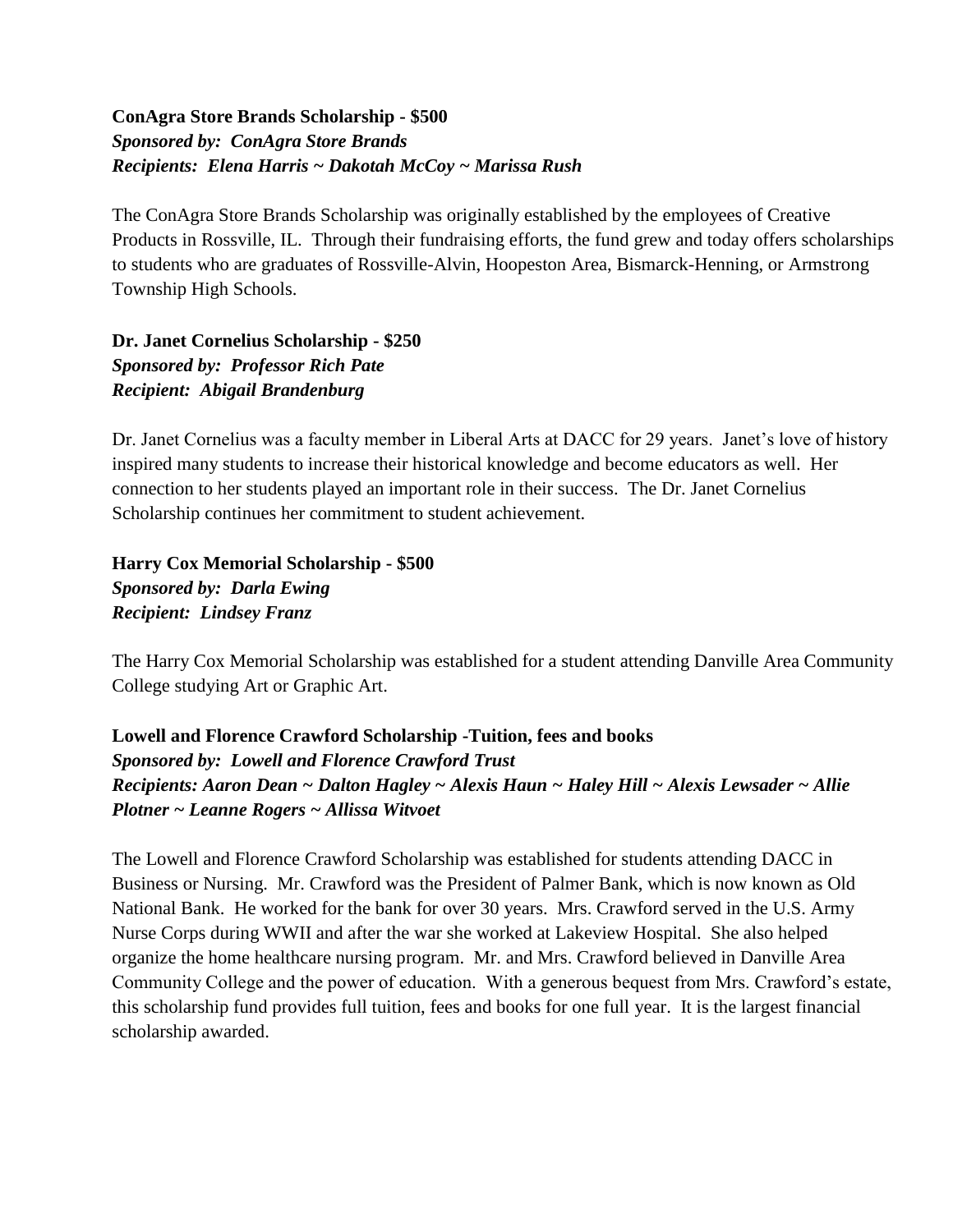#### **ConAgra Store Brands Scholarship - \$500** *Sponsored by: ConAgra Store Brands Recipients: Elena Harris ~ Dakotah McCoy ~ Marissa Rush*

The ConAgra Store Brands Scholarship was originally established by the employees of Creative Products in Rossville, IL. Through their fundraising efforts, the fund grew and today offers scholarships to students who are graduates of Rossville-Alvin, Hoopeston Area, Bismarck-Henning, or Armstrong Township High Schools.

**Dr. Janet Cornelius Scholarship - \$250** *Sponsored by: Professor Rich Pate Recipient: Abigail Brandenburg*

Dr. Janet Cornelius was a faculty member in Liberal Arts at DACC for 29 years. Janet's love of history inspired many students to increase their historical knowledge and become educators as well. Her connection to her students played an important role in their success. The Dr. Janet Cornelius Scholarship continues her commitment to student achievement.

**Harry Cox Memorial Scholarship - \$500** *Sponsored by: Darla Ewing Recipient: Lindsey Franz*

The Harry Cox Memorial Scholarship was established for a student attending Danville Area Community College studying Art or Graphic Art.

**Lowell and Florence Crawford Scholarship -Tuition, fees and books** *Sponsored by: Lowell and Florence Crawford Trust Recipients: Aaron Dean ~ Dalton Hagley ~ Alexis Haun ~ Haley Hill ~ Alexis Lewsader ~ Allie Plotner ~ Leanne Rogers ~ Allissa Witvoet* 

The Lowell and Florence Crawford Scholarship was established for students attending DACC in Business or Nursing. Mr. Crawford was the President of Palmer Bank, which is now known as Old National Bank. He worked for the bank for over 30 years. Mrs. Crawford served in the U.S. Army Nurse Corps during WWII and after the war she worked at Lakeview Hospital. She also helped organize the home healthcare nursing program. Mr. and Mrs. Crawford believed in Danville Area Community College and the power of education. With a generous bequest from Mrs. Crawford's estate, this scholarship fund provides full tuition, fees and books for one full year. It is the largest financial scholarship awarded.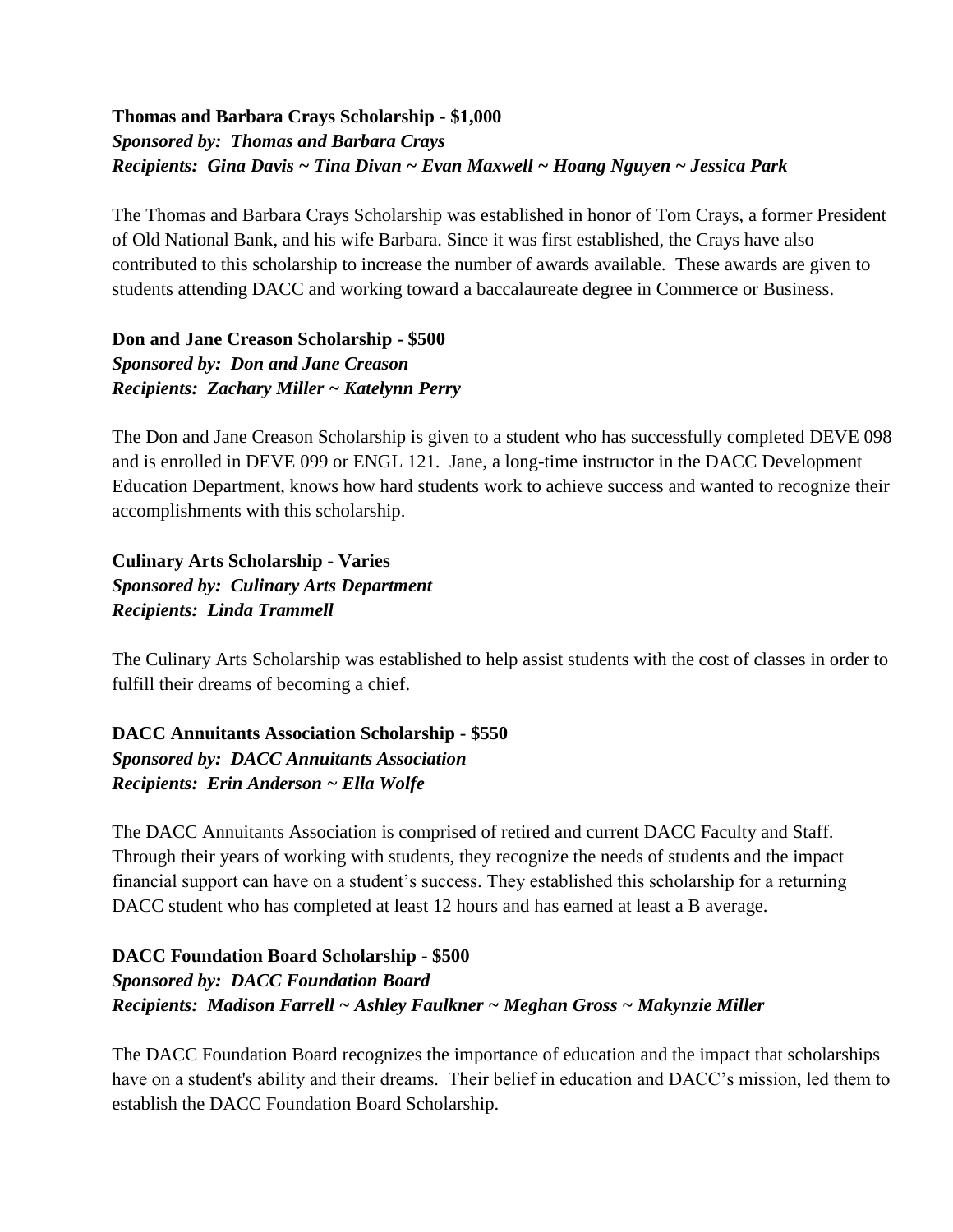#### **Thomas and Barbara Crays Scholarship - \$1,000** *Sponsored by: Thomas and Barbara Crays Recipients: Gina Davis ~ Tina Divan ~ Evan Maxwell ~ Hoang Nguyen ~ Jessica Park*

The Thomas and Barbara Crays Scholarship was established in honor of Tom Crays, a former President of Old National Bank, and his wife Barbara. Since it was first established, the Crays have also contributed to this scholarship to increase the number of awards available. These awards are given to students attending DACC and working toward a baccalaureate degree in Commerce or Business.

**Don and Jane Creason Scholarship - \$500** *Sponsored by: Don and Jane Creason Recipients: Zachary Miller ~ Katelynn Perry*

The Don and Jane Creason Scholarship is given to a student who has successfully completed DEVE 098 and is enrolled in DEVE 099 or ENGL 121. Jane, a long-time instructor in the DACC Development Education Department, knows how hard students work to achieve success and wanted to recognize their accomplishments with this scholarship.

**Culinary Arts Scholarship - Varies** *Sponsored by: Culinary Arts Department Recipients: Linda Trammell*

The Culinary Arts Scholarship was established to help assist students with the cost of classes in order to fulfill their dreams of becoming a chief.

**DACC Annuitants Association Scholarship - \$550** *Sponsored by: DACC Annuitants Association Recipients: Erin Anderson ~ Ella Wolfe*

The DACC Annuitants Association is comprised of retired and current DACC Faculty and Staff. Through their years of working with students, they recognize the needs of students and the impact financial support can have on a student's success. They established this scholarship for a returning DACC student who has completed at least 12 hours and has earned at least a B average.

**DACC Foundation Board Scholarship - \$500** *Sponsored by: DACC Foundation Board Recipients: Madison Farrell ~ Ashley Faulkner ~ Meghan Gross ~ Makynzie Miller*

The DACC Foundation Board recognizes the importance of education and the impact that scholarships have on a student's ability and their dreams. Their belief in education and DACC's mission, led them to establish the DACC Foundation Board Scholarship.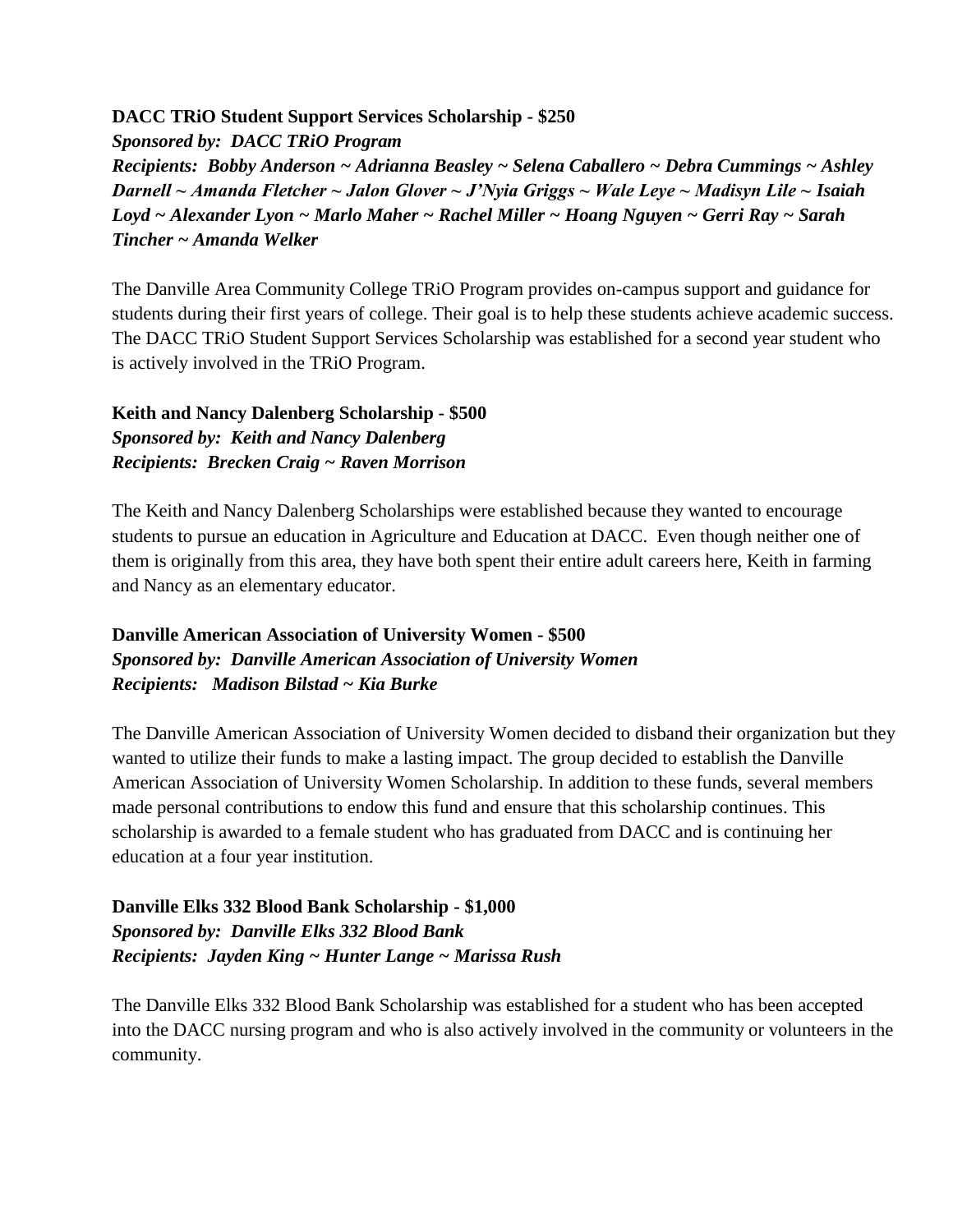#### **DACC TRiO Student Support Services Scholarship - \$250**

*Sponsored by: DACC TRiO Program Recipients: Bobby Anderson ~ Adrianna Beasley ~ Selena Caballero ~ Debra Cummings ~ Ashley Darnell ~ Amanda Fletcher ~ Jalon Glover ~ J'Nyia Griggs ~ Wale Leye ~ Madisyn Lile ~ Isaiah Loyd ~ Alexander Lyon ~ Marlo Maher ~ Rachel Miller ~ Hoang Nguyen ~ Gerri Ray ~ Sarah Tincher ~ Amanda Welker* 

The Danville Area Community College TRiO Program provides on-campus support and guidance for students during their first years of college. Their goal is to help these students achieve academic success. The DACC TRiO Student Support Services Scholarship was established for a second year student who is actively involved in the TRiO Program.

#### **Keith and Nancy Dalenberg Scholarship - \$500** *Sponsored by: Keith and Nancy Dalenberg Recipients: Brecken Craig ~ Raven Morrison*

The Keith and Nancy Dalenberg Scholarships were established because they wanted to encourage students to pursue an education in Agriculture and Education at DACC. Even though neither one of them is originally from this area, they have both spent their entire adult careers here, Keith in farming and Nancy as an elementary educator.

#### **Danville American Association of University Women - \$500** *Sponsored by: Danville American Association of University Women Recipients: Madison Bilstad ~ Kia Burke*

The Danville American Association of University Women decided to disband their organization but they wanted to utilize their funds to make a lasting impact. The group decided to establish the Danville American Association of University Women Scholarship. In addition to these funds, several members made personal contributions to endow this fund and ensure that this scholarship continues. This scholarship is awarded to a female student who has graduated from DACC and is continuing her education at a four year institution.

#### **Danville Elks 332 Blood Bank Scholarship - \$1,000** *Sponsored by: Danville Elks 332 Blood Bank Recipients: Jayden King ~ Hunter Lange ~ Marissa Rush*

The Danville Elks 332 Blood Bank Scholarship was established for a student who has been accepted into the DACC nursing program and who is also actively involved in the community or volunteers in the community.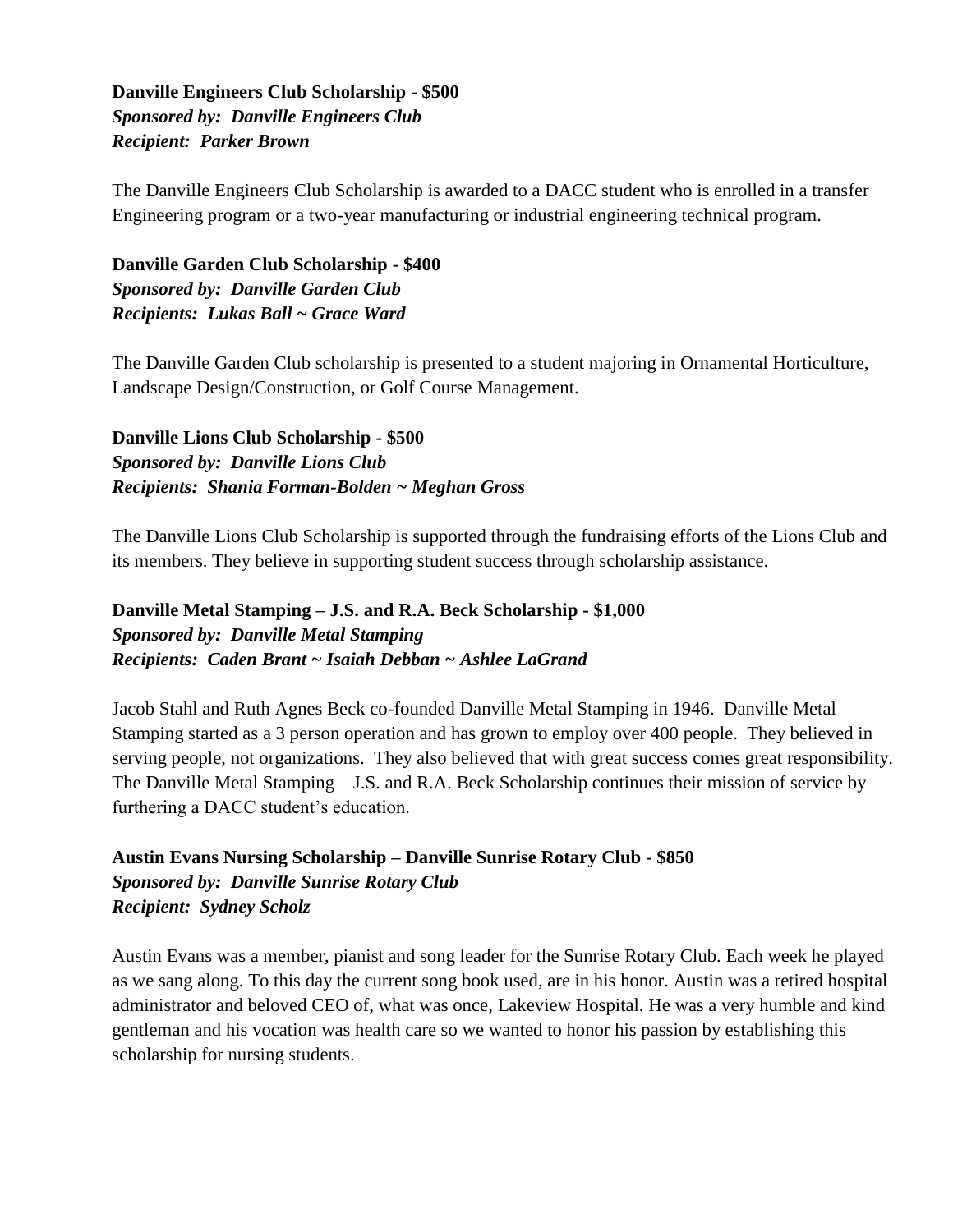**Danville Engineers Club Scholarship - \$500** *Sponsored by: Danville Engineers Club Recipient: Parker Brown*

The Danville Engineers Club Scholarship is awarded to a DACC student who is enrolled in a transfer Engineering program or a two-year manufacturing or industrial engineering technical program.

**Danville Garden Club Scholarship - \$400** *Sponsored by: Danville Garden Club Recipients: Lukas Ball ~ Grace Ward*

The Danville Garden Club scholarship is presented to a student majoring in Ornamental Horticulture, Landscape Design/Construction, or Golf Course Management.

**Danville Lions Club Scholarship - \$500** *Sponsored by: Danville Lions Club Recipients: Shania Forman-Bolden ~ Meghan Gross*

The Danville Lions Club Scholarship is supported through the fundraising efforts of the Lions Club and its members. They believe in supporting student success through scholarship assistance.

**Danville Metal Stamping – J.S. and R.A. Beck Scholarship - \$1,000** *Sponsored by: Danville Metal Stamping Recipients: Caden Brant ~ Isaiah Debban ~ Ashlee LaGrand*

Jacob Stahl and Ruth Agnes Beck co-founded Danville Metal Stamping in 1946. Danville Metal Stamping started as a 3 person operation and has grown to employ over 400 people. They believed in serving people, not organizations. They also believed that with great success comes great responsibility. The Danville Metal Stamping – J.S. and R.A. Beck Scholarship continues their mission of service by furthering a DACC student's education.

**Austin Evans Nursing Scholarship – Danville Sunrise Rotary Club - \$850** *Sponsored by: Danville Sunrise Rotary Club Recipient: Sydney Scholz*

Austin Evans was a member, pianist and song leader for the Sunrise Rotary Club. Each week he played as we sang along. To this day the current song book used, are in his honor. Austin was a retired hospital administrator and beloved CEO of, what was once, Lakeview Hospital. He was a very humble and kind gentleman and his vocation was health care so we wanted to honor his passion by establishing this scholarship for nursing students.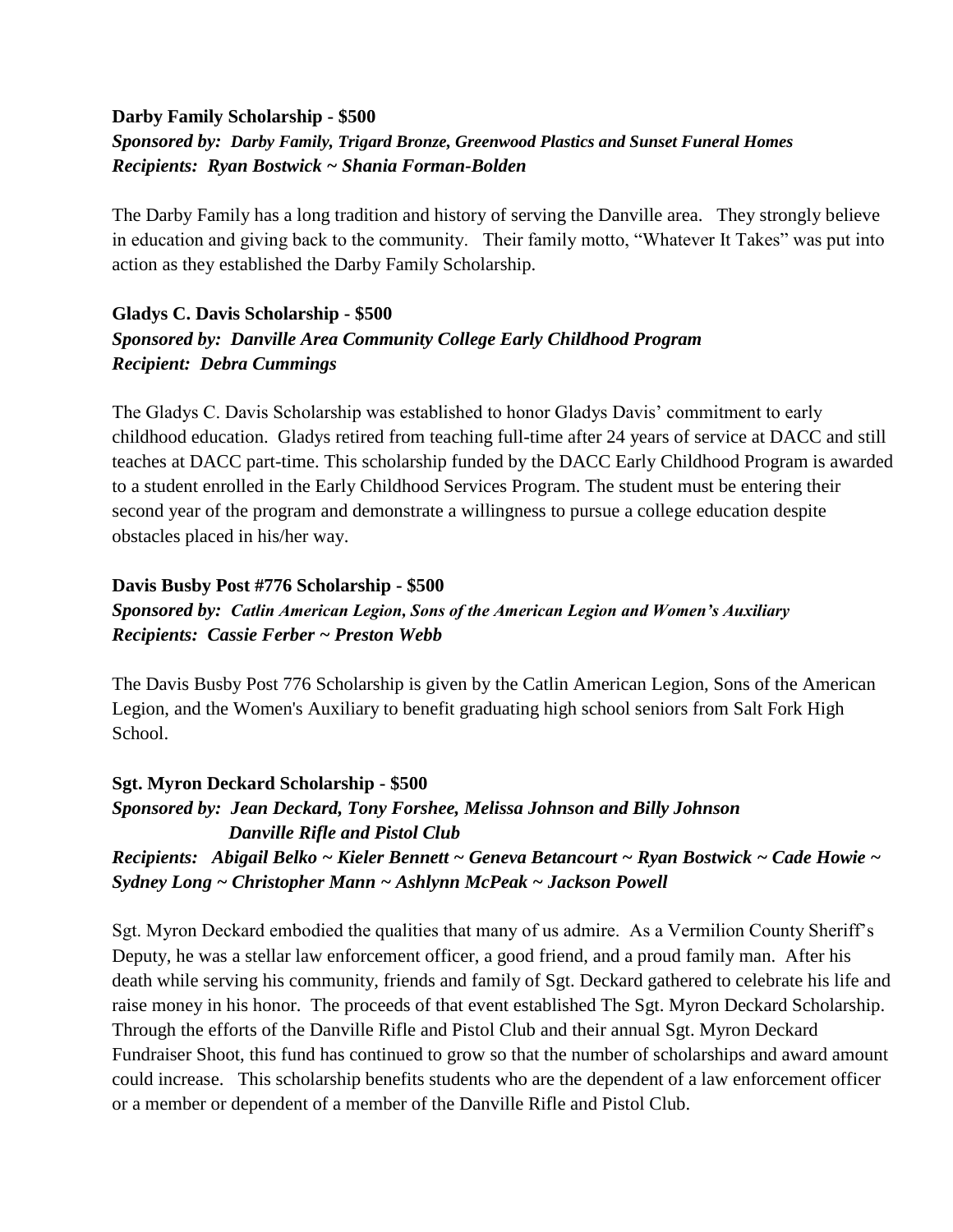#### **Darby Family Scholarship - \$500**

#### *Sponsored by: Darby Family, Trigard Bronze, Greenwood Plastics and Sunset Funeral Homes Recipients: Ryan Bostwick ~ Shania Forman-Bolden*

The Darby Family has a long tradition and history of serving the Danville area. They strongly believe in education and giving back to the community. Their family motto, "Whatever It Takes" was put into action as they established the Darby Family Scholarship.

#### **Gladys C. Davis Scholarship - \$500** *Sponsored by: Danville Area Community College Early Childhood Program Recipient: Debra Cummings*

The Gladys C. Davis Scholarship was established to honor Gladys Davis' commitment to early childhood education. Gladys retired from teaching full-time after 24 years of service at DACC and still teaches at DACC part-time. This scholarship funded by the DACC Early Childhood Program is awarded to a student enrolled in the Early Childhood Services Program. The student must be entering their second year of the program and demonstrate a willingness to pursue a college education despite obstacles placed in his/her way.

#### **Davis Busby Post #776 Scholarship - \$500**

#### *Sponsored by: Catlin American Legion, Sons of the American Legion and Women's Auxiliary Recipients: Cassie Ferber ~ Preston Webb*

The Davis Busby Post 776 Scholarship is given by the Catlin American Legion, Sons of the American Legion, and the Women's Auxiliary to benefit graduating high school seniors from Salt Fork High School.

**Sgt. Myron Deckard Scholarship - \$500** *Sponsored by: Jean Deckard, Tony Forshee, Melissa Johnson and Billy Johnson Danville Rifle and Pistol Club Recipients: Abigail Belko ~ Kieler Bennett ~ Geneva Betancourt ~ Ryan Bostwick ~ Cade Howie ~ Sydney Long ~ Christopher Mann ~ Ashlynn McPeak ~ Jackson Powell*

Sgt. Myron Deckard embodied the qualities that many of us admire. As a Vermilion County Sheriff's Deputy, he was a stellar law enforcement officer, a good friend, and a proud family man. After his death while serving his community, friends and family of Sgt. Deckard gathered to celebrate his life and raise money in his honor. The proceeds of that event established The Sgt. Myron Deckard Scholarship. Through the efforts of the Danville Rifle and Pistol Club and their annual Sgt. Myron Deckard Fundraiser Shoot, this fund has continued to grow so that the number of scholarships and award amount could increase. This scholarship benefits students who are the dependent of a law enforcement officer or a member or dependent of a member of the Danville Rifle and Pistol Club.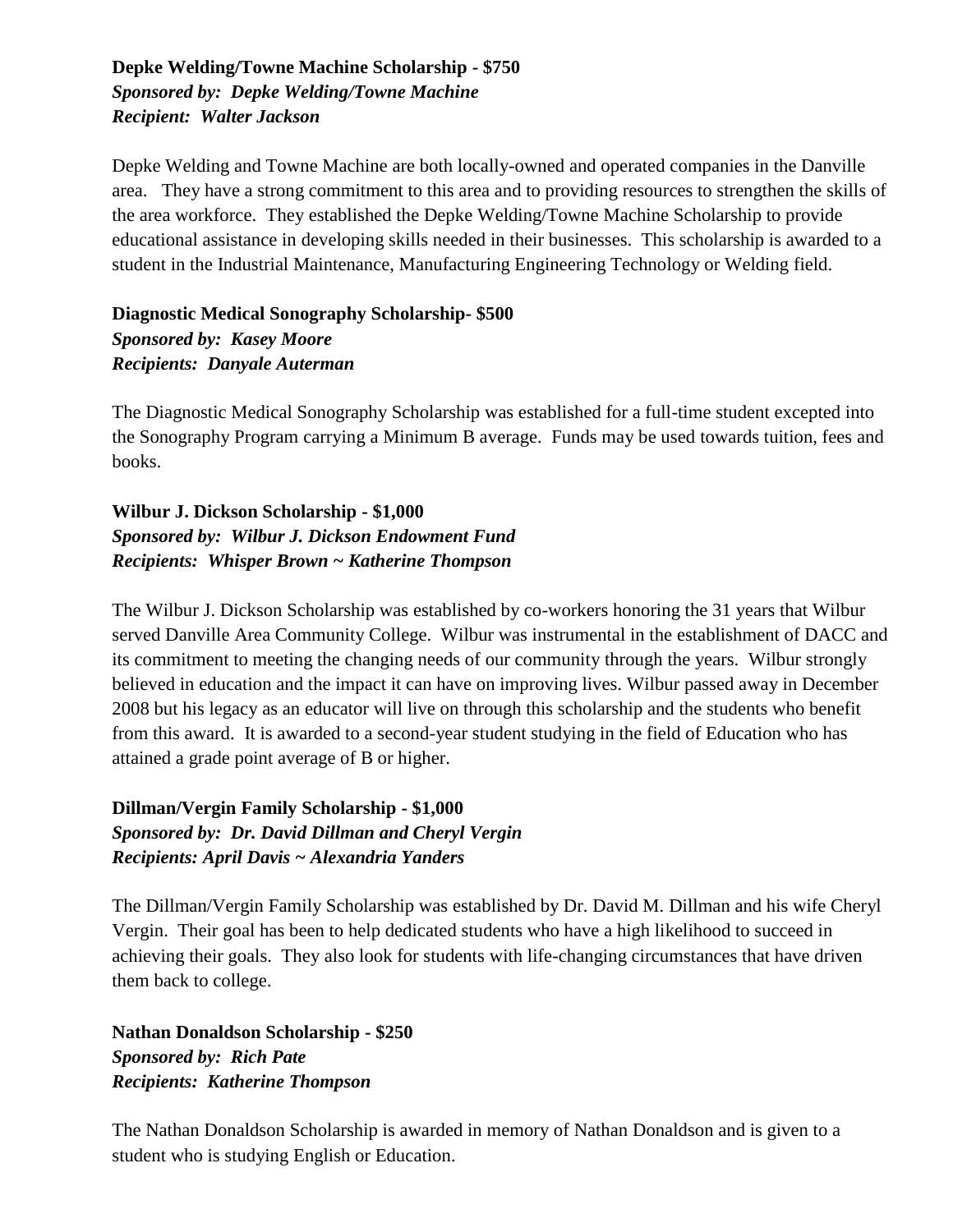#### **Depke Welding/Towne Machine Scholarship - \$750** *Sponsored by: Depke Welding/Towne Machine Recipient: Walter Jackson*

Depke Welding and Towne Machine are both locally-owned and operated companies in the Danville area. They have a strong commitment to this area and to providing resources to strengthen the skills of the area workforce. They established the Depke Welding/Towne Machine Scholarship to provide educational assistance in developing skills needed in their businesses. This scholarship is awarded to a student in the Industrial Maintenance, Manufacturing Engineering Technology or Welding field.

**Diagnostic Medical Sonography Scholarship- \$500** *Sponsored by: Kasey Moore Recipients: Danyale Auterman*

The Diagnostic Medical Sonography Scholarship was established for a full-time student excepted into the Sonography Program carrying a Minimum B average. Funds may be used towards tuition, fees and books.

**Wilbur J. Dickson Scholarship - \$1,000** *Sponsored by: Wilbur J. Dickson Endowment Fund Recipients: Whisper Brown ~ Katherine Thompson*

The Wilbur J. Dickson Scholarship was established by co-workers honoring the 31 years that Wilbur served Danville Area Community College. Wilbur was instrumental in the establishment of DACC and its commitment to meeting the changing needs of our community through the years. Wilbur strongly believed in education and the impact it can have on improving lives. Wilbur passed away in December 2008 but his legacy as an educator will live on through this scholarship and the students who benefit from this award. It is awarded to a second-year student studying in the field of Education who has attained a grade point average of B or higher.

**Dillman/Vergin Family Scholarship - \$1,000** *Sponsored by: Dr. David Dillman and Cheryl Vergin Recipients: April Davis ~ Alexandria Yanders*

The Dillman/Vergin Family Scholarship was established by Dr. David M. Dillman and his wife Cheryl Vergin. Their goal has been to help dedicated students who have a high likelihood to succeed in achieving their goals. They also look for students with life-changing circumstances that have driven them back to college.

**Nathan Donaldson Scholarship - \$250** *Sponsored by: Rich Pate Recipients: Katherine Thompson*

The Nathan Donaldson Scholarship is awarded in memory of Nathan Donaldson and is given to a student who is studying English or Education.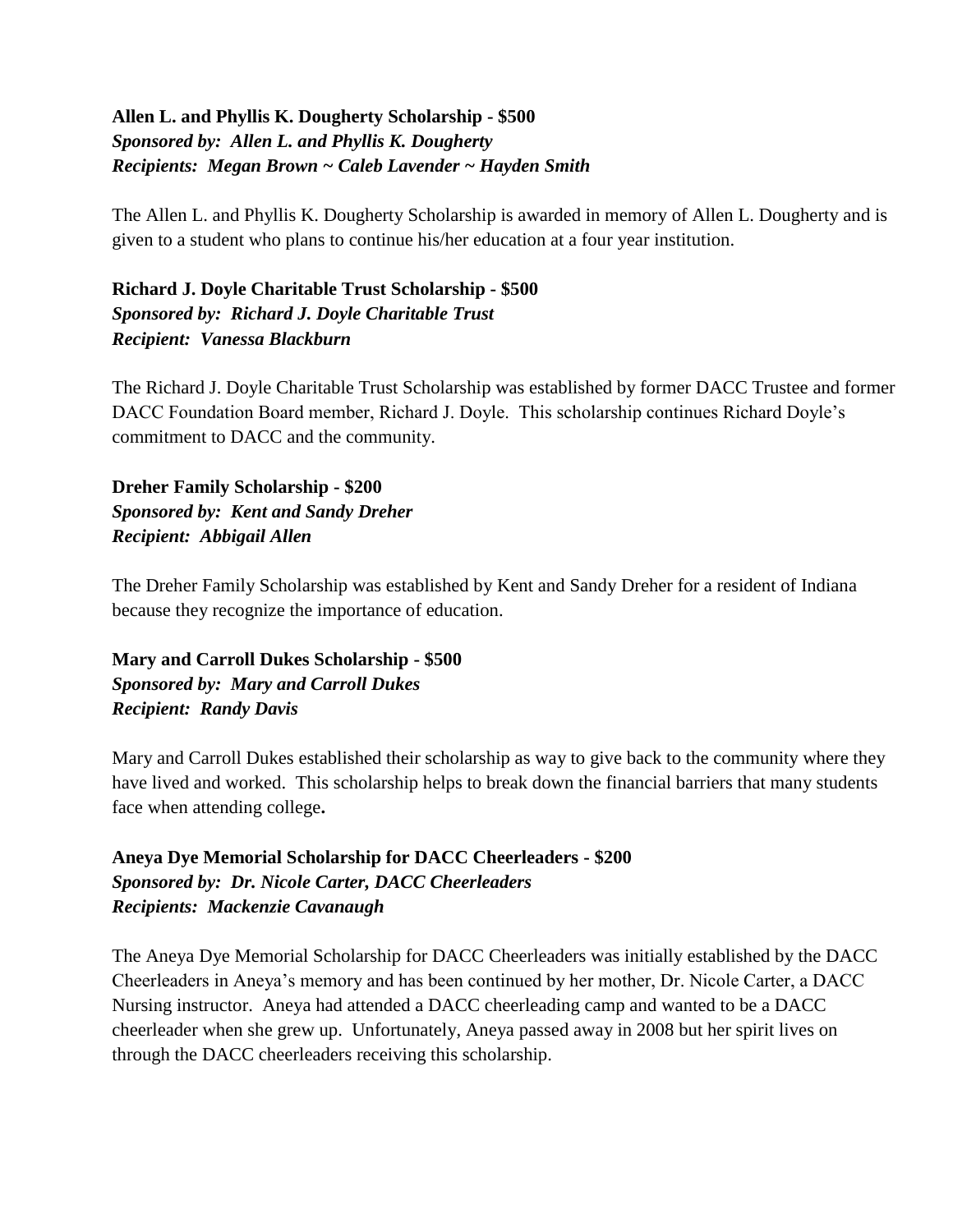#### **Allen L. and Phyllis K. Dougherty Scholarship - \$500** *Sponsored by: Allen L. and Phyllis K. Dougherty Recipients: Megan Brown ~ Caleb Lavender ~ Hayden Smith*

The Allen L. and Phyllis K. Dougherty Scholarship is awarded in memory of Allen L. Dougherty and is given to a student who plans to continue his/her education at a four year institution.

**Richard J. Doyle Charitable Trust Scholarship - \$500** *Sponsored by: Richard J. Doyle Charitable Trust Recipient: Vanessa Blackburn*

The Richard J. Doyle Charitable Trust Scholarship was established by former DACC Trustee and former DACC Foundation Board member, Richard J. Doyle. This scholarship continues Richard Doyle's commitment to DACC and the community.

**Dreher Family Scholarship - \$200** *Sponsored by: Kent and Sandy Dreher Recipient: Abbigail Allen*

The Dreher Family Scholarship was established by Kent and Sandy Dreher for a resident of Indiana because they recognize the importance of education.

**Mary and Carroll Dukes Scholarship - \$500** *Sponsored by: Mary and Carroll Dukes Recipient: Randy Davis*

Mary and Carroll Dukes established their scholarship as way to give back to the community where they have lived and worked. This scholarship helps to break down the financial barriers that many students face when attending college**.**

**Aneya Dye Memorial Scholarship for DACC Cheerleaders - \$200** *Sponsored by: Dr. Nicole Carter, DACC Cheerleaders Recipients: Mackenzie Cavanaugh*

The Aneya Dye Memorial Scholarship for DACC Cheerleaders was initially established by the DACC Cheerleaders in Aneya's memory and has been continued by her mother, Dr. Nicole Carter, a DACC Nursing instructor. Aneya had attended a DACC cheerleading camp and wanted to be a DACC cheerleader when she grew up. Unfortunately, Aneya passed away in 2008 but her spirit lives on through the DACC cheerleaders receiving this scholarship.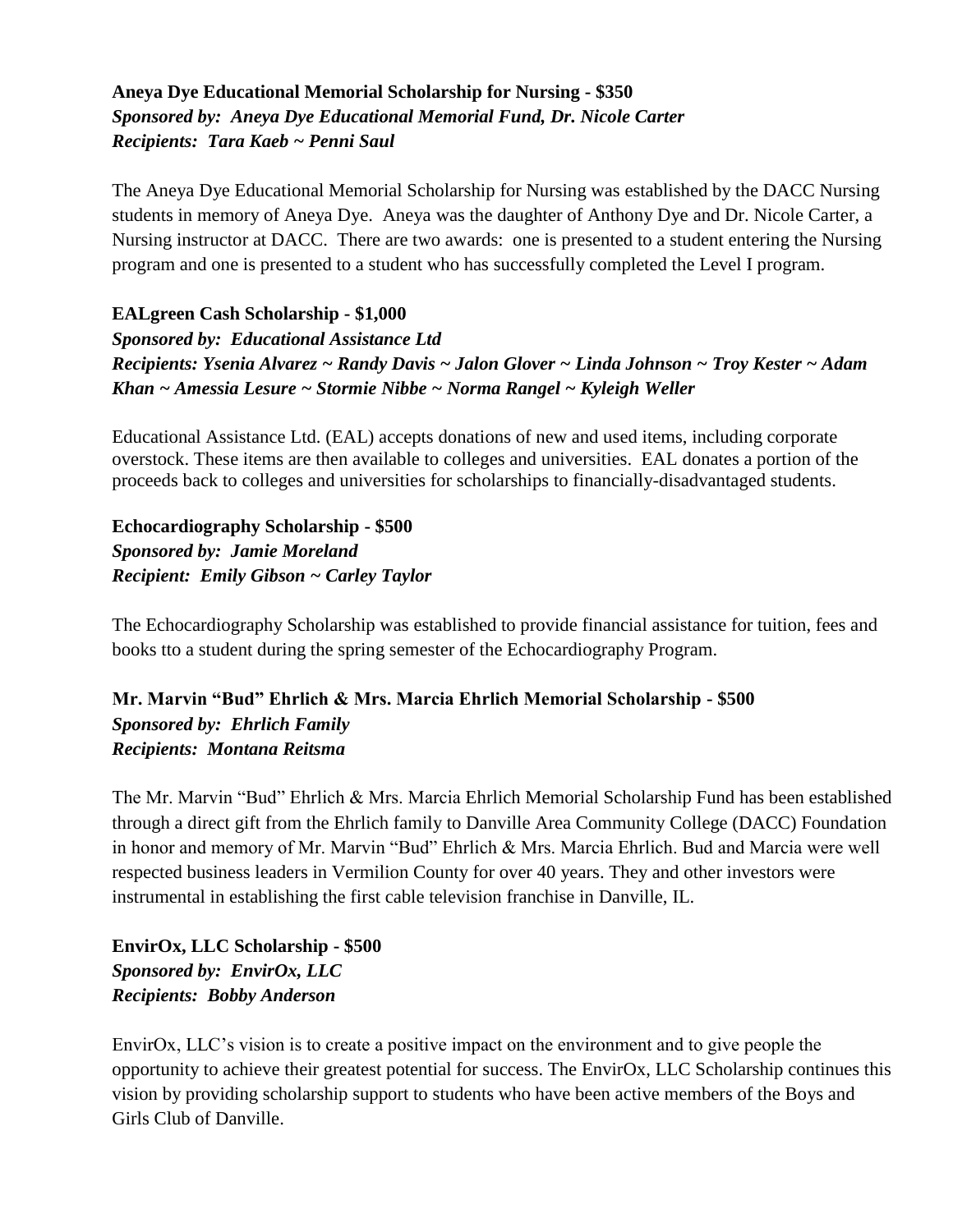#### **Aneya Dye Educational Memorial Scholarship for Nursing - \$350** *Sponsored by: Aneya Dye Educational Memorial Fund, Dr. Nicole Carter Recipients: Tara Kaeb ~ Penni Saul*

The Aneya Dye Educational Memorial Scholarship for Nursing was established by the DACC Nursing students in memory of Aneya Dye. Aneya was the daughter of Anthony Dye and Dr. Nicole Carter, a Nursing instructor at DACC. There are two awards: one is presented to a student entering the Nursing program and one is presented to a student who has successfully completed the Level I program.

#### **EALgreen Cash Scholarship - \$1,000**

*Sponsored by: Educational Assistance Ltd Recipients: Ysenia Alvarez ~ Randy Davis ~ Jalon Glover ~ Linda Johnson ~ Troy Kester ~ Adam Khan ~ Amessia Lesure ~ Stormie Nibbe ~ Norma Rangel ~ Kyleigh Weller*

Educational Assistance Ltd. (EAL) accepts donations of new and used items, including corporate overstock. These items are then available to colleges and universities. EAL donates a portion of the proceeds back to colleges and universities for scholarships to financially-disadvantaged students.

**Echocardiography Scholarship - \$500** *Sponsored by: Jamie Moreland Recipient: Emily Gibson ~ Carley Taylor*

The Echocardiography Scholarship was established to provide financial assistance for tuition, fees and books tto a student during the spring semester of the Echocardiography Program.

#### **Mr. Marvin "Bud" Ehrlich & Mrs. Marcia Ehrlich Memorial Scholarship - \$500** *Sponsored by: Ehrlich Family Recipients: Montana Reitsma*

The Mr. Marvin "Bud" Ehrlich & Mrs. Marcia Ehrlich Memorial Scholarship Fund has been established through a direct gift from the Ehrlich family to Danville Area Community College (DACC) Foundation in honor and memory of Mr. Marvin "Bud" Ehrlich & Mrs. Marcia Ehrlich. Bud and Marcia were well respected business leaders in Vermilion County for over 40 years. They and other investors were instrumental in establishing the first cable television franchise in Danville, IL.

**EnvirOx, LLC Scholarship - \$500** *Sponsored by: EnvirOx, LLC Recipients: Bobby Anderson*

EnvirOx, LLC's vision is to create a positive impact on the environment and to give people the opportunity to achieve their greatest potential for success. The EnvirOx, LLC Scholarship continues this vision by providing scholarship support to students who have been active members of the Boys and Girls Club of Danville.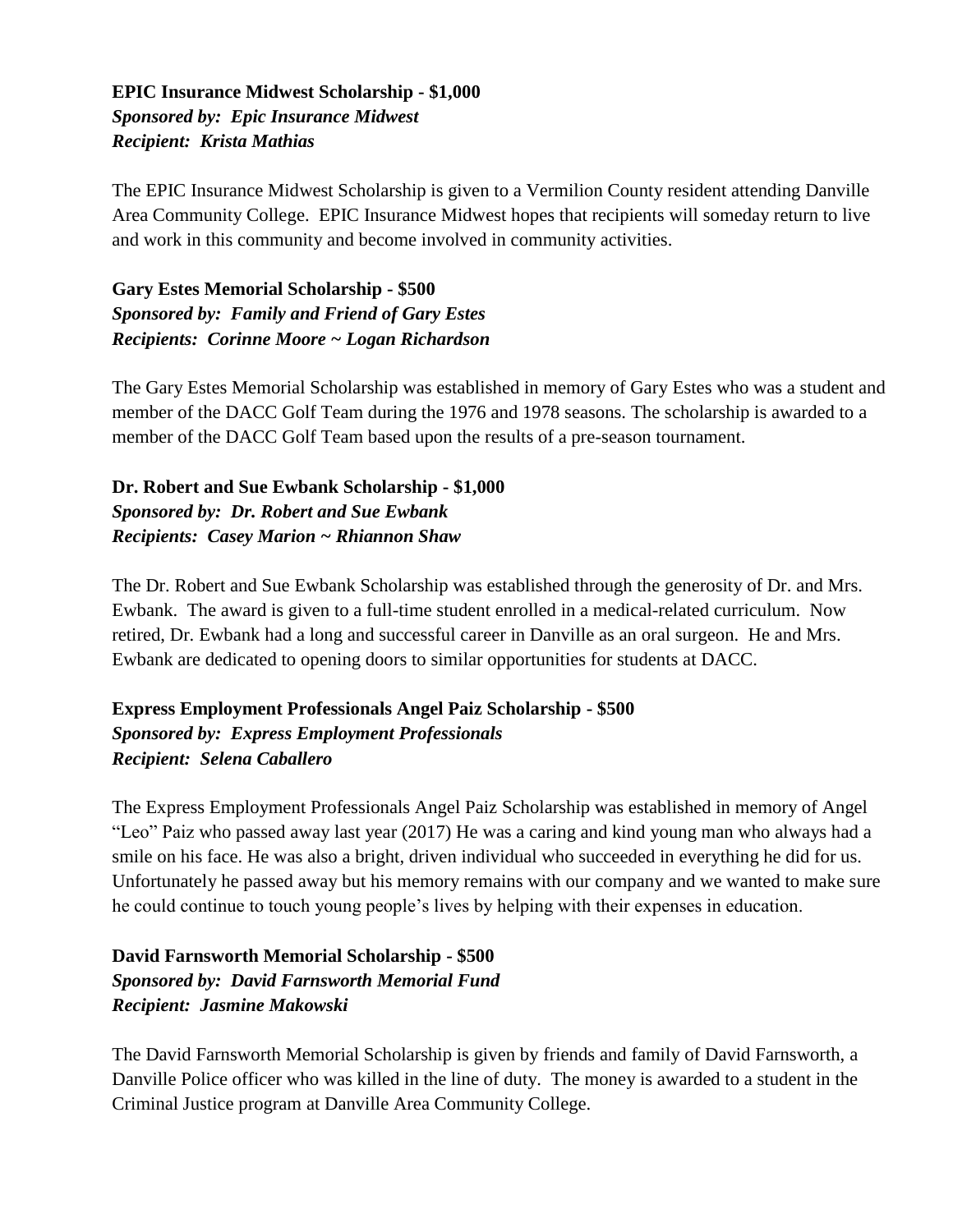#### **EPIC Insurance Midwest Scholarship - \$1,000** *Sponsored by: Epic Insurance Midwest Recipient: Krista Mathias*

The EPIC Insurance Midwest Scholarship is given to a Vermilion County resident attending Danville Area Community College. EPIC Insurance Midwest hopes that recipients will someday return to live and work in this community and become involved in community activities.

#### **Gary Estes Memorial Scholarship - \$500** *Sponsored by: Family and Friend of Gary Estes Recipients: Corinne Moore ~ Logan Richardson*

The Gary Estes Memorial Scholarship was established in memory of Gary Estes who was a student and member of the DACC Golf Team during the 1976 and 1978 seasons. The scholarship is awarded to a member of the DACC Golf Team based upon the results of a pre-season tournament.

**Dr. Robert and Sue Ewbank Scholarship - \$1,000** *Sponsored by: Dr. Robert and Sue Ewbank Recipients: Casey Marion ~ Rhiannon Shaw*

The Dr. Robert and Sue Ewbank Scholarship was established through the generosity of Dr. and Mrs. Ewbank. The award is given to a full-time student enrolled in a medical-related curriculum. Now retired, Dr. Ewbank had a long and successful career in Danville as an oral surgeon. He and Mrs. Ewbank are dedicated to opening doors to similar opportunities for students at DACC.

#### **Express Employment Professionals Angel Paiz Scholarship - \$500** *Sponsored by: Express Employment Professionals Recipient: Selena Caballero*

The Express Employment Professionals Angel Paiz Scholarship was established in memory of Angel "Leo" Paiz who passed away last year (2017) He was a caring and kind young man who always had a smile on his face. He was also a bright, driven individual who succeeded in everything he did for us. Unfortunately he passed away but his memory remains with our company and we wanted to make sure he could continue to touch young people's lives by helping with their expenses in education.

#### **David Farnsworth Memorial Scholarship - \$500** *Sponsored by: David Farnsworth Memorial Fund Recipient: Jasmine Makowski*

The David Farnsworth Memorial Scholarship is given by friends and family of David Farnsworth, a Danville Police officer who was killed in the line of duty. The money is awarded to a student in the Criminal Justice program at Danville Area Community College.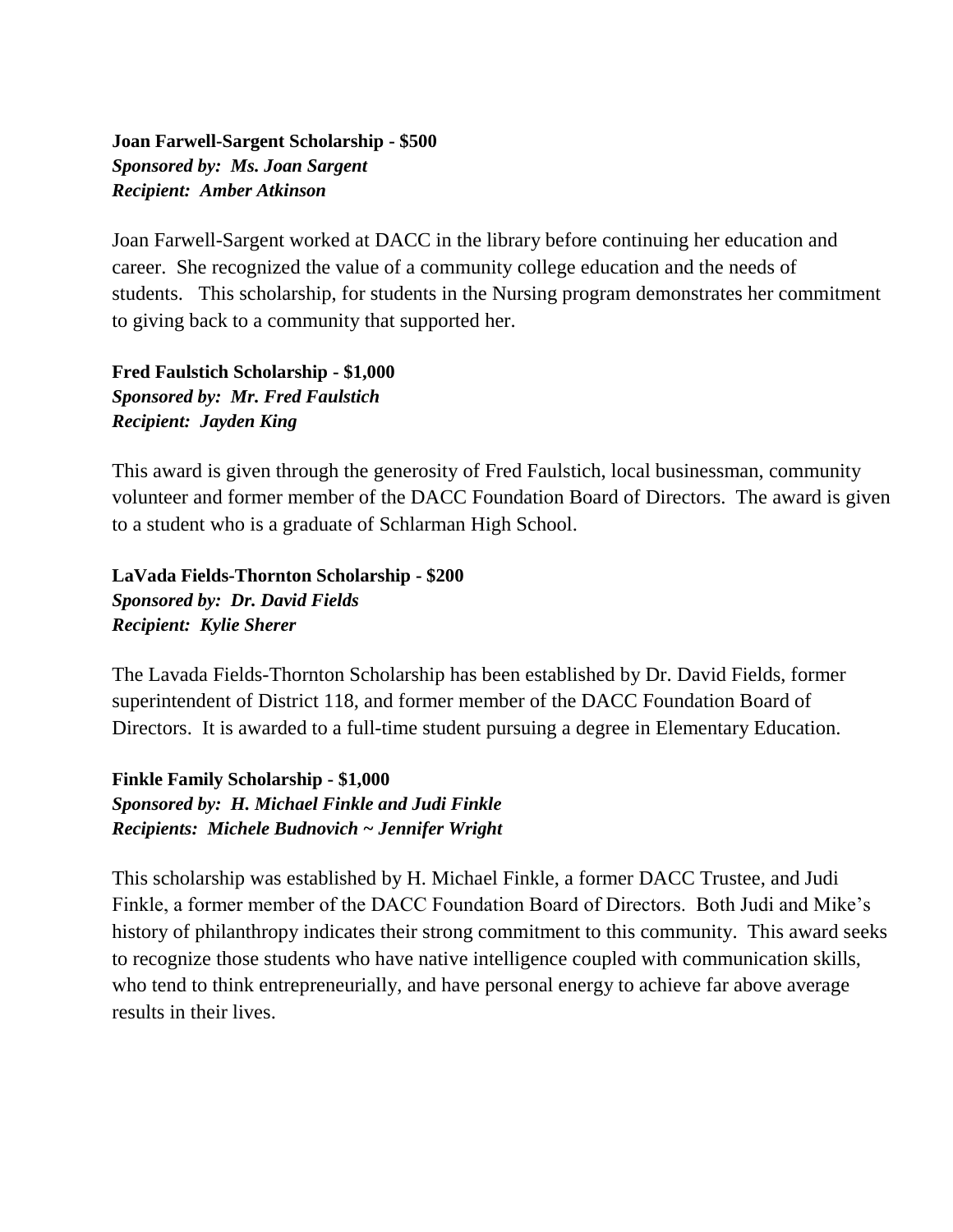#### **Joan Farwell-Sargent Scholarship - \$500** *Sponsored by: Ms. Joan Sargent Recipient: Amber Atkinson*

Joan Farwell-Sargent worked at DACC in the library before continuing her education and career. She recognized the value of a community college education and the needs of students. This scholarship, for students in the Nursing program demonstrates her commitment to giving back to a community that supported her.

**Fred Faulstich Scholarship - \$1,000** *Sponsored by: Mr. Fred Faulstich Recipient: Jayden King*

This award is given through the generosity of Fred Faulstich, local businessman, community volunteer and former member of the DACC Foundation Board of Directors. The award is given to a student who is a graduate of Schlarman High School.

**LaVada Fields-Thornton Scholarship - \$200** *Sponsored by: Dr. David Fields Recipient: Kylie Sherer*

The Lavada Fields-Thornton Scholarship has been established by Dr. David Fields, former superintendent of District 118, and former member of the DACC Foundation Board of Directors. It is awarded to a full-time student pursuing a degree in Elementary Education.

**Finkle Family Scholarship - \$1,000** *Sponsored by: H. Michael Finkle and Judi Finkle Recipients: Michele Budnovich ~ Jennifer Wright*

This scholarship was established by H. Michael Finkle, a former DACC Trustee, and Judi Finkle, a former member of the DACC Foundation Board of Directors. Both Judi and Mike's history of philanthropy indicates their strong commitment to this community. This award seeks to recognize those students who have native intelligence coupled with communication skills, who tend to think entrepreneurially, and have personal energy to achieve far above average results in their lives.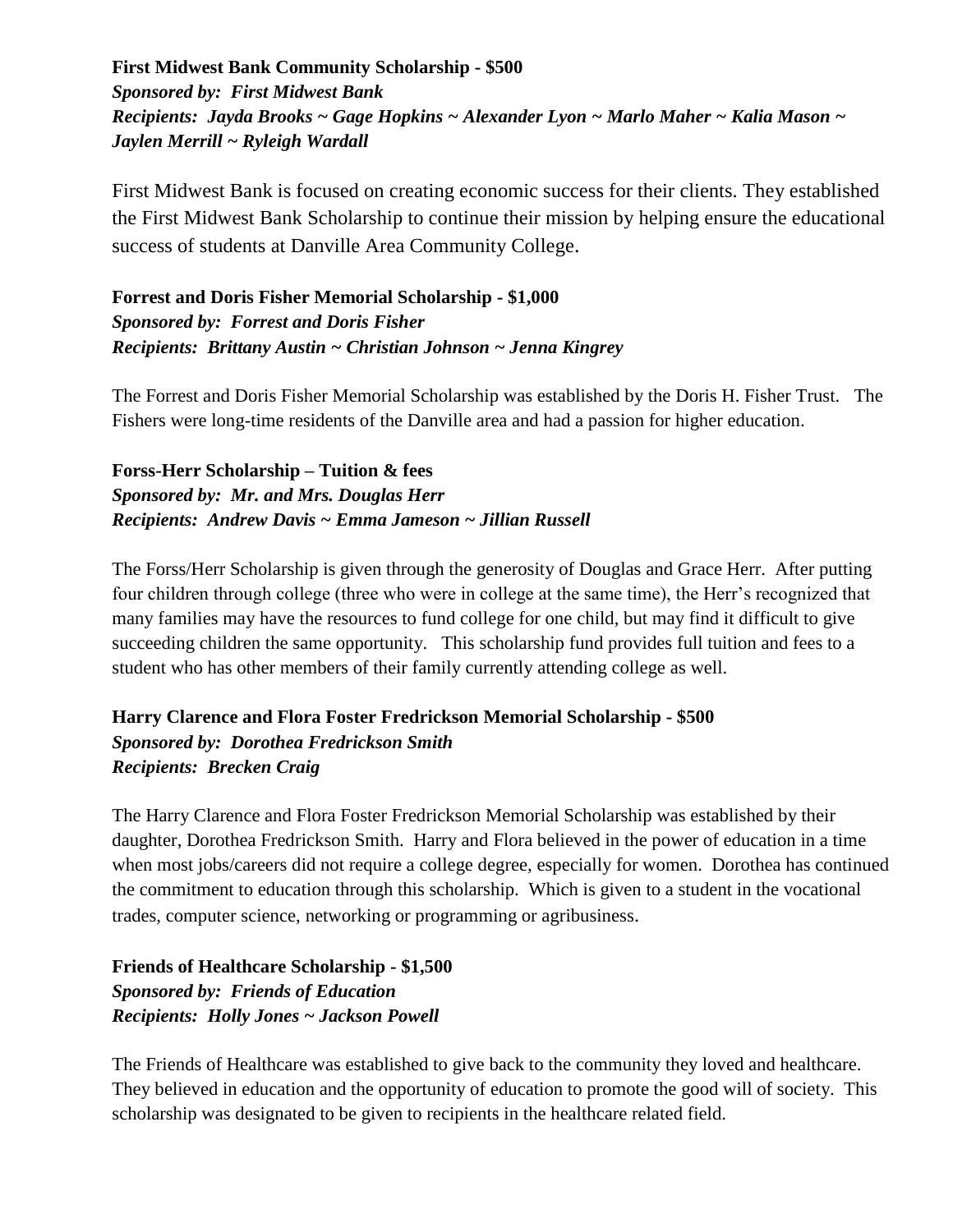**First Midwest Bank Community Scholarship - \$500** *Sponsored by: First Midwest Bank Recipients: Jayda Brooks ~ Gage Hopkins ~ Alexander Lyon ~ Marlo Maher ~ Kalia Mason ~ Jaylen Merrill ~ Ryleigh Wardall*

First Midwest Bank is focused on creating economic success for their clients. They established the First Midwest Bank Scholarship to continue their mission by helping ensure the educational success of students at Danville Area Community College.

**Forrest and Doris Fisher Memorial Scholarship - \$1,000** *Sponsored by: Forrest and Doris Fisher Recipients: Brittany Austin ~ Christian Johnson ~ Jenna Kingrey*

The Forrest and Doris Fisher Memorial Scholarship was established by the Doris H. Fisher Trust. The Fishers were long-time residents of the Danville area and had a passion for higher education.

**Forss-Herr Scholarship – Tuition & fees** *Sponsored by: Mr. and Mrs. Douglas Herr Recipients: Andrew Davis ~ Emma Jameson ~ Jillian Russell*

The Forss/Herr Scholarship is given through the generosity of Douglas and Grace Herr. After putting four children through college (three who were in college at the same time), the Herr's recognized that many families may have the resources to fund college for one child, but may find it difficult to give succeeding children the same opportunity. This scholarship fund provides full tuition and fees to a student who has other members of their family currently attending college as well.

#### **Harry Clarence and Flora Foster Fredrickson Memorial Scholarship - \$500** *Sponsored by: Dorothea Fredrickson Smith Recipients: Brecken Craig*

The Harry Clarence and Flora Foster Fredrickson Memorial Scholarship was established by their daughter, Dorothea Fredrickson Smith. Harry and Flora believed in the power of education in a time when most jobs/careers did not require a college degree, especially for women. Dorothea has continued the commitment to education through this scholarship. Which is given to a student in the vocational trades, computer science, networking or programming or agribusiness.

#### **Friends of Healthcare Scholarship - \$1,500** *Sponsored by: Friends of Education Recipients: Holly Jones ~ Jackson Powell*

The Friends of Healthcare was established to give back to the community they loved and healthcare. They believed in education and the opportunity of education to promote the good will of society. This scholarship was designated to be given to recipients in the healthcare related field.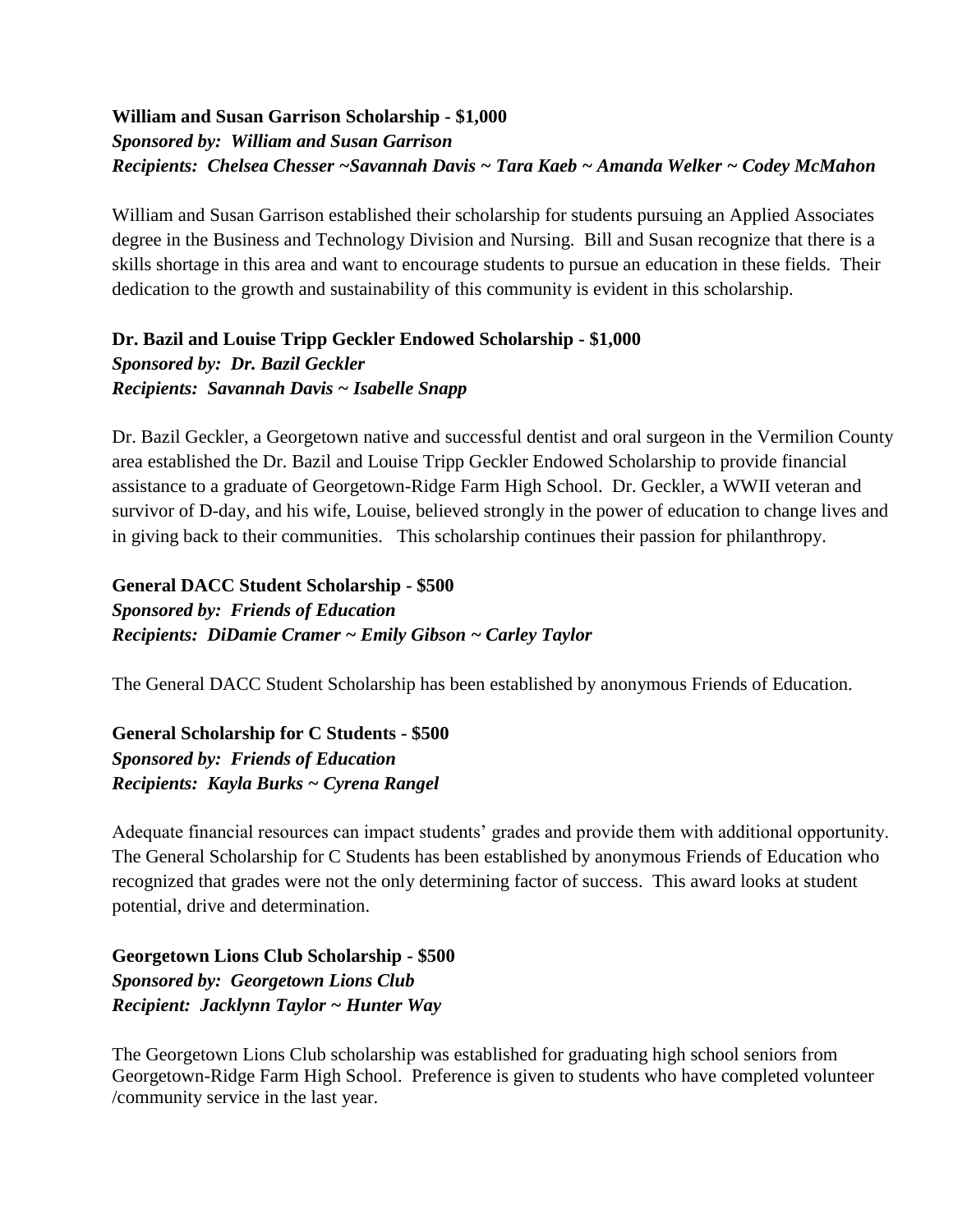#### **William and Susan Garrison Scholarship - \$1,000** *Sponsored by: William and Susan Garrison Recipients: Chelsea Chesser ~Savannah Davis ~ Tara Kaeb ~ Amanda Welker ~ Codey McMahon*

William and Susan Garrison established their scholarship for students pursuing an Applied Associates degree in the Business and Technology Division and Nursing. Bill and Susan recognize that there is a skills shortage in this area and want to encourage students to pursue an education in these fields. Their dedication to the growth and sustainability of this community is evident in this scholarship.

#### **Dr. Bazil and Louise Tripp Geckler Endowed Scholarship - \$1,000** *Sponsored by: Dr. Bazil Geckler Recipients: Savannah Davis ~ Isabelle Snapp*

Dr. Bazil Geckler, a Georgetown native and successful dentist and oral surgeon in the Vermilion County area established the Dr. Bazil and Louise Tripp Geckler Endowed Scholarship to provide financial assistance to a graduate of Georgetown-Ridge Farm High School. Dr. Geckler, a WWII veteran and survivor of D-day, and his wife, Louise, believed strongly in the power of education to change lives and in giving back to their communities. This scholarship continues their passion for philanthropy.

**General DACC Student Scholarship - \$500** *Sponsored by: Friends of Education Recipients: DiDamie Cramer ~ Emily Gibson ~ Carley Taylor* 

The General DACC Student Scholarship has been established by anonymous Friends of Education.

**General Scholarship for C Students - \$500** *Sponsored by: Friends of Education Recipients: Kayla Burks ~ Cyrena Rangel*

Adequate financial resources can impact students' grades and provide them with additional opportunity. The General Scholarship for C Students has been established by anonymous Friends of Education who recognized that grades were not the only determining factor of success. This award looks at student potential, drive and determination.

**Georgetown Lions Club Scholarship - \$500** *Sponsored by: Georgetown Lions Club Recipient: Jacklynn Taylor ~ Hunter Way*

The Georgetown Lions Club scholarship was established for graduating high school seniors from Georgetown-Ridge Farm High School. Preference is given to students who have completed volunteer /community service in the last year.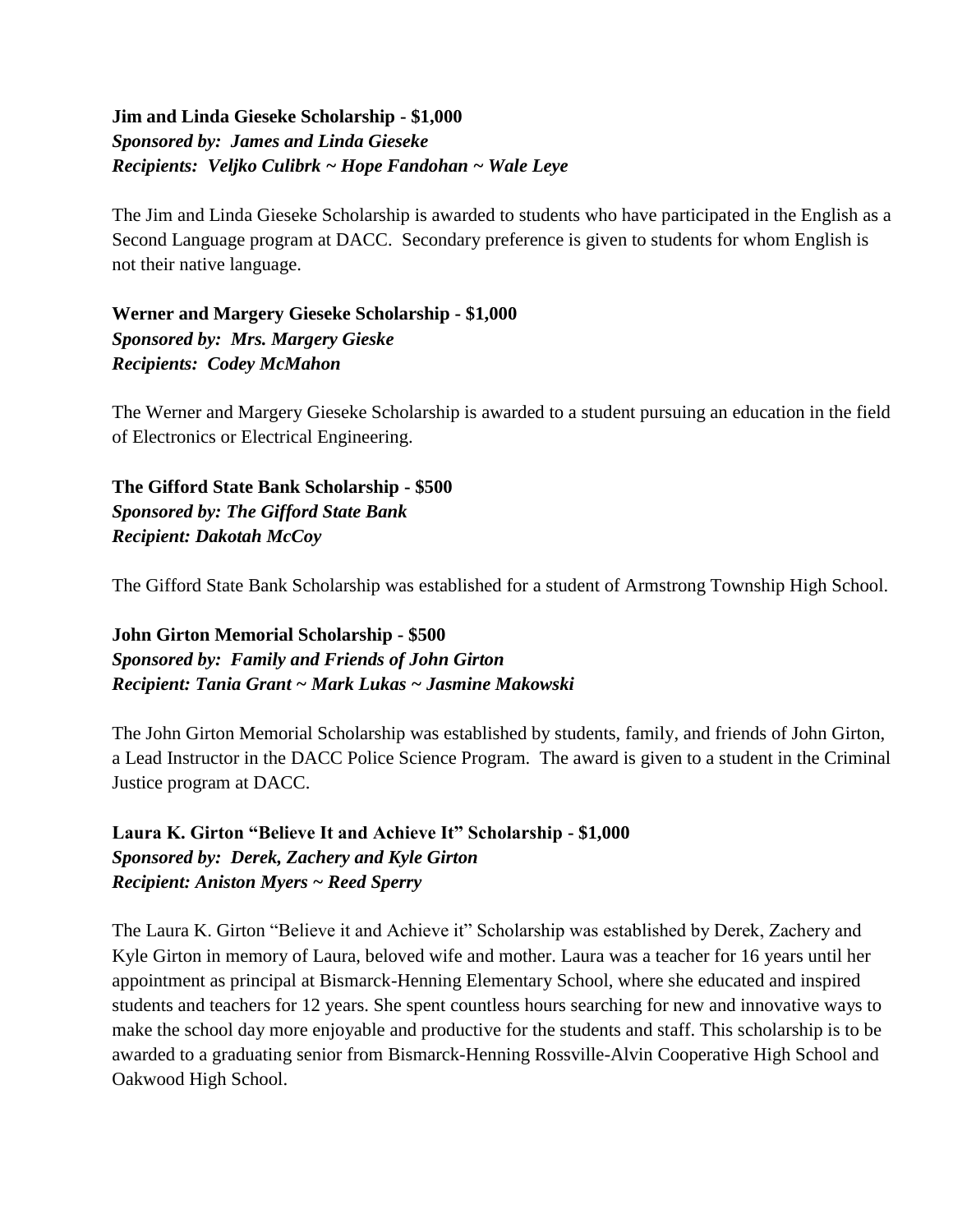#### **Jim and Linda Gieseke Scholarship - \$1,000** *Sponsored by: James and Linda Gieseke Recipients: Veljko Culibrk ~ Hope Fandohan ~ Wale Leye*

The Jim and Linda Gieseke Scholarship is awarded to students who have participated in the English as a Second Language program at DACC. Secondary preference is given to students for whom English is not their native language.

**Werner and Margery Gieseke Scholarship - \$1,000** *Sponsored by: Mrs. Margery Gieske Recipients: Codey McMahon*

The Werner and Margery Gieseke Scholarship is awarded to a student pursuing an education in the field of Electronics or Electrical Engineering.

**The Gifford State Bank Scholarship - \$500** *Sponsored by: The Gifford State Bank Recipient: Dakotah McCoy* 

The Gifford State Bank Scholarship was established for a student of Armstrong Township High School.

#### **John Girton Memorial Scholarship - \$500** *Sponsored by: Family and Friends of John Girton Recipient: Tania Grant ~ Mark Lukas ~ Jasmine Makowski*

The John Girton Memorial Scholarship was established by students, family, and friends of John Girton, a Lead Instructor in the DACC Police Science Program. The award is given to a student in the Criminal Justice program at DACC.

**Laura K. Girton "Believe It and Achieve It" Scholarship - \$1,000** *Sponsored by: Derek, Zachery and Kyle Girton Recipient: Aniston Myers ~ Reed Sperry*

The Laura K. Girton "Believe it and Achieve it" Scholarship was established by Derek, Zachery and Kyle Girton in memory of Laura, beloved wife and mother. Laura was a teacher for 16 years until her appointment as principal at Bismarck-Henning Elementary School, where she educated and inspired students and teachers for 12 years. She spent countless hours searching for new and innovative ways to make the school day more enjoyable and productive for the students and staff. This scholarship is to be awarded to a graduating senior from Bismarck-Henning Rossville-Alvin Cooperative High School and Oakwood High School.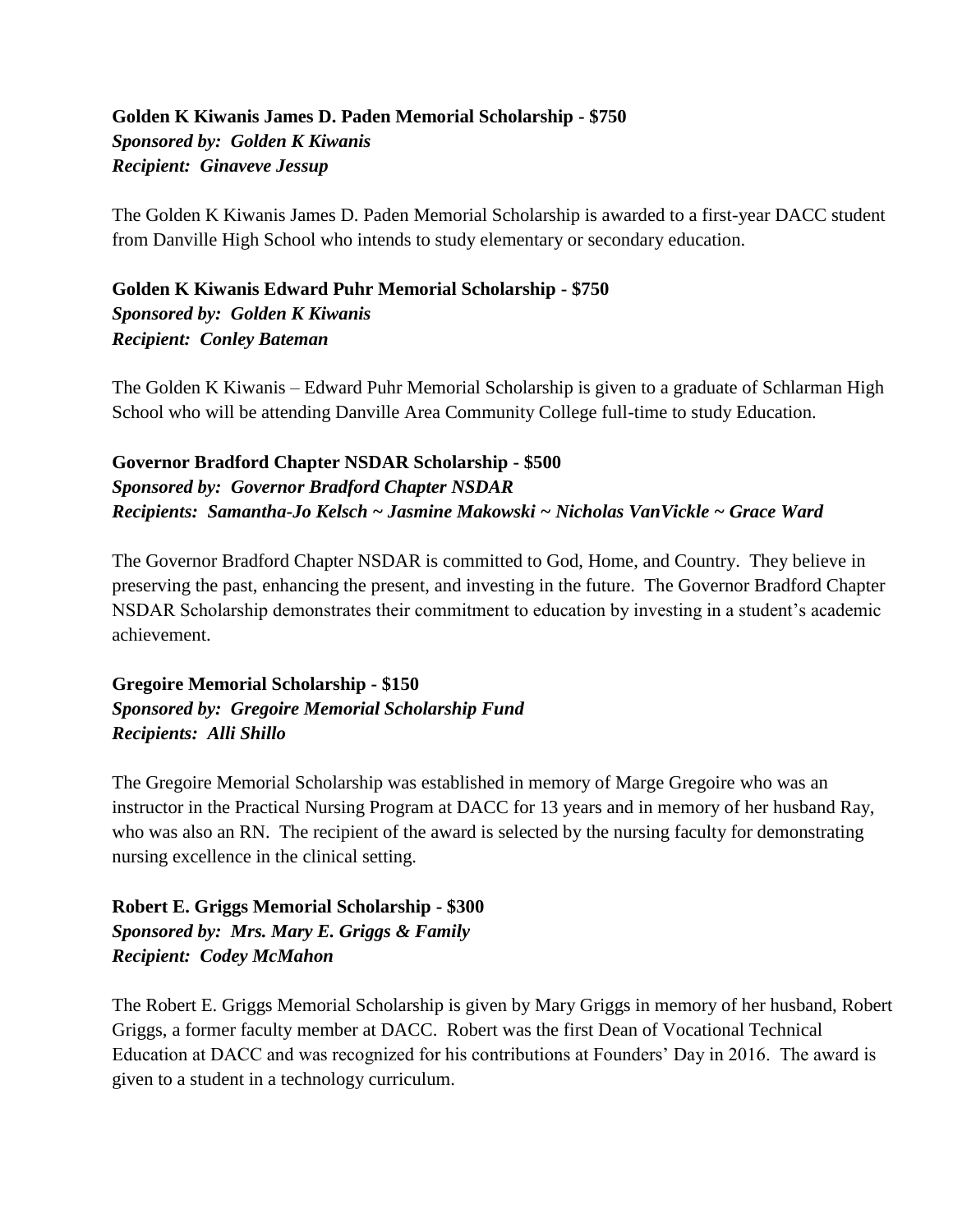#### **Golden K Kiwanis James D. Paden Memorial Scholarship - \$750** *Sponsored by: Golden K Kiwanis Recipient: Ginaveve Jessup*

The Golden K Kiwanis James D. Paden Memorial Scholarship is awarded to a first-year DACC student from Danville High School who intends to study elementary or secondary education.

**Golden K Kiwanis Edward Puhr Memorial Scholarship - \$750** *Sponsored by: Golden K Kiwanis Recipient: Conley Bateman*

The Golden K Kiwanis – Edward Puhr Memorial Scholarship is given to a graduate of Schlarman High School who will be attending Danville Area Community College full-time to study Education.

#### **Governor Bradford Chapter NSDAR Scholarship - \$500** *Sponsored by: Governor Bradford Chapter NSDAR Recipients: Samantha-Jo Kelsch ~ Jasmine Makowski ~ Nicholas VanVickle ~ Grace Ward*

The Governor Bradford Chapter NSDAR is committed to God, Home, and Country. They believe in preserving the past, enhancing the present, and investing in the future. The Governor Bradford Chapter NSDAR Scholarship demonstrates their commitment to education by investing in a student's academic achievement.

#### **Gregoire Memorial Scholarship - \$150** *Sponsored by: Gregoire Memorial Scholarship Fund Recipients: Alli Shillo*

The Gregoire Memorial Scholarship was established in memory of Marge Gregoire who was an instructor in the Practical Nursing Program at DACC for 13 years and in memory of her husband Ray, who was also an RN. The recipient of the award is selected by the nursing faculty for demonstrating nursing excellence in the clinical setting.

**Robert E. Griggs Memorial Scholarship - \$300** *Sponsored by: Mrs. Mary E. Griggs & Family Recipient: Codey McMahon*

The Robert E. Griggs Memorial Scholarship is given by Mary Griggs in memory of her husband, Robert Griggs, a former faculty member at DACC. Robert was the first Dean of Vocational Technical Education at DACC and was recognized for his contributions at Founders' Day in 2016. The award is given to a student in a technology curriculum.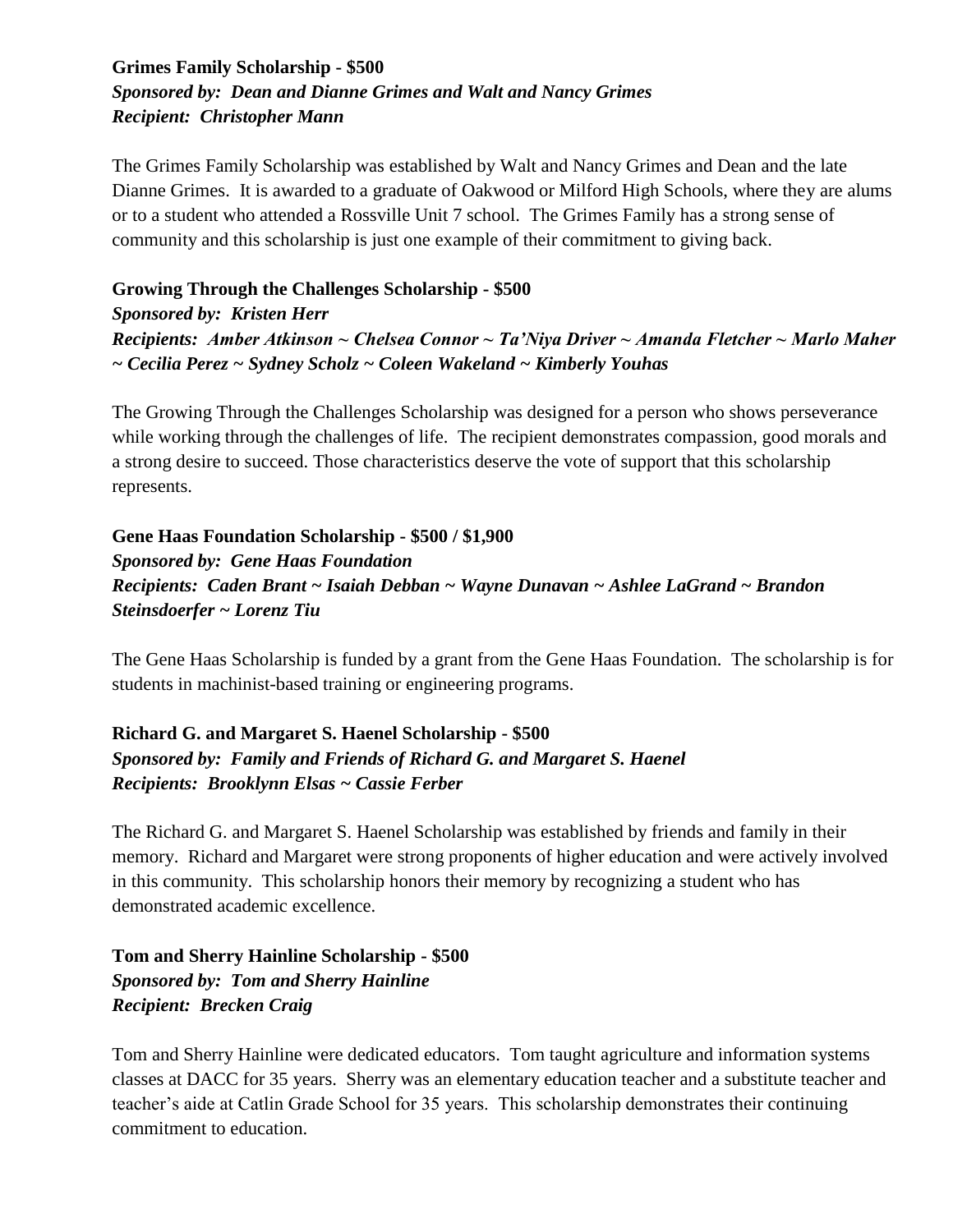#### **Grimes Family Scholarship - \$500** *Sponsored by: Dean and Dianne Grimes and Walt and Nancy Grimes Recipient: Christopher Mann*

The Grimes Family Scholarship was established by Walt and Nancy Grimes and Dean and the late Dianne Grimes. It is awarded to a graduate of Oakwood or Milford High Schools, where they are alums or to a student who attended a Rossville Unit 7 school. The Grimes Family has a strong sense of community and this scholarship is just one example of their commitment to giving back.

#### **Growing Through the Challenges Scholarship - \$500**

#### *Sponsored by: Kristen Herr*

*Recipients: Amber Atkinson ~ Chelsea Connor ~ Ta'Niya Driver ~ Amanda Fletcher ~ Marlo Maher ~ Cecilia Perez ~ Sydney Scholz ~ Coleen Wakeland ~ Kimberly Youhas*

The Growing Through the Challenges Scholarship was designed for a person who shows perseverance while working through the challenges of life. The recipient demonstrates compassion, good morals and a strong desire to succeed. Those characteristics deserve the vote of support that this scholarship represents.

#### **Gene Haas Foundation Scholarship - \$500 / \$1,900** *Sponsored by: Gene Haas Foundation Recipients: Caden Brant ~ Isaiah Debban ~ Wayne Dunavan ~ Ashlee LaGrand ~ Brandon Steinsdoerfer ~ Lorenz Tiu*

The Gene Haas Scholarship is funded by a grant from the Gene Haas Foundation. The scholarship is for students in machinist-based training or engineering programs.

**Richard G. and Margaret S. Haenel Scholarship - \$500** *Sponsored by: Family and Friends of Richard G. and Margaret S. Haenel Recipients: Brooklynn Elsas ~ Cassie Ferber*

The Richard G. and Margaret S. Haenel Scholarship was established by friends and family in their memory. Richard and Margaret were strong proponents of higher education and were actively involved in this community. This scholarship honors their memory by recognizing a student who has demonstrated academic excellence.

**Tom and Sherry Hainline Scholarship - \$500** *Sponsored by: Tom and Sherry Hainline Recipient: Brecken Craig*

Tom and Sherry Hainline were dedicated educators. Tom taught agriculture and information systems classes at DACC for 35 years. Sherry was an elementary education teacher and a substitute teacher and teacher's aide at Catlin Grade School for 35 years. This scholarship demonstrates their continuing commitment to education.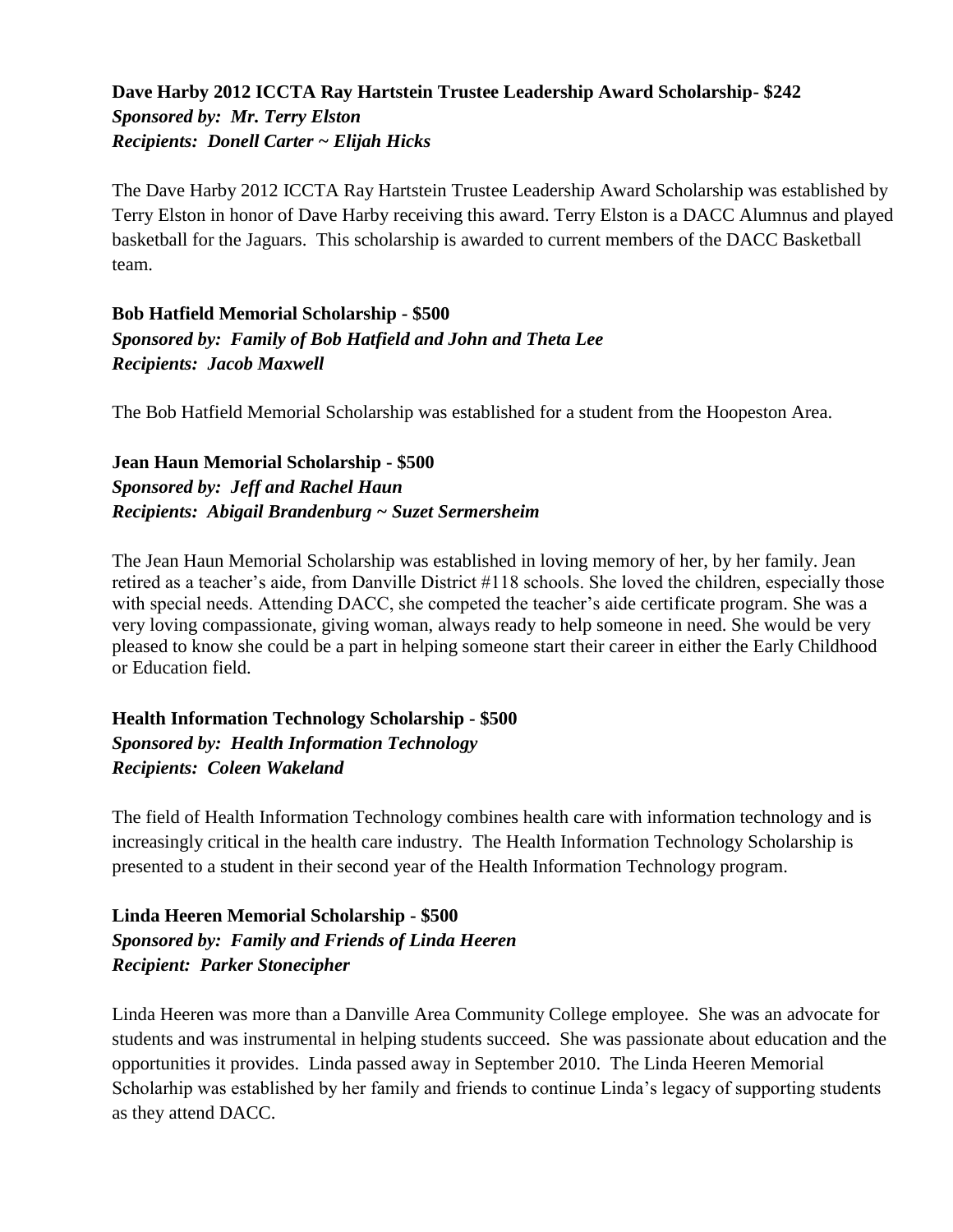#### **Dave Harby 2012 ICCTA Ray Hartstein Trustee Leadership Award Scholarship- \$242** *Sponsored by: Mr. Terry Elston Recipients: Donell Carter ~ Elijah Hicks*

The Dave Harby 2012 ICCTA Ray Hartstein Trustee Leadership Award Scholarship was established by Terry Elston in honor of Dave Harby receiving this award. Terry Elston is a DACC Alumnus and played basketball for the Jaguars. This scholarship is awarded to current members of the DACC Basketball team.

#### **Bob Hatfield Memorial Scholarship - \$500** *Sponsored by: Family of Bob Hatfield and John and Theta Lee Recipients: Jacob Maxwell*

The Bob Hatfield Memorial Scholarship was established for a student from the Hoopeston Area.

#### **Jean Haun Memorial Scholarship - \$500** *Sponsored by: Jeff and Rachel Haun Recipients: Abigail Brandenburg ~ Suzet Sermersheim*

The Jean Haun Memorial Scholarship was established in loving memory of her, by her family. Jean retired as a teacher's aide, from Danville District #118 schools. She loved the children, especially those with special needs. Attending DACC, she competed the teacher's aide certificate program. She was a very loving compassionate, giving woman, always ready to help someone in need. She would be very pleased to know she could be a part in helping someone start their career in either the Early Childhood or Education field.

#### **Health Information Technology Scholarship - \$500** *Sponsored by: Health Information Technology Recipients: Coleen Wakeland*

The field of Health Information Technology combines health care with information technology and is increasingly critical in the health care industry. The Health Information Technology Scholarship is presented to a student in their second year of the Health Information Technology program.

#### **Linda Heeren Memorial Scholarship - \$500** *Sponsored by: Family and Friends of Linda Heeren Recipient: Parker Stonecipher*

Linda Heeren was more than a Danville Area Community College employee. She was an advocate for students and was instrumental in helping students succeed. She was passionate about education and the opportunities it provides. Linda passed away in September 2010. The Linda Heeren Memorial Scholarhip was established by her family and friends to continue Linda's legacy of supporting students as they attend DACC.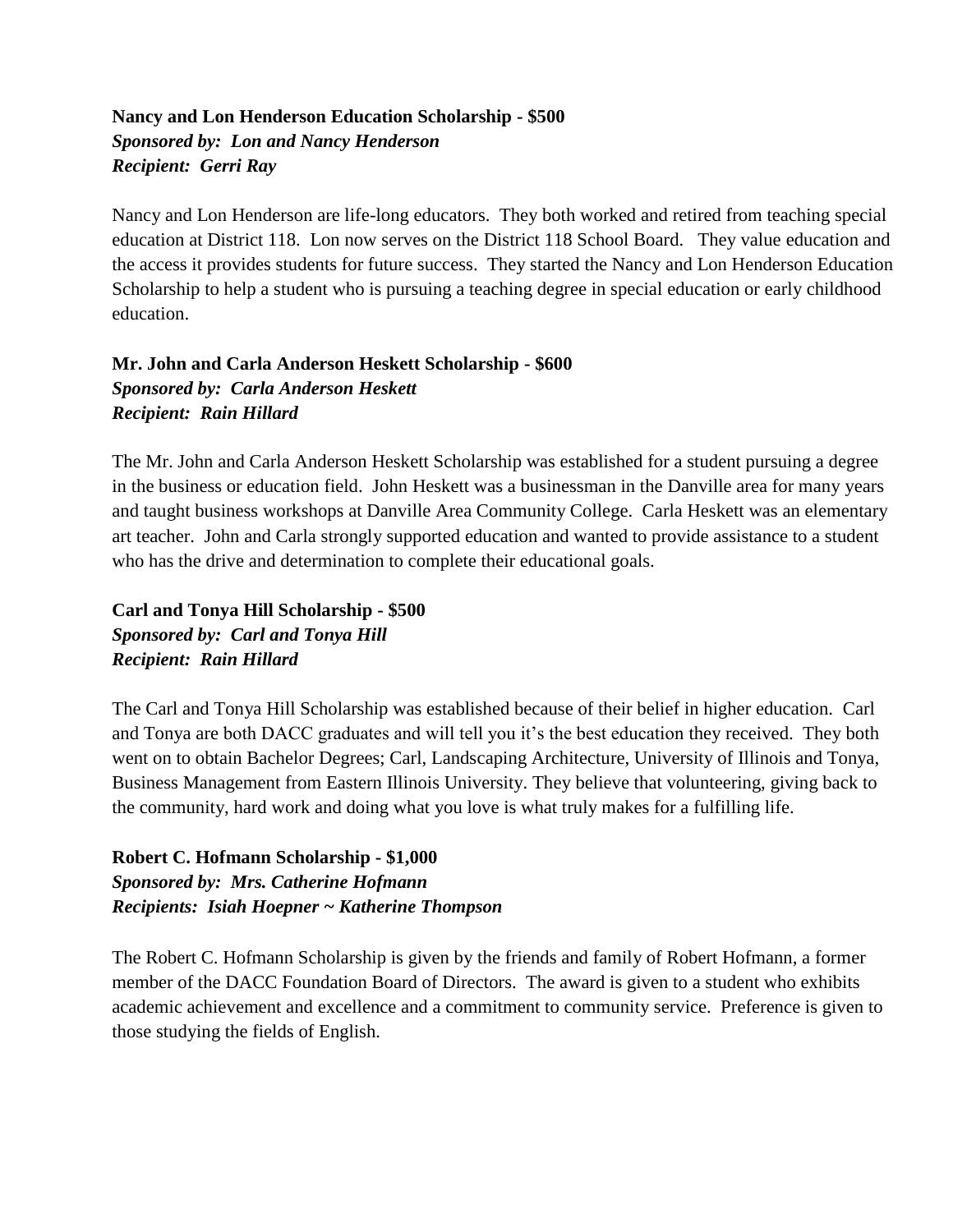#### **Nancy and Lon Henderson Education Scholarship - \$500** *Sponsored by: Lon and Nancy Henderson Recipient: Gerri Ray*

Nancy and Lon Henderson are life-long educators. They both worked and retired from teaching special education at District 118. Lon now serves on the District 118 School Board. They value education and the access it provides students for future success. They started the Nancy and Lon Henderson Education Scholarship to help a student who is pursuing a teaching degree in special education or early childhood education.

#### **Mr. John and Carla Anderson Heskett Scholarship - \$600** *Sponsored by: Carla Anderson Heskett Recipient: Rain Hillard*

The Mr. John and Carla Anderson Heskett Scholarship was established for a student pursuing a degree in the business or education field. John Heskett was a businessman in the Danville area for many years and taught business workshops at Danville Area Community College. Carla Heskett was an elementary art teacher. John and Carla strongly supported education and wanted to provide assistance to a student who has the drive and determination to complete their educational goals.

**Carl and Tonya Hill Scholarship - \$500** *Sponsored by: Carl and Tonya Hill Recipient: Rain Hillard*

The Carl and Tonya Hill Scholarship was established because of their belief in higher education. Carl and Tonya are both DACC graduates and will tell you it's the best education they received. They both went on to obtain Bachelor Degrees; Carl, Landscaping Architecture, University of Illinois and Tonya, Business Management from Eastern Illinois University. They believe that volunteering, giving back to the community, hard work and doing what you love is what truly makes for a fulfilling life.

**Robert C. Hofmann Scholarship - \$1,000** *Sponsored by: Mrs. Catherine Hofmann Recipients: Isiah Hoepner ~ Katherine Thompson*

The Robert C. Hofmann Scholarship is given by the friends and family of Robert Hofmann, a former member of the DACC Foundation Board of Directors. The award is given to a student who exhibits academic achievement and excellence and a commitment to community service. Preference is given to those studying the fields of English.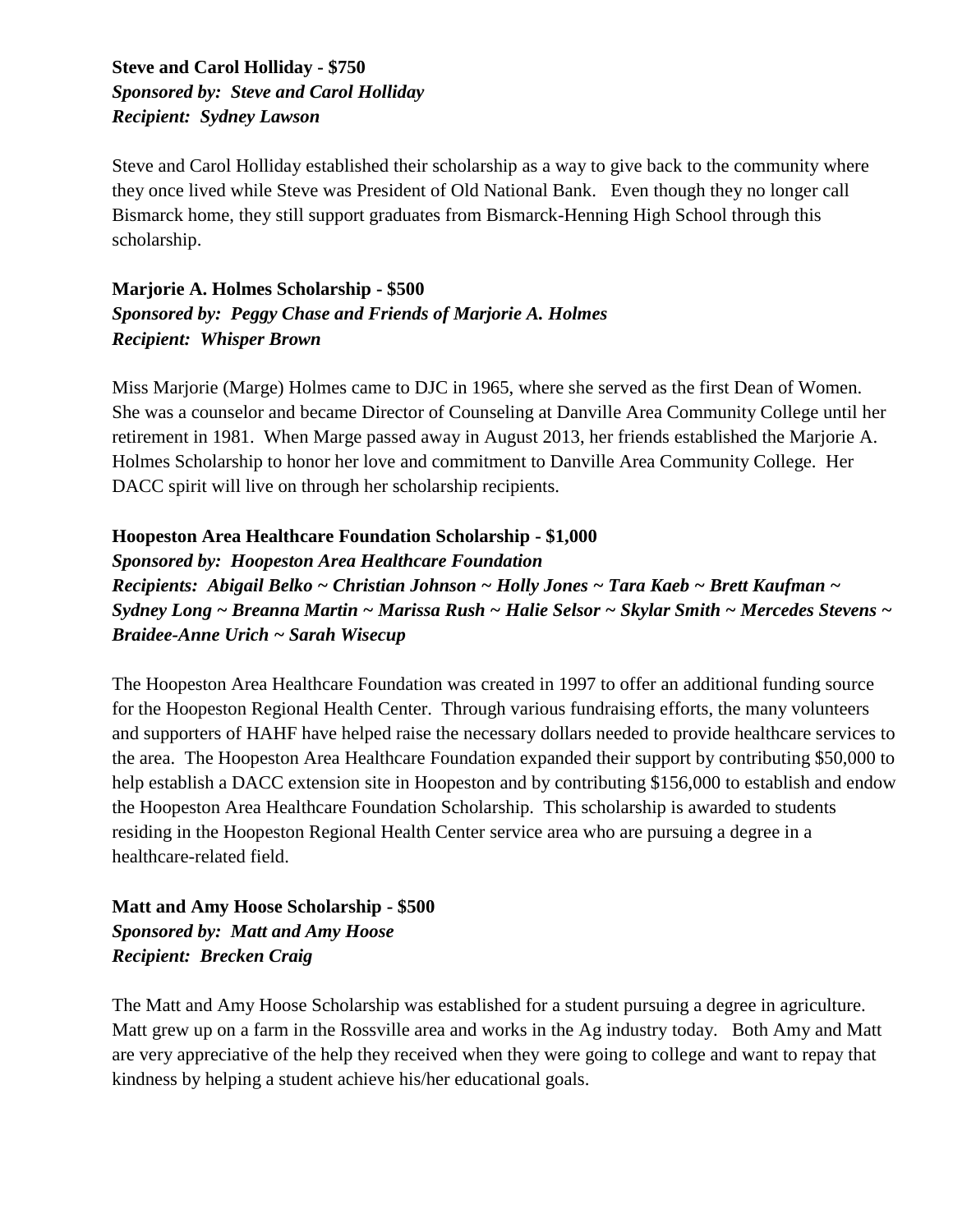#### **Steve and Carol Holliday - \$750** *Sponsored by: Steve and Carol Holliday Recipient: Sydney Lawson*

Steve and Carol Holliday established their scholarship as a way to give back to the community where they once lived while Steve was President of Old National Bank. Even though they no longer call Bismarck home, they still support graduates from Bismarck-Henning High School through this scholarship.

#### **Marjorie A. Holmes Scholarship - \$500** *Sponsored by: Peggy Chase and Friends of Marjorie A. Holmes Recipient: Whisper Brown*

Miss Marjorie (Marge) Holmes came to DJC in 1965, where she served as the first Dean of Women. She was a counselor and became Director of Counseling at Danville Area Community College until her retirement in 1981. When Marge passed away in August 2013, her friends established the Marjorie A. Holmes Scholarship to honor her love and commitment to Danville Area Community College. Her DACC spirit will live on through her scholarship recipients.

#### **Hoopeston Area Healthcare Foundation Scholarship - \$1,000**

*Sponsored by: Hoopeston Area Healthcare Foundation Recipients: Abigail Belko ~ Christian Johnson ~ Holly Jones ~ Tara Kaeb ~ Brett Kaufman ~ Sydney Long ~ Breanna Martin ~ Marissa Rush ~ Halie Selsor ~ Skylar Smith ~ Mercedes Stevens ~ Braidee-Anne Urich ~ Sarah Wisecup*

The Hoopeston Area Healthcare Foundation was created in 1997 to offer an additional funding source for the Hoopeston Regional Health Center. Through various fundraising efforts, the many volunteers and supporters of HAHF have helped raise the necessary dollars needed to provide healthcare services to the area. The Hoopeston Area Healthcare Foundation expanded their support by contributing \$50,000 to help establish a DACC extension site in Hoopeston and by contributing \$156,000 to establish and endow the Hoopeston Area Healthcare Foundation Scholarship. This scholarship is awarded to students residing in the Hoopeston Regional Health Center service area who are pursuing a degree in a healthcare-related field.

**Matt and Amy Hoose Scholarship - \$500** *Sponsored by: Matt and Amy Hoose Recipient: Brecken Craig*

The Matt and Amy Hoose Scholarship was established for a student pursuing a degree in agriculture. Matt grew up on a farm in the Rossville area and works in the Ag industry today. Both Amy and Matt are very appreciative of the help they received when they were going to college and want to repay that kindness by helping a student achieve his/her educational goals.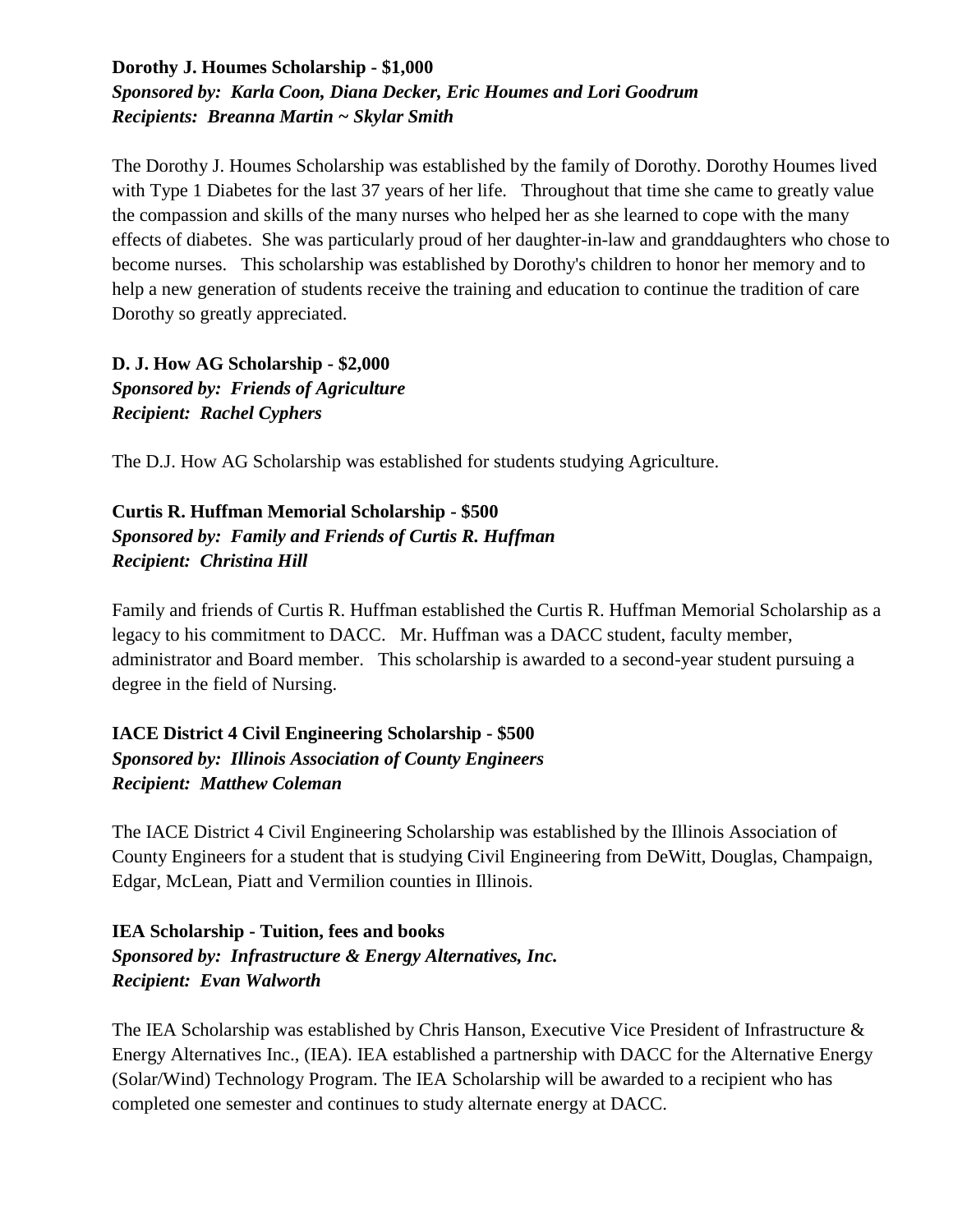#### **Dorothy J. Houmes Scholarship - \$1,000**  *Sponsored by: Karla Coon, Diana Decker, Eric Houmes and Lori Goodrum Recipients: Breanna Martin ~ Skylar Smith*

The Dorothy J. Houmes Scholarship was established by the family of Dorothy. Dorothy Houmes lived with Type 1 Diabetes for the last 37 years of her life. Throughout that time she came to greatly value the compassion and skills of the many nurses who helped her as she learned to cope with the many effects of diabetes. She was particularly proud of her daughter-in-law and granddaughters who chose to become nurses. This scholarship was established by Dorothy's children to honor her memory and to help a new generation of students receive the training and education to continue the tradition of care Dorothy so greatly appreciated.

**D. J. How AG Scholarship - \$2,000**  *Sponsored by: Friends of Agriculture Recipient: Rachel Cyphers*

The D.J. How AG Scholarship was established for students studying Agriculture.

#### **Curtis R. Huffman Memorial Scholarship - \$500**  *Sponsored by: Family and Friends of Curtis R. Huffman Recipient: Christina Hill*

Family and friends of Curtis R. Huffman established the Curtis R. Huffman Memorial Scholarship as a legacy to his commitment to DACC. Mr. Huffman was a DACC student, faculty member, administrator and Board member. This scholarship is awarded to a second-year student pursuing a degree in the field of Nursing.

#### **IACE District 4 Civil Engineering Scholarship - \$500**  *Sponsored by: Illinois Association of County Engineers Recipient: Matthew Coleman*

The IACE District 4 Civil Engineering Scholarship was established by the Illinois Association of County Engineers for a student that is studying Civil Engineering from DeWitt, Douglas, Champaign, Edgar, McLean, Piatt and Vermilion counties in Illinois.

#### **IEA Scholarship - Tuition, fees and books** *Sponsored by: Infrastructure & Energy Alternatives, Inc. Recipient: Evan Walworth*

The IEA Scholarship was established by Chris Hanson, Executive Vice President of Infrastructure & Energy Alternatives Inc., (IEA). IEA established a partnership with DACC for the Alternative Energy (Solar/Wind) Technology Program. The IEA Scholarship will be awarded to a recipient who has completed one semester and continues to study alternate energy at DACC.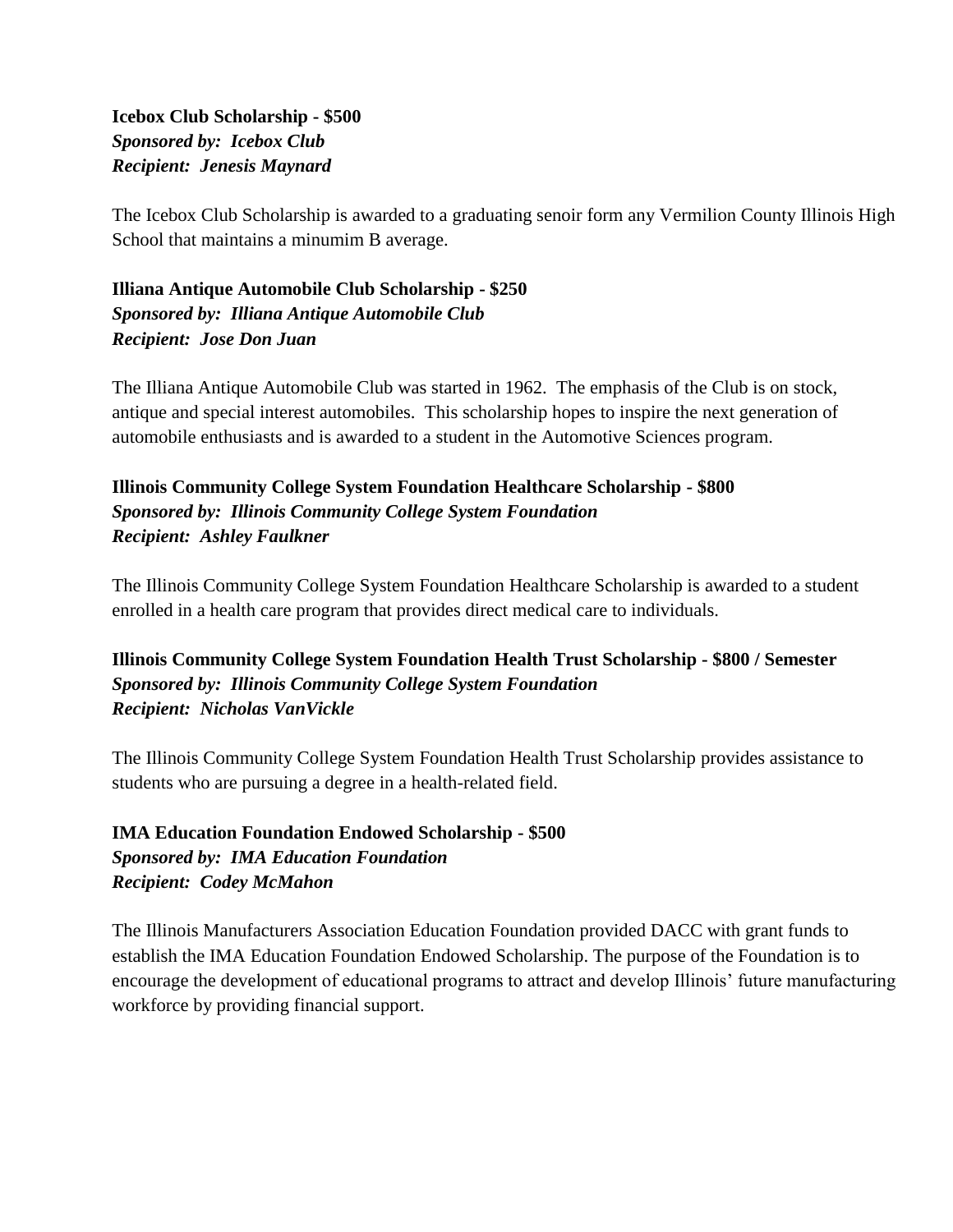**Icebox Club Scholarship - \$500** *Sponsored by: Icebox Club Recipient: Jenesis Maynard*

The Icebox Club Scholarship is awarded to a graduating senoir form any Vermilion County Illinois High School that maintains a minumim B average.

**Illiana Antique Automobile Club Scholarship - \$250** *Sponsored by: Illiana Antique Automobile Club Recipient: Jose Don Juan*

The Illiana Antique Automobile Club was started in 1962. The emphasis of the Club is on stock, antique and special interest automobiles. This scholarship hopes to inspire the next generation of automobile enthusiasts and is awarded to a student in the Automotive Sciences program.

#### **Illinois Community College System Foundation Healthcare Scholarship - \$800** *Sponsored by: Illinois Community College System Foundation Recipient: Ashley Faulkner*

The Illinois Community College System Foundation Healthcare Scholarship is awarded to a student enrolled in a health care program that provides direct medical care to individuals.

#### **Illinois Community College System Foundation Health Trust Scholarship - \$800 / Semester** *Sponsored by: Illinois Community College System Foundation Recipient: Nicholas VanVickle*

The Illinois Community College System Foundation Health Trust Scholarship provides assistance to students who are pursuing a degree in a health-related field.

#### **IMA Education Foundation Endowed Scholarship - \$500** *Sponsored by: IMA Education Foundation Recipient: Codey McMahon*

The Illinois Manufacturers Association Education Foundation provided DACC with grant funds to establish the IMA Education Foundation Endowed Scholarship. The purpose of the Foundation is to encourage the development of educational programs to attract and develop Illinois' future manufacturing workforce by providing financial support.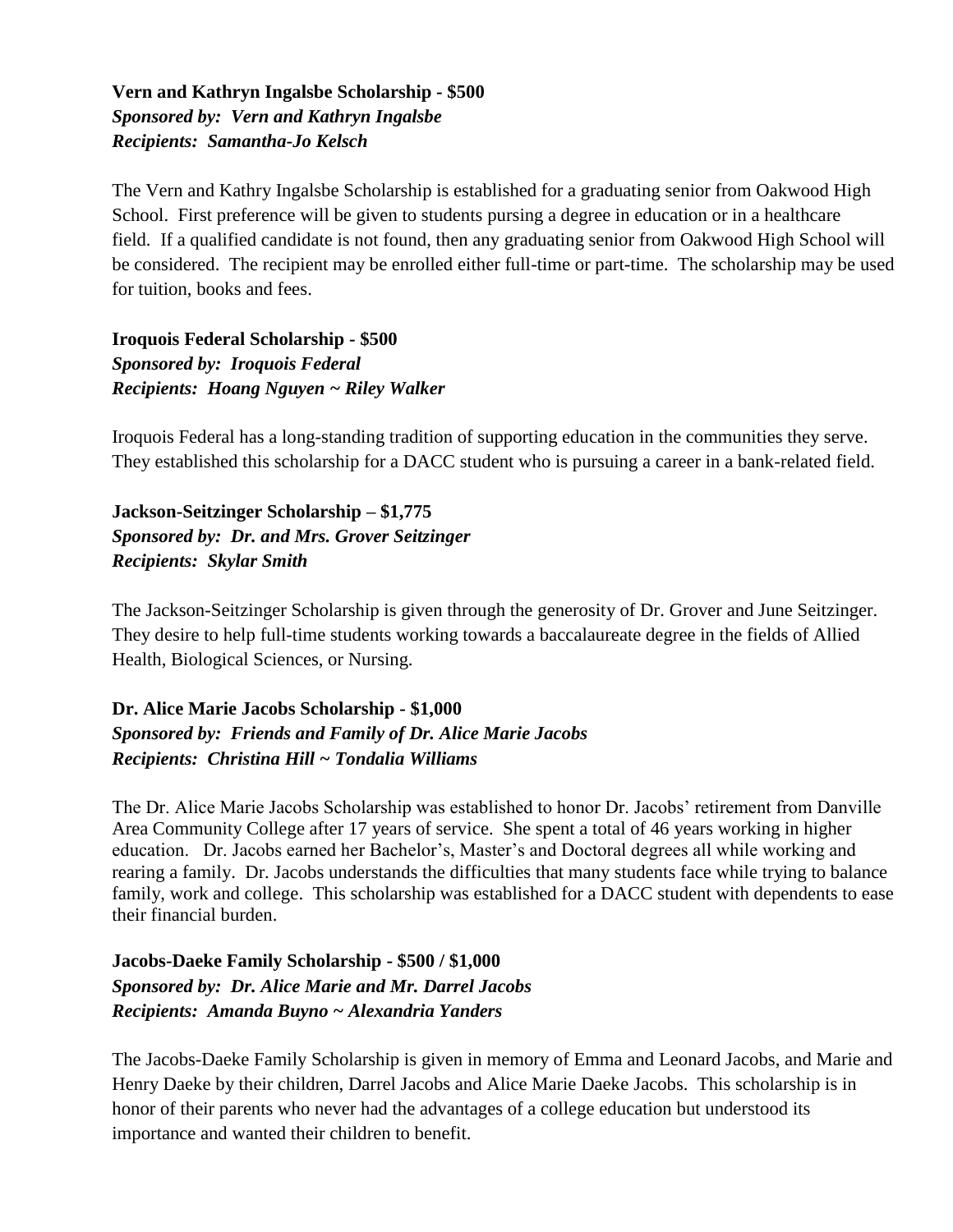#### **Vern and Kathryn Ingalsbe Scholarship - \$500** *Sponsored by: Vern and Kathryn Ingalsbe Recipients: Samantha-Jo Kelsch*

The Vern and Kathry Ingalsbe Scholarship is established for a graduating senior from Oakwood High School. First preference will be given to students pursing a degree in education or in a healthcare field. If a qualified candidate is not found, then any graduating senior from Oakwood High School will be considered. The recipient may be enrolled either full-time or part-time. The scholarship may be used for tuition, books and fees.

**Iroquois Federal Scholarship - \$500** *Sponsored by: Iroquois Federal Recipients: Hoang Nguyen ~ Riley Walker*

Iroquois Federal has a long-standing tradition of supporting education in the communities they serve. They established this scholarship for a DACC student who is pursuing a career in a bank-related field.

**Jackson-Seitzinger Scholarship – \$1,775** *Sponsored by: Dr. and Mrs. Grover Seitzinger Recipients: Skylar Smith*

The Jackson-Seitzinger Scholarship is given through the generosity of Dr. Grover and June Seitzinger. They desire to help full-time students working towards a baccalaureate degree in the fields of Allied Health, Biological Sciences, or Nursing.

**Dr. Alice Marie Jacobs Scholarship - \$1,000** *Sponsored by: Friends and Family of Dr. Alice Marie Jacobs Recipients: Christina Hill ~ Tondalia Williams*

The Dr. Alice Marie Jacobs Scholarship was established to honor Dr. Jacobs' retirement from Danville Area Community College after 17 years of service. She spent a total of 46 years working in higher education. Dr. Jacobs earned her Bachelor's, Master's and Doctoral degrees all while working and rearing a family. Dr. Jacobs understands the difficulties that many students face while trying to balance family, work and college. This scholarship was established for a DACC student with dependents to ease their financial burden.

**Jacobs-Daeke Family Scholarship - \$500 / \$1,000** *Sponsored by: Dr. Alice Marie and Mr. Darrel Jacobs Recipients: Amanda Buyno ~ Alexandria Yanders*

The Jacobs-Daeke Family Scholarship is given in memory of Emma and Leonard Jacobs, and Marie and Henry Daeke by their children, Darrel Jacobs and Alice Marie Daeke Jacobs. This scholarship is in honor of their parents who never had the advantages of a college education but understood its importance and wanted their children to benefit.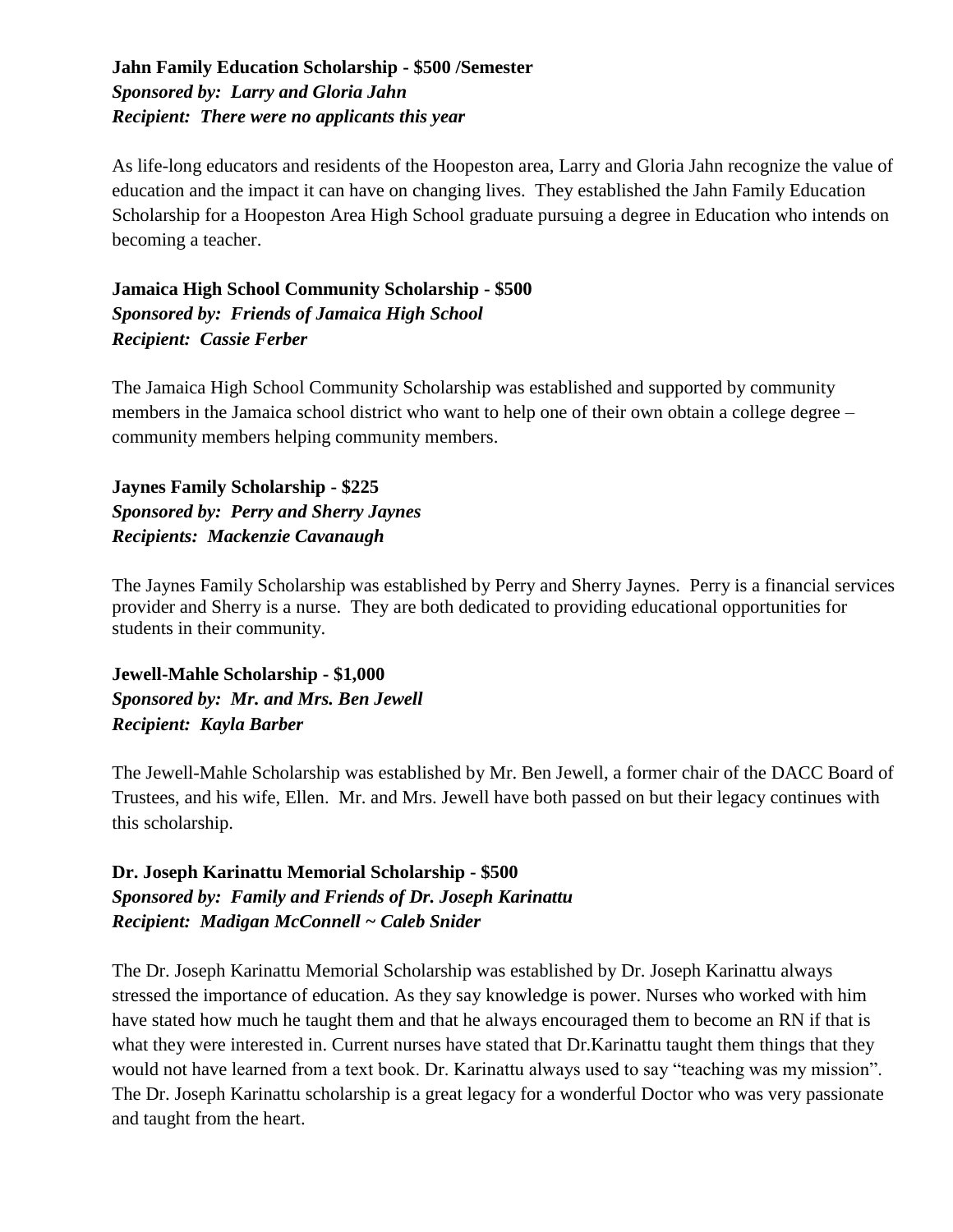#### **Jahn Family Education Scholarship - \$500 /Semester** *Sponsored by: Larry and Gloria Jahn Recipient: There were no applicants this year*

As life-long educators and residents of the Hoopeston area, Larry and Gloria Jahn recognize the value of education and the impact it can have on changing lives. They established the Jahn Family Education Scholarship for a Hoopeston Area High School graduate pursuing a degree in Education who intends on becoming a teacher.

**Jamaica High School Community Scholarship - \$500** *Sponsored by: Friends of Jamaica High School Recipient: Cassie Ferber*

The Jamaica High School Community Scholarship was established and supported by community members in the Jamaica school district who want to help one of their own obtain a college degree – community members helping community members.

**Jaynes Family Scholarship - \$225** *Sponsored by: Perry and Sherry Jaynes Recipients: Mackenzie Cavanaugh*

The Jaynes Family Scholarship was established by Perry and Sherry Jaynes. Perry is a financial services provider and Sherry is a nurse. They are both dedicated to providing educational opportunities for students in their community.

**Jewell-Mahle Scholarship - \$1,000** *Sponsored by: Mr. and Mrs. Ben Jewell Recipient: Kayla Barber*

The Jewell-Mahle Scholarship was established by Mr. Ben Jewell, a former chair of the DACC Board of Trustees, and his wife, Ellen. Mr. and Mrs. Jewell have both passed on but their legacy continues with this scholarship.

#### **Dr. Joseph Karinattu Memorial Scholarship - \$500** *Sponsored by: Family and Friends of Dr. Joseph Karinattu Recipient: Madigan McConnell ~ Caleb Snider*

The Dr. Joseph Karinattu Memorial Scholarship was established by Dr. Joseph Karinattu always stressed the importance of education. As they say knowledge is power. Nurses who worked with him have stated how much he taught them and that he always encouraged them to become an RN if that is what they were interested in. Current nurses have stated that Dr.Karinattu taught them things that they would not have learned from a text book. Dr. Karinattu always used to say "teaching was my mission". The Dr. Joseph Karinattu scholarship is a great legacy for a wonderful Doctor who was very passionate and taught from the heart.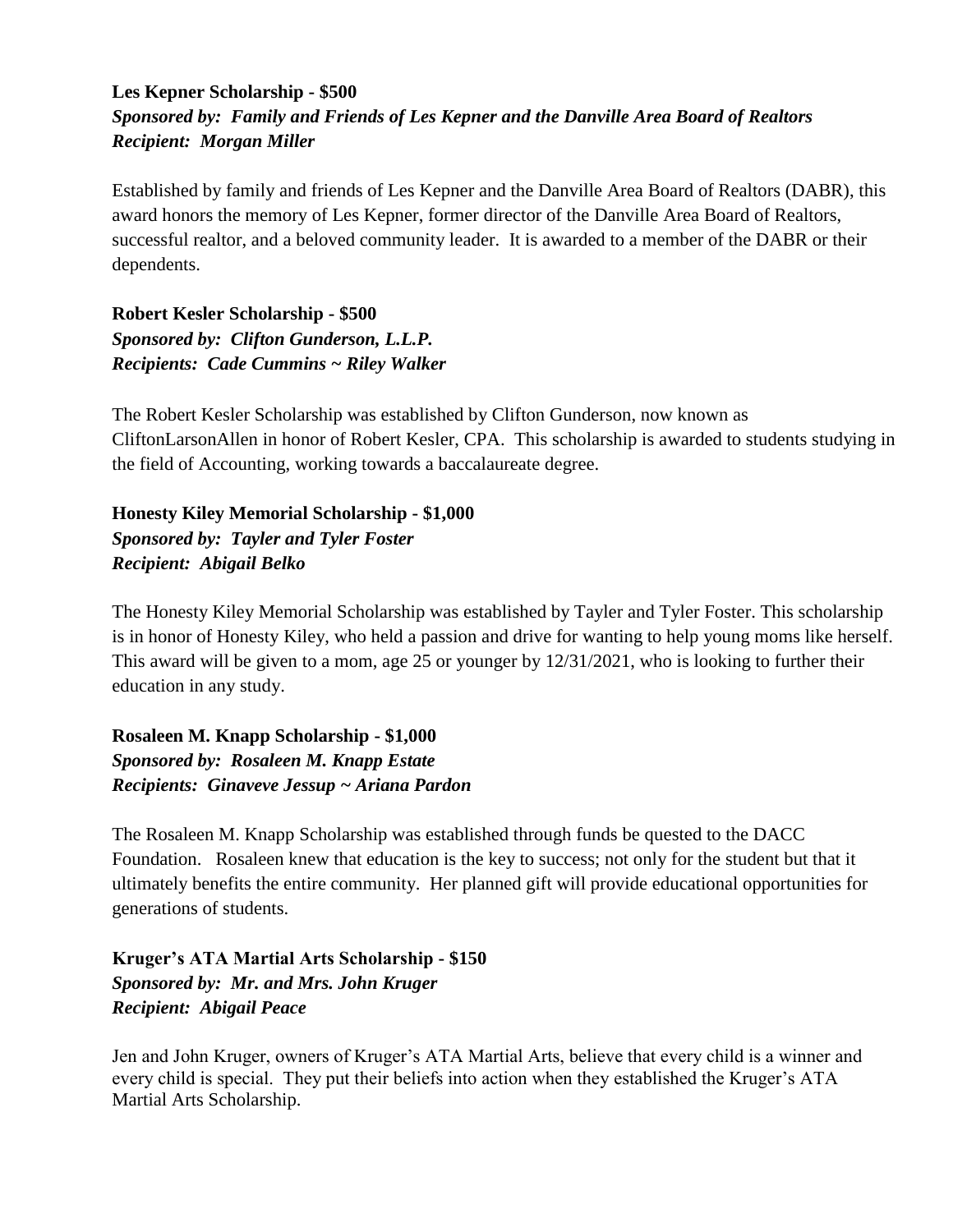#### **Les Kepner Scholarship - \$500** *Sponsored by: Family and Friends of Les Kepner and the Danville Area Board of Realtors Recipient: Morgan Miller*

Established by family and friends of Les Kepner and the Danville Area Board of Realtors (DABR), this award honors the memory of Les Kepner, former director of the Danville Area Board of Realtors, successful realtor, and a beloved community leader. It is awarded to a member of the DABR or their dependents.

**Robert Kesler Scholarship - \$500** *Sponsored by: Clifton Gunderson, L.L.P. Recipients: Cade Cummins ~ Riley Walker*

The Robert Kesler Scholarship was established by Clifton Gunderson, now known as CliftonLarsonAllen in honor of Robert Kesler, CPA. This scholarship is awarded to students studying in the field of Accounting, working towards a baccalaureate degree.

**Honesty Kiley Memorial Scholarship - \$1,000** *Sponsored by: Tayler and Tyler Foster Recipient: Abigail Belko*

The Honesty Kiley Memorial Scholarship was established by Tayler and Tyler Foster. This scholarship is in honor of Honesty Kiley, who held a passion and drive for wanting to help young moms like herself. This award will be given to a mom, age 25 or younger by 12/31/2021, who is looking to further their education in any study.

**Rosaleen M. Knapp Scholarship - \$1,000** *Sponsored by: Rosaleen M. Knapp Estate Recipients: Ginaveve Jessup ~ Ariana Pardon*

The Rosaleen M. Knapp Scholarship was established through funds be quested to the DACC Foundation. Rosaleen knew that education is the key to success; not only for the student but that it ultimately benefits the entire community. Her planned gift will provide educational opportunities for generations of students.

**Kruger's ATA Martial Arts Scholarship - \$150** *Sponsored by: Mr. and Mrs. John Kruger Recipient: Abigail Peace*

Jen and John Kruger, owners of Kruger's ATA Martial Arts, believe that every child is a winner and every child is special. They put their beliefs into action when they established the Kruger's ATA Martial Arts Scholarship.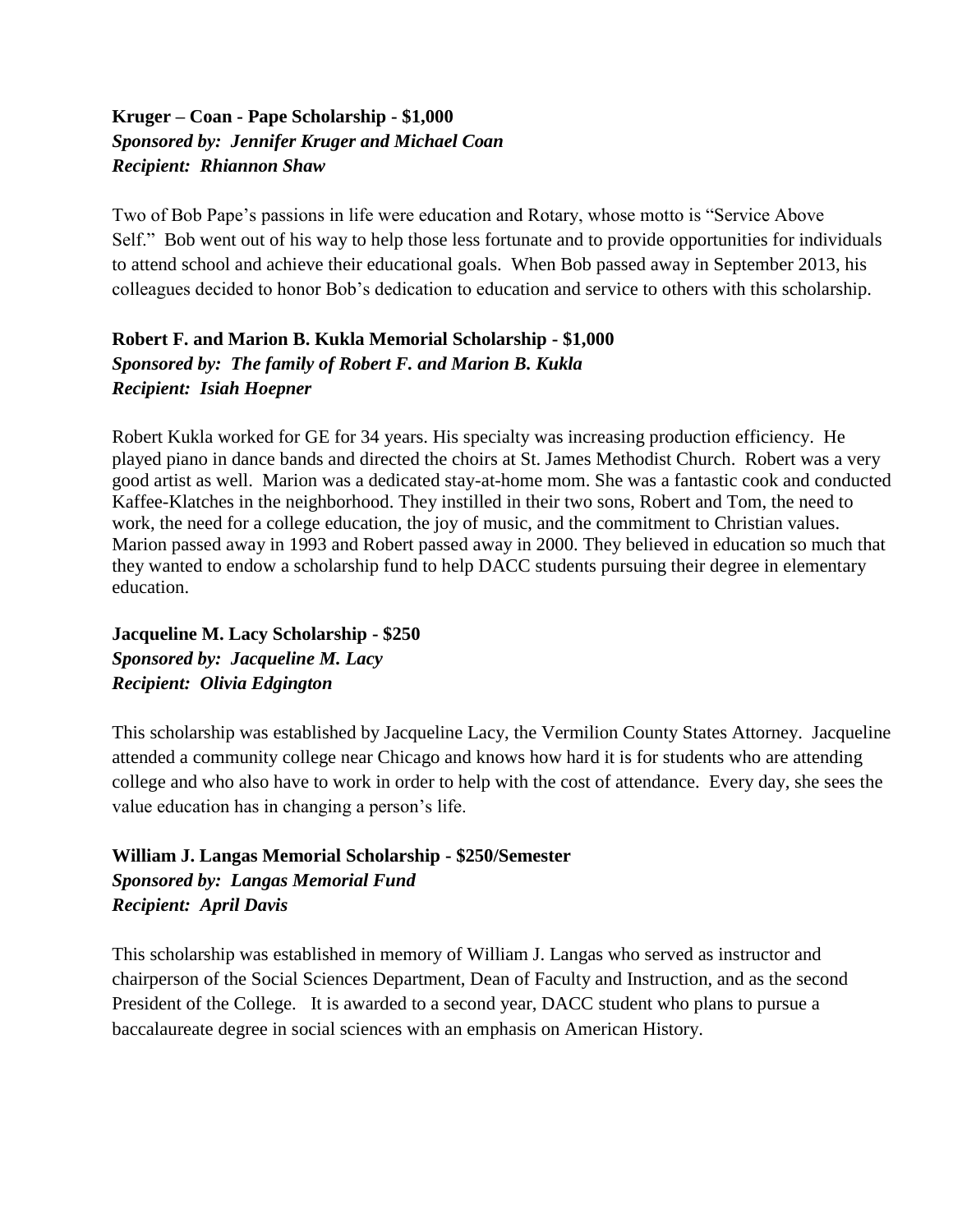#### **Kruger – Coan - Pape Scholarship - \$1,000** *Sponsored by: Jennifer Kruger and Michael Coan Recipient: Rhiannon Shaw*

Two of Bob Pape's passions in life were education and Rotary, whose motto is "Service Above Self." Bob went out of his way to help those less fortunate and to provide opportunities for individuals to attend school and achieve their educational goals. When Bob passed away in September 2013, his colleagues decided to honor Bob's dedication to education and service to others with this scholarship.

#### **Robert F. and Marion B. Kukla Memorial Scholarship - \$1,000** *Sponsored by: The family of Robert F. and Marion B. Kukla Recipient: Isiah Hoepner*

Robert Kukla worked for GE for 34 years. His specialty was increasing production efficiency. He played piano in dance bands and directed the choirs at St. James Methodist Church. Robert was a very good artist as well. Marion was a dedicated stay-at-home mom. She was a fantastic cook and conducted Kaffee-Klatches in the neighborhood. They instilled in their two sons, Robert and Tom, the need to work, the need for a college education, the joy of music, and the commitment to Christian values. Marion passed away in 1993 and Robert passed away in 2000. They believed in education so much that they wanted to endow a scholarship fund to help DACC students pursuing their degree in elementary education.

**Jacqueline M. Lacy Scholarship - \$250** *Sponsored by: Jacqueline M. Lacy Recipient: Olivia Edgington*

This scholarship was established by Jacqueline Lacy, the Vermilion County States Attorney. Jacqueline attended a community college near Chicago and knows how hard it is for students who are attending college and who also have to work in order to help with the cost of attendance. Every day, she sees the value education has in changing a person's life.

#### **William J. Langas Memorial Scholarship - \$250/Semester** *Sponsored by: Langas Memorial Fund Recipient: April Davis*

This scholarship was established in memory of William J. Langas who served as instructor and chairperson of the Social Sciences Department, Dean of Faculty and Instruction, and as the second President of the College. It is awarded to a second year, DACC student who plans to pursue a baccalaureate degree in social sciences with an emphasis on American History.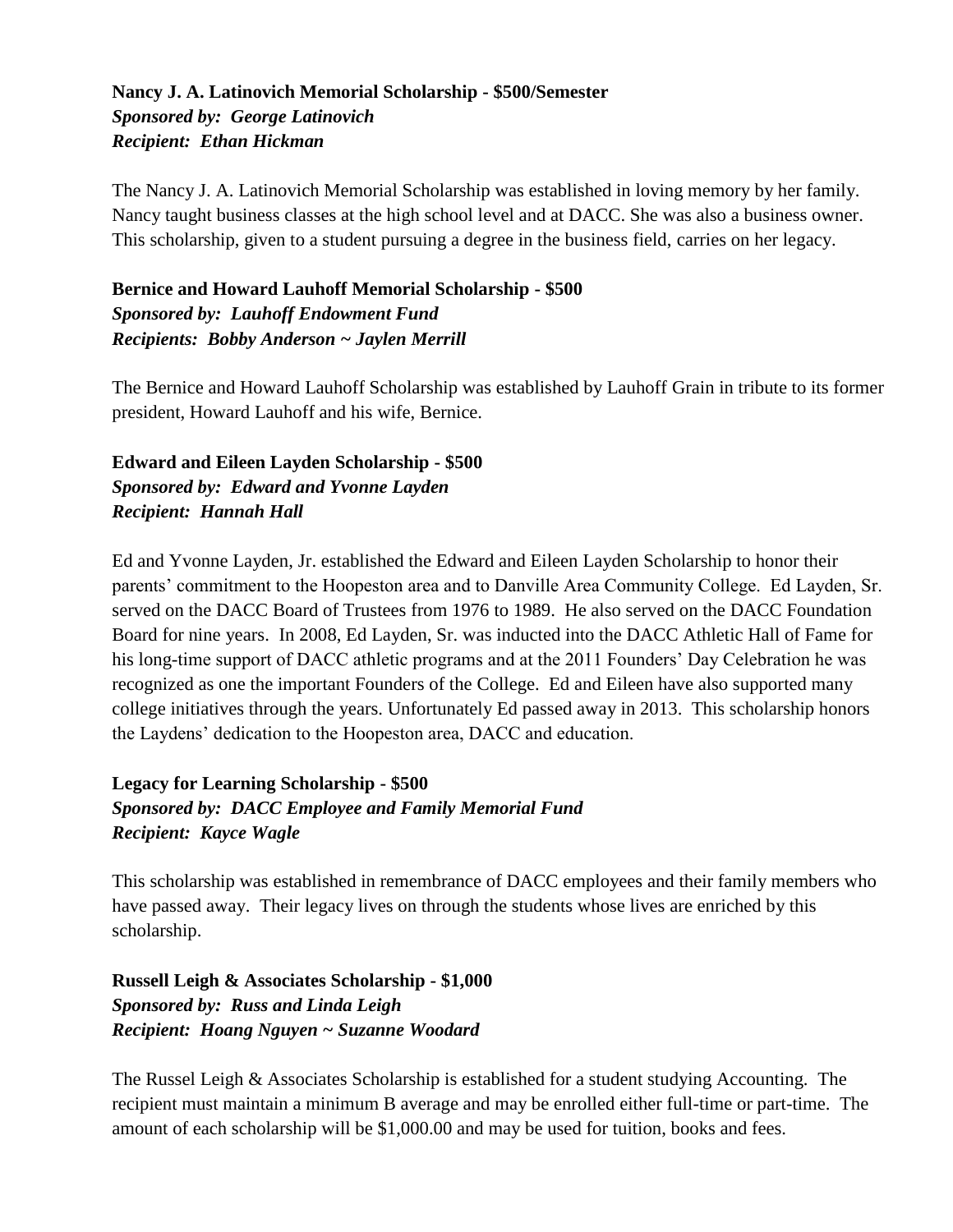#### **Nancy J. A. Latinovich Memorial Scholarship - \$500/Semester** *Sponsored by: George Latinovich Recipient: Ethan Hickman*

The Nancy J. A. Latinovich Memorial Scholarship was established in loving memory by her family. Nancy taught business classes at the high school level and at DACC. She was also a business owner. This scholarship, given to a student pursuing a degree in the business field, carries on her legacy.

#### **Bernice and Howard Lauhoff Memorial Scholarship - \$500** *Sponsored by: Lauhoff Endowment Fund Recipients: Bobby Anderson ~ Jaylen Merrill*

The Bernice and Howard Lauhoff Scholarship was established by Lauhoff Grain in tribute to its former president, Howard Lauhoff and his wife, Bernice.

#### **Edward and Eileen Layden Scholarship - \$500** *Sponsored by: Edward and Yvonne Layden Recipient: Hannah Hall*

Ed and Yvonne Layden, Jr. established the Edward and Eileen Layden Scholarship to honor their parents' commitment to the Hoopeston area and to Danville Area Community College. Ed Layden, Sr. served on the DACC Board of Trustees from 1976 to 1989. He also served on the DACC Foundation Board for nine years. In 2008, Ed Layden, Sr. was inducted into the DACC Athletic Hall of Fame for his long-time support of DACC athletic programs and at the 2011 Founders' Day Celebration he was recognized as one the important Founders of the College. Ed and Eileen have also supported many college initiatives through the years. Unfortunately Ed passed away in 2013. This scholarship honors the Laydens' dedication to the Hoopeston area, DACC and education.

#### **Legacy for Learning Scholarship - \$500** *Sponsored by: DACC Employee and Family Memorial Fund Recipient: Kayce Wagle*

This scholarship was established in remembrance of DACC employees and their family members who have passed away. Their legacy lives on through the students whose lives are enriched by this scholarship.

**Russell Leigh & Associates Scholarship - \$1,000** *Sponsored by: Russ and Linda Leigh Recipient: Hoang Nguyen ~ Suzanne Woodard*

The Russel Leigh & Associates Scholarship is established for a student studying Accounting. The recipient must maintain a minimum B average and may be enrolled either full-time or part-time. The amount of each scholarship will be \$1,000.00 and may be used for tuition, books and fees.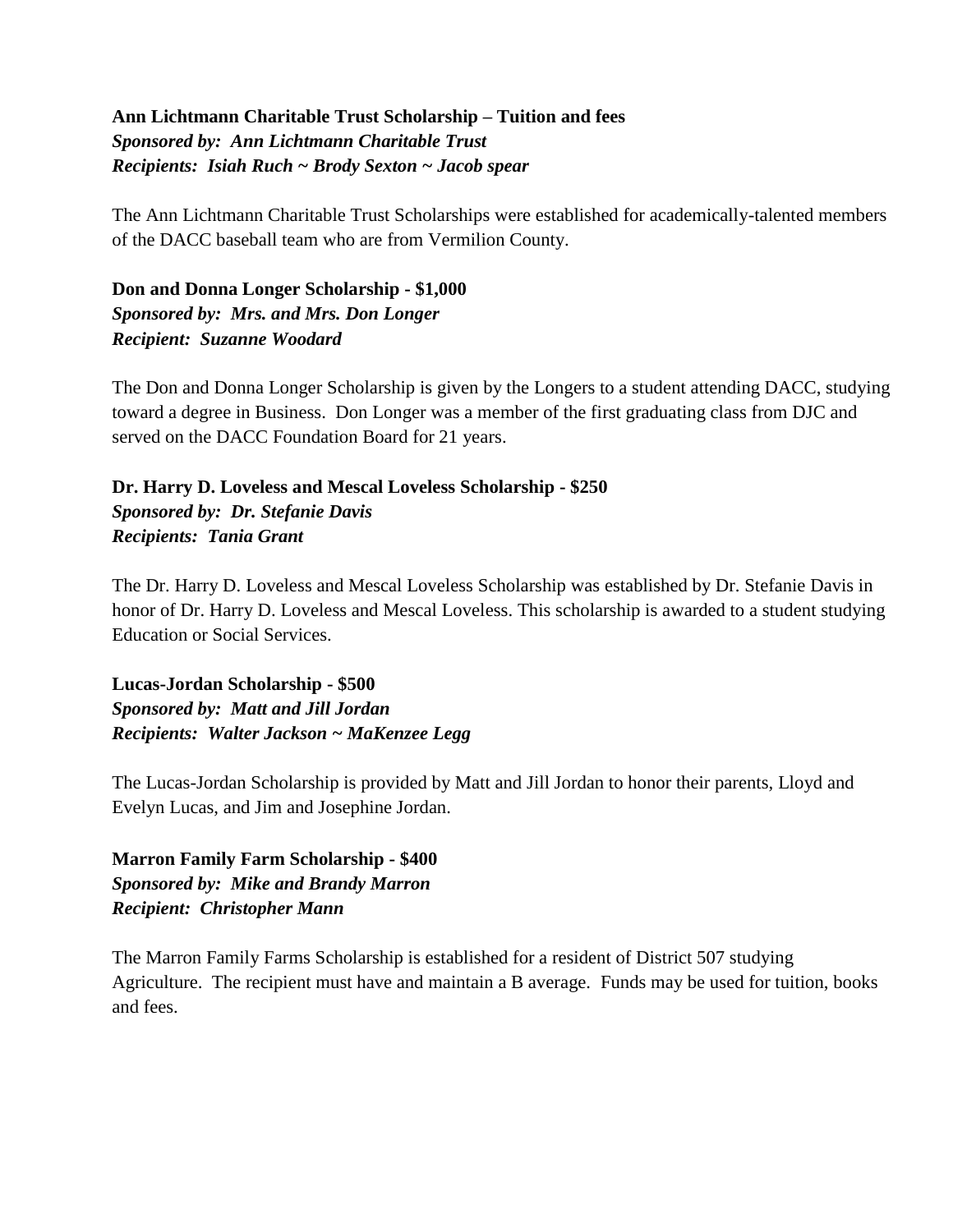#### **Ann Lichtmann Charitable Trust Scholarship – Tuition and fees** *Sponsored by: Ann Lichtmann Charitable Trust Recipients: Isiah Ruch ~ Brody Sexton ~ Jacob spear*

The Ann Lichtmann Charitable Trust Scholarships were established for academically-talented members of the DACC baseball team who are from Vermilion County.

**Don and Donna Longer Scholarship - \$1,000** *Sponsored by: Mrs. and Mrs. Don Longer Recipient: Suzanne Woodard*

The Don and Donna Longer Scholarship is given by the Longers to a student attending DACC, studying toward a degree in Business. Don Longer was a member of the first graduating class from DJC and served on the DACC Foundation Board for 21 years.

**Dr. Harry D. Loveless and Mescal Loveless Scholarship - \$250** *Sponsored by: Dr. Stefanie Davis Recipients: Tania Grant*

The Dr. Harry D. Loveless and Mescal Loveless Scholarship was established by Dr. Stefanie Davis in honor of Dr. Harry D. Loveless and Mescal Loveless. This scholarship is awarded to a student studying Education or Social Services.

**Lucas-Jordan Scholarship - \$500** *Sponsored by: Matt and Jill Jordan Recipients: Walter Jackson ~ MaKenzee Legg*

The Lucas-Jordan Scholarship is provided by Matt and Jill Jordan to honor their parents, Lloyd and Evelyn Lucas, and Jim and Josephine Jordan.

**Marron Family Farm Scholarship - \$400** *Sponsored by: Mike and Brandy Marron Recipient: Christopher Mann*

The Marron Family Farms Scholarship is established for a resident of District 507 studying Agriculture. The recipient must have and maintain a B average. Funds may be used for tuition, books and fees.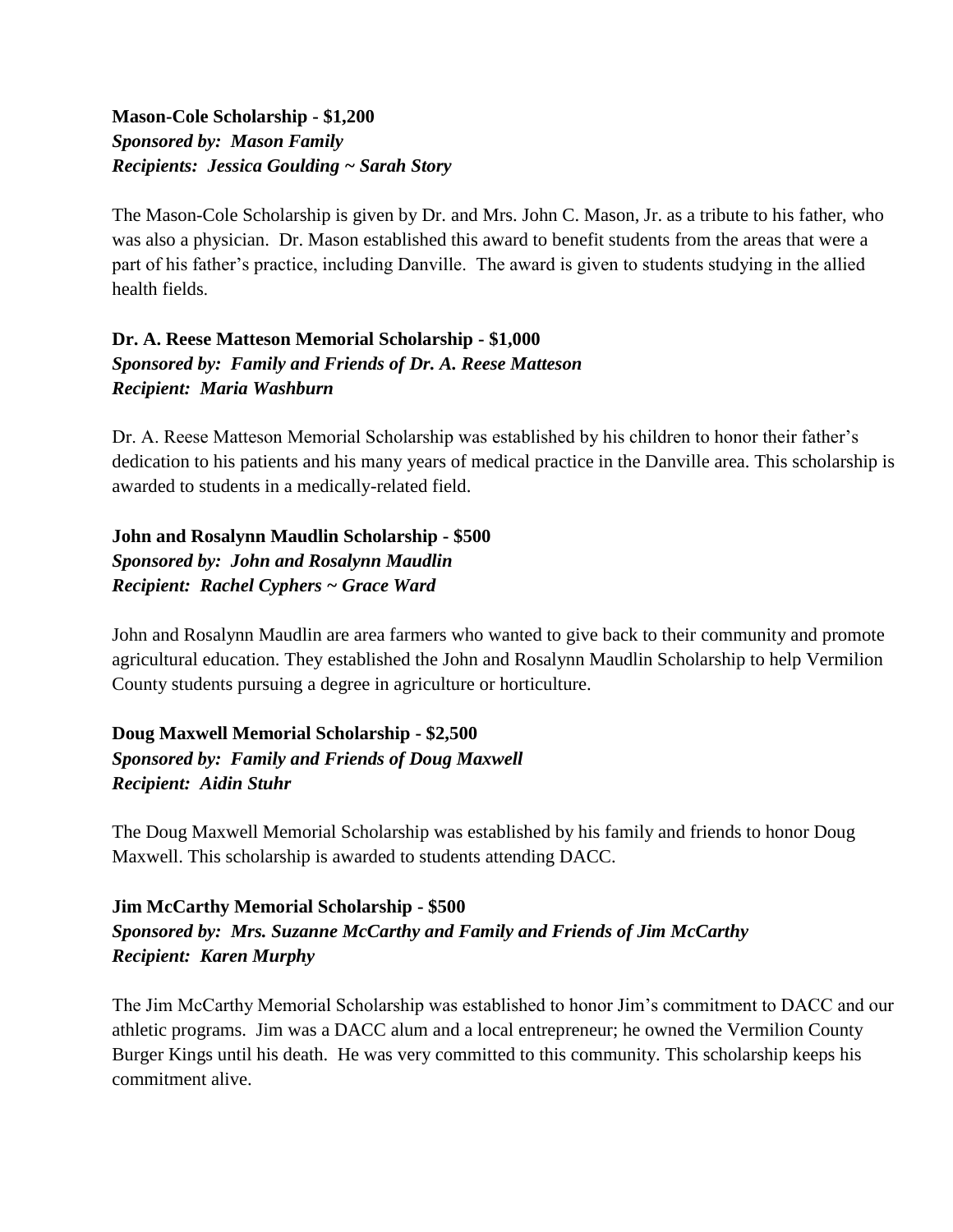#### **Mason-Cole Scholarship - \$1,200** *Sponsored by: Mason Family Recipients: Jessica Goulding ~ Sarah Story*

The Mason-Cole Scholarship is given by Dr. and Mrs. John C. Mason, Jr. as a tribute to his father, who was also a physician. Dr. Mason established this award to benefit students from the areas that were a part of his father's practice, including Danville. The award is given to students studying in the allied health fields.

#### **Dr. A. Reese Matteson Memorial Scholarship - \$1,000** *Sponsored by: Family and Friends of Dr. A. Reese Matteson Recipient: Maria Washburn*

Dr. A. Reese Matteson Memorial Scholarship was established by his children to honor their father's dedication to his patients and his many years of medical practice in the Danville area. This scholarship is awarded to students in a medically-related field.

**John and Rosalynn Maudlin Scholarship - \$500** *Sponsored by: John and Rosalynn Maudlin Recipient: Rachel Cyphers ~ Grace Ward*

John and Rosalynn Maudlin are area farmers who wanted to give back to their community and promote agricultural education. They established the John and Rosalynn Maudlin Scholarship to help Vermilion County students pursuing a degree in agriculture or horticulture.

**Doug Maxwell Memorial Scholarship - \$2,500** *Sponsored by: Family and Friends of Doug Maxwell Recipient: Aidin Stuhr*

The Doug Maxwell Memorial Scholarship was established by his family and friends to honor Doug Maxwell. This scholarship is awarded to students attending DACC.

#### **Jim McCarthy Memorial Scholarship - \$500** *Sponsored by: Mrs. Suzanne McCarthy and Family and Friends of Jim McCarthy Recipient: Karen Murphy*

The Jim McCarthy Memorial Scholarship was established to honor Jim's commitment to DACC and our athletic programs. Jim was a DACC alum and a local entrepreneur; he owned the Vermilion County Burger Kings until his death. He was very committed to this community. This scholarship keeps his commitment alive.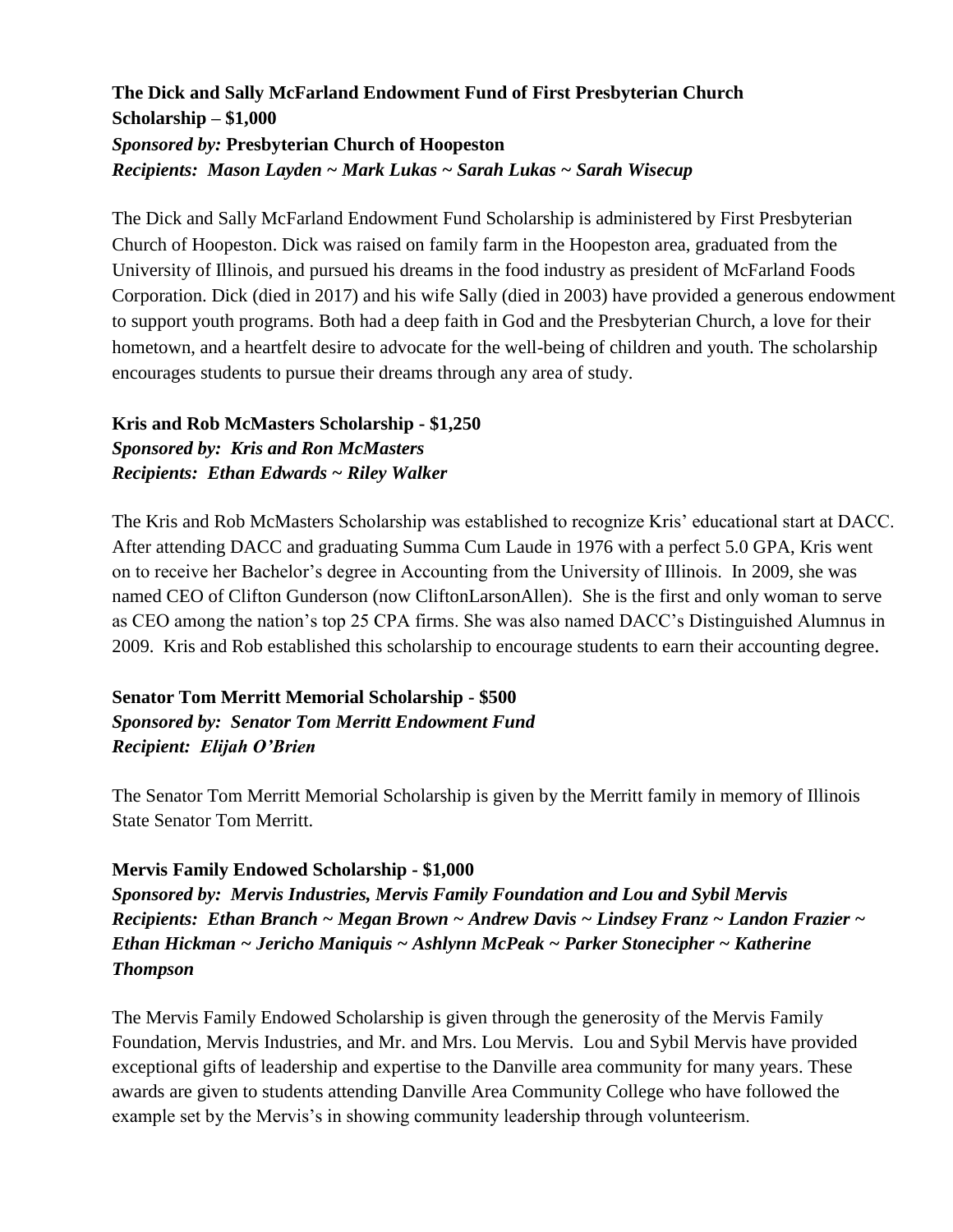#### **The Dick and Sally McFarland Endowment Fund of First Presbyterian Church Scholarship – \$1,000** *Sponsored by:* **Presbyterian Church of Hoopeston** *Recipients: Mason Layden ~ Mark Lukas ~ Sarah Lukas ~ Sarah Wisecup*

The Dick and Sally McFarland Endowment Fund Scholarship is administered by First Presbyterian Church of Hoopeston. Dick was raised on family farm in the Hoopeston area, graduated from the University of Illinois, and pursued his dreams in the food industry as president of McFarland Foods Corporation. Dick (died in 2017) and his wife Sally (died in 2003) have provided a generous endowment to support youth programs. Both had a deep faith in God and the Presbyterian Church, a love for their hometown, and a heartfelt desire to advocate for the well-being of children and youth. The scholarship encourages students to pursue their dreams through any area of study.

#### **Kris and Rob McMasters Scholarship - \$1,250** *Sponsored by: Kris and Ron McMasters Recipients: Ethan Edwards ~ Riley Walker*

The Kris and Rob McMasters Scholarship was established to recognize Kris' educational start at DACC. After attending DACC and graduating Summa Cum Laude in 1976 with a perfect 5.0 GPA, Kris went on to receive her Bachelor's degree in Accounting from the University of Illinois. In 2009, she was named CEO of Clifton Gunderson (now CliftonLarsonAllen). She is the first and only woman to serve as CEO among the nation's top 25 CPA firms. She was also named DACC's Distinguished Alumnus in 2009. Kris and Rob established this scholarship to encourage students to earn their accounting degree.

#### **Senator Tom Merritt Memorial Scholarship - \$500** *Sponsored by: Senator Tom Merritt Endowment Fund Recipient: Elijah O'Brien*

The Senator Tom Merritt Memorial Scholarship is given by the Merritt family in memory of Illinois State Senator Tom Merritt.

#### **Mervis Family Endowed Scholarship - \$1,000**

*Sponsored by: Mervis Industries, Mervis Family Foundation and Lou and Sybil Mervis Recipients: Ethan Branch ~ Megan Brown ~ Andrew Davis ~ Lindsey Franz ~ Landon Frazier ~ Ethan Hickman ~ Jericho Maniquis ~ Ashlynn McPeak ~ Parker Stonecipher ~ Katherine Thompson*

The Mervis Family Endowed Scholarship is given through the generosity of the Mervis Family Foundation, Mervis Industries, and Mr. and Mrs. Lou Mervis. Lou and Sybil Mervis have provided exceptional gifts of leadership and expertise to the Danville area community for many years. These awards are given to students attending Danville Area Community College who have followed the example set by the Mervis's in showing community leadership through volunteerism.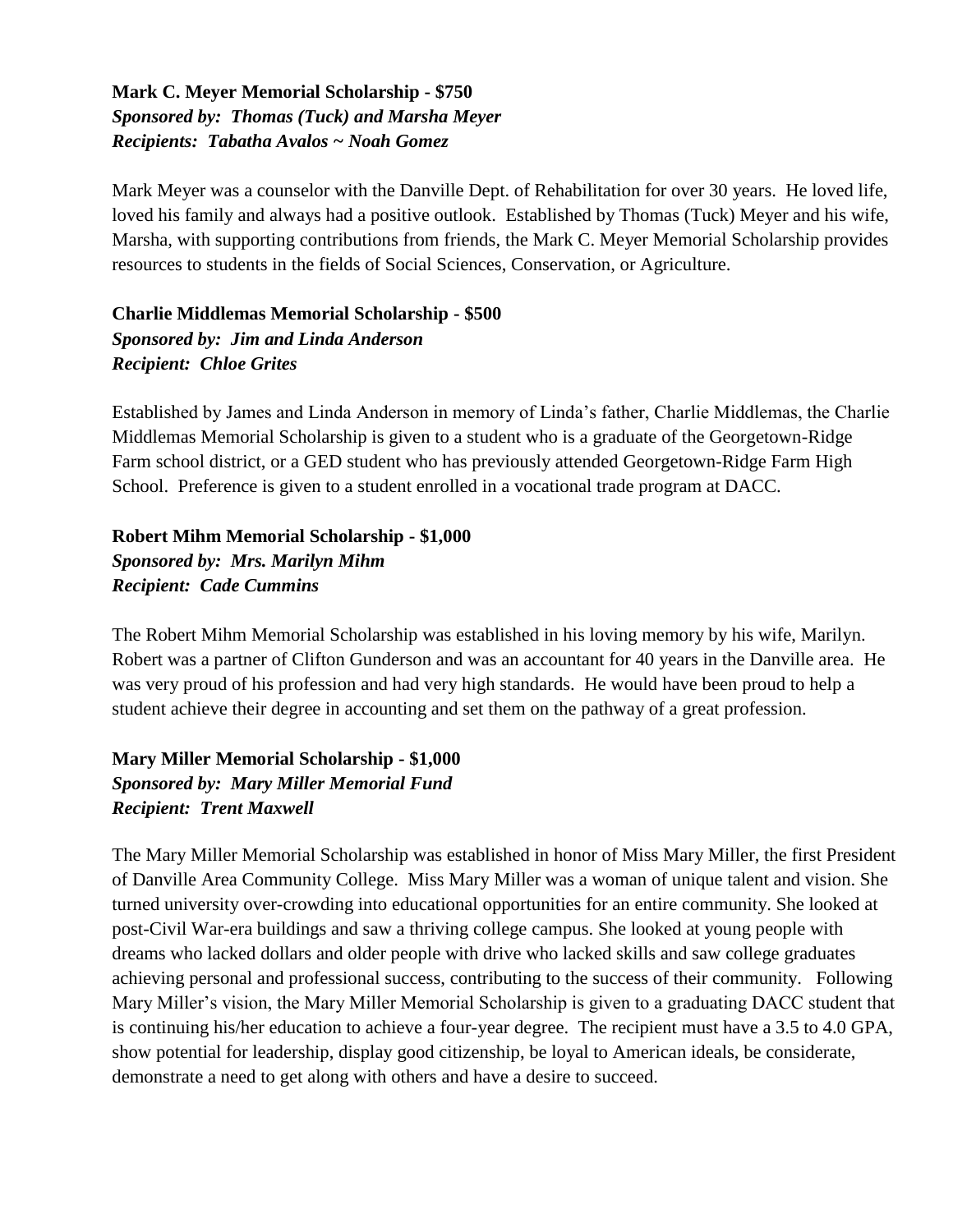#### **Mark C. Meyer Memorial Scholarship - \$750** *Sponsored by: Thomas (Tuck) and Marsha Meyer Recipients: Tabatha Avalos ~ Noah Gomez*

Mark Meyer was a counselor with the Danville Dept. of Rehabilitation for over 30 years. He loved life, loved his family and always had a positive outlook. Established by Thomas (Tuck) Meyer and his wife, Marsha, with supporting contributions from friends, the Mark C. Meyer Memorial Scholarship provides resources to students in the fields of Social Sciences, Conservation, or Agriculture.

#### **Charlie Middlemas Memorial Scholarship - \$500** *Sponsored by: Jim and Linda Anderson Recipient: Chloe Grites*

Established by James and Linda Anderson in memory of Linda's father, Charlie Middlemas, the Charlie Middlemas Memorial Scholarship is given to a student who is a graduate of the Georgetown-Ridge Farm school district, or a GED student who has previously attended Georgetown-Ridge Farm High School. Preference is given to a student enrolled in a vocational trade program at DACC.

#### **Robert Mihm Memorial Scholarship - \$1,000** *Sponsored by: Mrs. Marilyn Mihm Recipient: Cade Cummins*

The Robert Mihm Memorial Scholarship was established in his loving memory by his wife, Marilyn. Robert was a partner of Clifton Gunderson and was an accountant for 40 years in the Danville area. He was very proud of his profession and had very high standards. He would have been proud to help a student achieve their degree in accounting and set them on the pathway of a great profession.

#### **Mary Miller Memorial Scholarship - \$1,000** *Sponsored by: Mary Miller Memorial Fund Recipient: Trent Maxwell*

The Mary Miller Memorial Scholarship was established in honor of Miss Mary Miller, the first President of Danville Area Community College. Miss Mary Miller was a woman of unique talent and vision. She turned university over-crowding into educational opportunities for an entire community. She looked at post-Civil War-era buildings and saw a thriving college campus. She looked at young people with dreams who lacked dollars and older people with drive who lacked skills and saw college graduates achieving personal and professional success, contributing to the success of their community. Following Mary Miller's vision, the Mary Miller Memorial Scholarship is given to a graduating DACC student that is continuing his/her education to achieve a four-year degree. The recipient must have a 3.5 to 4.0 GPA, show potential for leadership, display good citizenship, be loyal to American ideals, be considerate, demonstrate a need to get along with others and have a desire to succeed.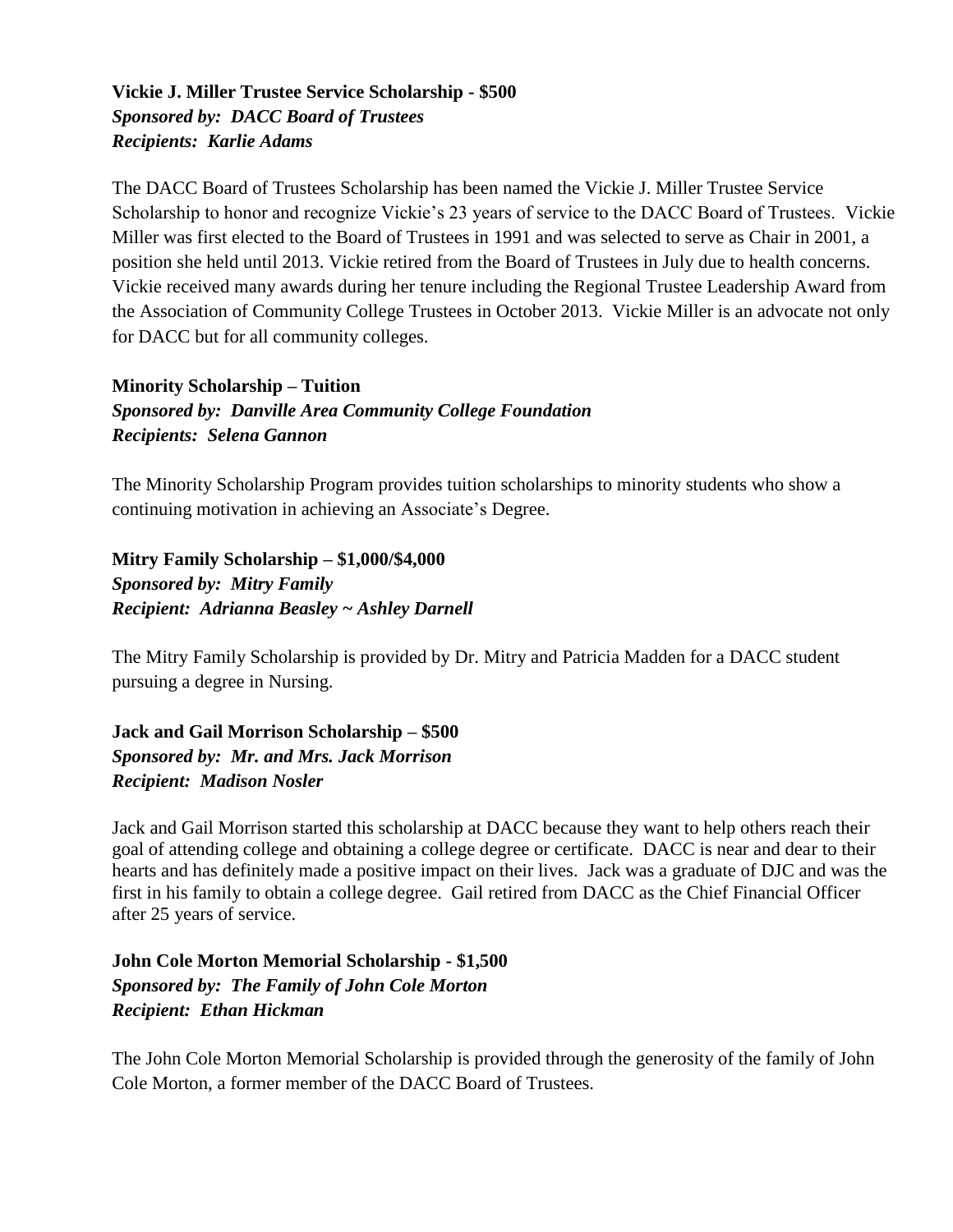#### **Vickie J. Miller Trustee Service Scholarship - \$500** *Sponsored by: DACC Board of Trustees Recipients: Karlie Adams*

The DACC Board of Trustees Scholarship has been named the Vickie J. Miller Trustee Service Scholarship to honor and recognize Vickie's 23 years of service to the DACC Board of Trustees. Vickie Miller was first elected to the Board of Trustees in 1991 and was selected to serve as Chair in 2001, a position she held until 2013. Vickie retired from the Board of Trustees in July due to health concerns. Vickie received many awards during her tenure including the Regional Trustee Leadership Award from the Association of Community College Trustees in October 2013. Vickie Miller is an advocate not only for DACC but for all community colleges.

**Minority Scholarship – Tuition** *Sponsored by: Danville Area Community College Foundation Recipients: Selena Gannon*

The Minority Scholarship Program provides tuition scholarships to minority students who show a continuing motivation in achieving an Associate's Degree.

**Mitry Family Scholarship – \$1,000/\$4,000** *Sponsored by: Mitry Family Recipient: Adrianna Beasley ~ Ashley Darnell*

The Mitry Family Scholarship is provided by Dr. Mitry and Patricia Madden for a DACC student pursuing a degree in Nursing.

**Jack and Gail Morrison Scholarship – \$500** *Sponsored by: Mr. and Mrs. Jack Morrison Recipient: Madison Nosler*

Jack and Gail Morrison started this scholarship at DACC because they want to help others reach their goal of attending college and obtaining a college degree or certificate. DACC is near and dear to their hearts and has definitely made a positive impact on their lives. Jack was a graduate of DJC and was the first in his family to obtain a college degree. Gail retired from DACC as the Chief Financial Officer after 25 years of service.

**John Cole Morton Memorial Scholarship - \$1,500** *Sponsored by: The Family of John Cole Morton Recipient: Ethan Hickman*

The John Cole Morton Memorial Scholarship is provided through the generosity of the family of John Cole Morton, a former member of the DACC Board of Trustees.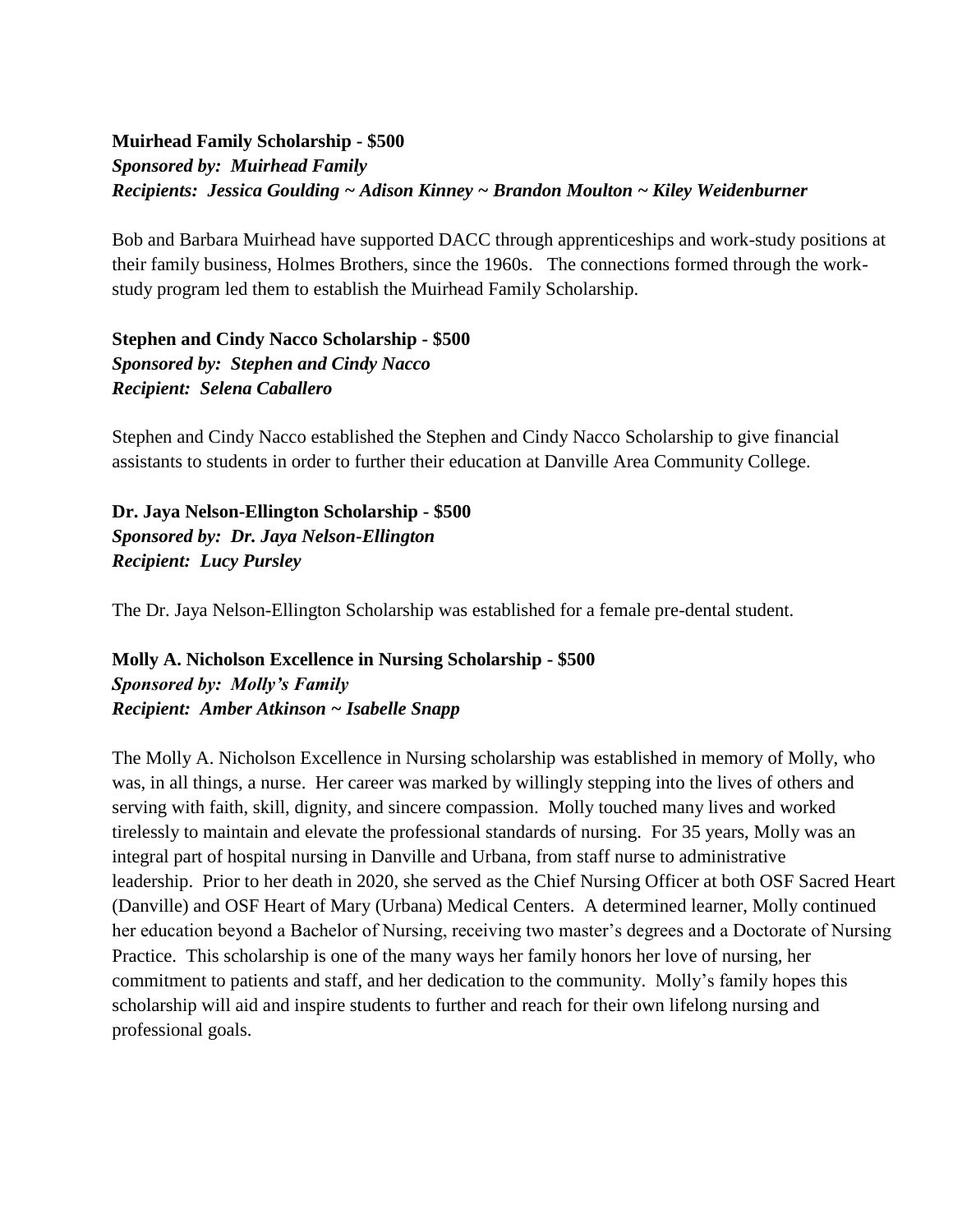#### **Muirhead Family Scholarship - \$500** *Sponsored by: Muirhead Family Recipients: Jessica Goulding ~ Adison Kinney ~ Brandon Moulton ~ Kiley Weidenburner*

Bob and Barbara Muirhead have supported DACC through apprenticeships and work-study positions at their family business, Holmes Brothers, since the 1960s. The connections formed through the workstudy program led them to establish the Muirhead Family Scholarship.

**Stephen and Cindy Nacco Scholarship - \$500** *Sponsored by: Stephen and Cindy Nacco Recipient: Selena Caballero*

Stephen and Cindy Nacco established the Stephen and Cindy Nacco Scholarship to give financial assistants to students in order to further their education at Danville Area Community College.

**Dr. Jaya Nelson-Ellington Scholarship - \$500** *Sponsored by: Dr. Jaya Nelson-Ellington Recipient: Lucy Pursley*

The Dr. Jaya Nelson-Ellington Scholarship was established for a female pre-dental student.

**Molly A. Nicholson Excellence in Nursing Scholarship - \$500** *Sponsored by: Molly's Family Recipient: Amber Atkinson ~ Isabelle Snapp*

The Molly A. Nicholson Excellence in Nursing scholarship was established in memory of Molly, who was, in all things, a nurse. Her career was marked by willingly stepping into the lives of others and serving with faith, skill, dignity, and sincere compassion. Molly touched many lives and worked tirelessly to maintain and elevate the professional standards of nursing. For 35 years, Molly was an integral part of hospital nursing in Danville and Urbana, from staff nurse to administrative leadership. Prior to her death in 2020, she served as the Chief Nursing Officer at both OSF Sacred Heart (Danville) and OSF Heart of Mary (Urbana) Medical Centers. A determined learner, Molly continued her education beyond a Bachelor of Nursing, receiving two master's degrees and a Doctorate of Nursing Practice. This scholarship is one of the many ways her family honors her love of nursing, her commitment to patients and staff, and her dedication to the community. Molly's family hopes this scholarship will aid and inspire students to further and reach for their own lifelong nursing and professional goals.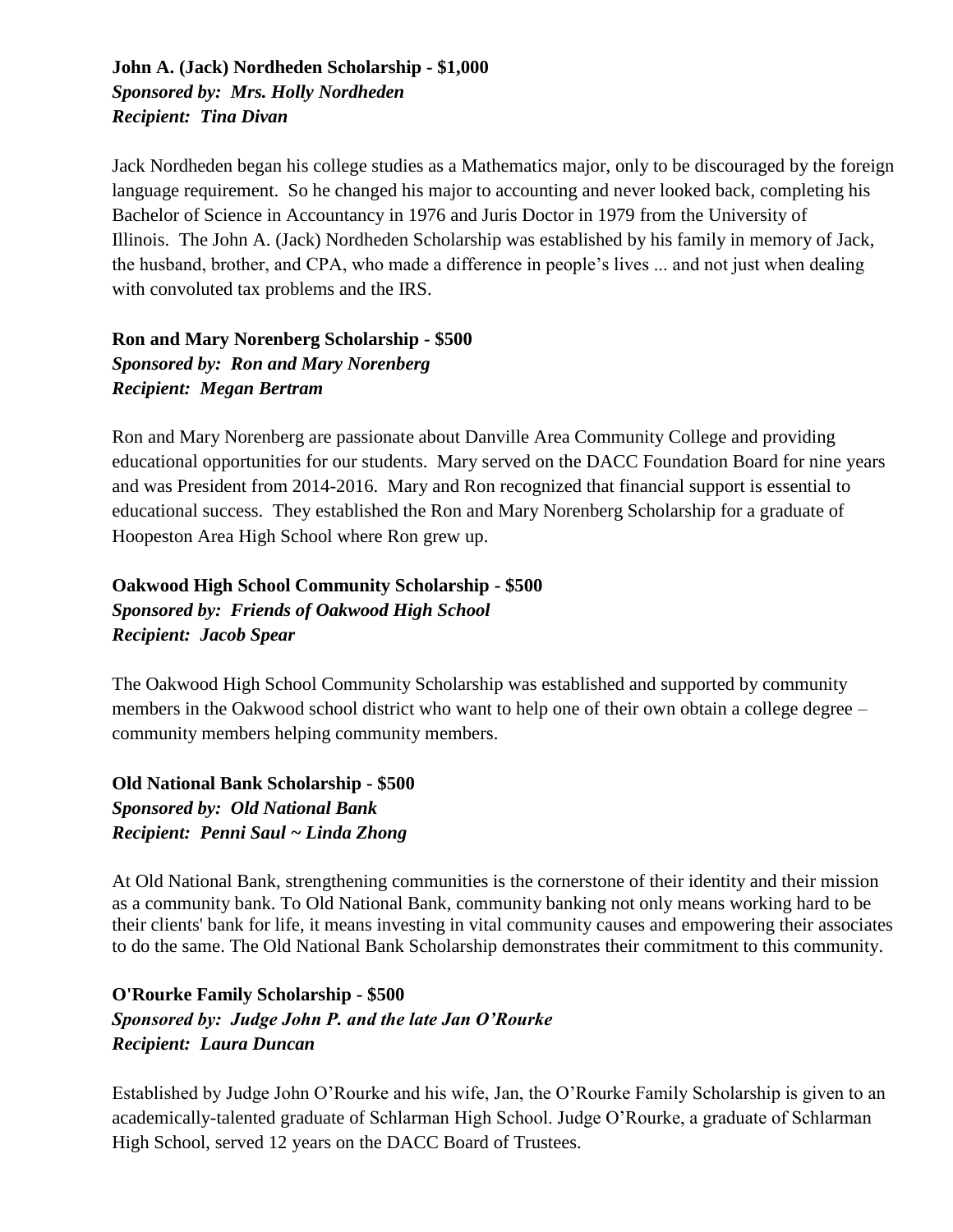#### **John A. (Jack) Nordheden Scholarship - \$1,000** *Sponsored by: Mrs. Holly Nordheden Recipient: Tina Divan*

Jack Nordheden began his college studies as a Mathematics major, only to be discouraged by the foreign language requirement. So he changed his major to accounting and never looked back, completing his Bachelor of Science in Accountancy in 1976 and Juris Doctor in 1979 from the University of Illinois. The John A. (Jack) Nordheden Scholarship was established by his family in memory of Jack, the husband, brother, and CPA, who made a difference in people's lives ... and not just when dealing with convoluted tax problems and the IRS.

**Ron and Mary Norenberg Scholarship - \$500** *Sponsored by: Ron and Mary Norenberg Recipient: Megan Bertram*

Ron and Mary Norenberg are passionate about Danville Area Community College and providing educational opportunities for our students. Mary served on the DACC Foundation Board for nine years and was President from 2014-2016. Mary and Ron recognized that financial support is essential to educational success. They established the Ron and Mary Norenberg Scholarship for a graduate of Hoopeston Area High School where Ron grew up.

**Oakwood High School Community Scholarship - \$500** *Sponsored by: Friends of Oakwood High School Recipient: Jacob Spear*

The Oakwood High School Community Scholarship was established and supported by community members in the Oakwood school district who want to help one of their own obtain a college degree – community members helping community members.

**Old National Bank Scholarship - \$500** *Sponsored by: Old National Bank Recipient: Penni Saul ~ Linda Zhong*

At Old National Bank, strengthening communities is the cornerstone of their identity and their mission as a community bank. To Old National Bank, community banking not only means working hard to be their clients' bank for life, it means investing in vital community causes and empowering their associates to do the same. The Old National Bank Scholarship demonstrates their commitment to this community.

#### **O'Rourke Family Scholarship - \$500** *Sponsored by: Judge John P. and the late Jan O'Rourke Recipient: Laura Duncan*

Established by Judge John O'Rourke and his wife, Jan, the O'Rourke Family Scholarship is given to an academically-talented graduate of Schlarman High School. Judge O'Rourke, a graduate of Schlarman High School, served 12 years on the DACC Board of Trustees.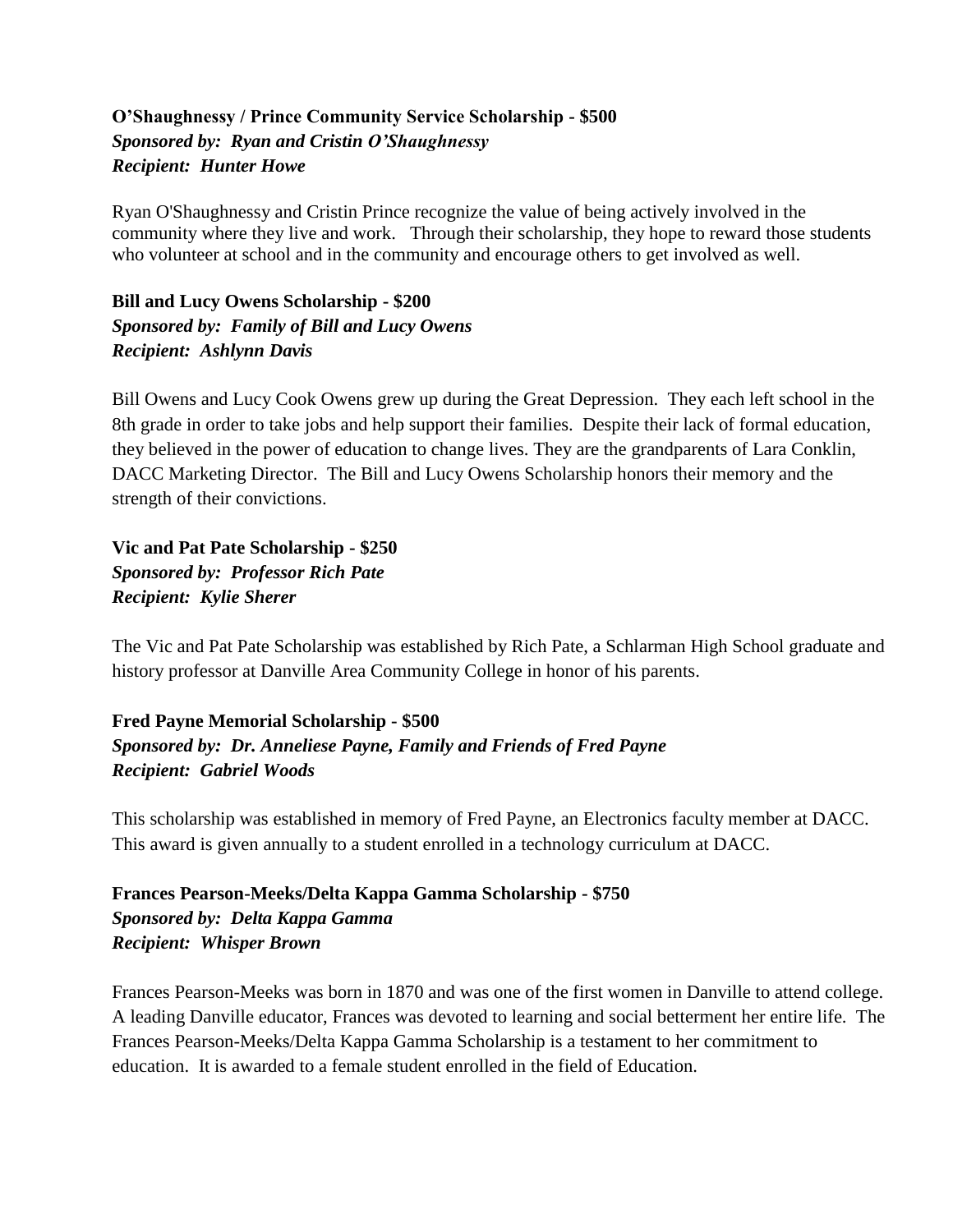#### **O'Shaughnessy / Prince Community Service Scholarship - \$500** *Sponsored by: Ryan and Cristin O'Shaughnessy Recipient: Hunter Howe*

Ryan O'Shaughnessy and Cristin Prince recognize the value of being actively involved in the community where they live and work. Through their scholarship, they hope to reward those students who volunteer at school and in the community and encourage others to get involved as well.

**Bill and Lucy Owens Scholarship - \$200** *Sponsored by: Family of Bill and Lucy Owens Recipient: Ashlynn Davis*

Bill Owens and Lucy Cook Owens grew up during the Great Depression. They each left school in the 8th grade in order to take jobs and help support their families. Despite their lack of formal education, they believed in the power of education to change lives. They are the grandparents of Lara Conklin, DACC Marketing Director. The Bill and Lucy Owens Scholarship honors their memory and the strength of their convictions.

**Vic and Pat Pate Scholarship - \$250** *Sponsored by: Professor Rich Pate Recipient: Kylie Sherer*

The Vic and Pat Pate Scholarship was established by Rich Pate, a Schlarman High School graduate and history professor at Danville Area Community College in honor of his parents.

#### **Fred Payne Memorial Scholarship - \$500** *Sponsored by: Dr. Anneliese Payne, Family and Friends of Fred Payne Recipient: Gabriel Woods*

This scholarship was established in memory of Fred Payne, an Electronics faculty member at DACC. This award is given annually to a student enrolled in a technology curriculum at DACC.

#### **Frances Pearson-Meeks/Delta Kappa Gamma Scholarship - \$750** *Sponsored by: Delta Kappa Gamma Recipient: Whisper Brown*

Frances Pearson-Meeks was born in 1870 and was one of the first women in Danville to attend college. A leading Danville educator, Frances was devoted to learning and social betterment her entire life. The Frances Pearson-Meeks/Delta Kappa Gamma Scholarship is a testament to her commitment to education. It is awarded to a female student enrolled in the field of Education.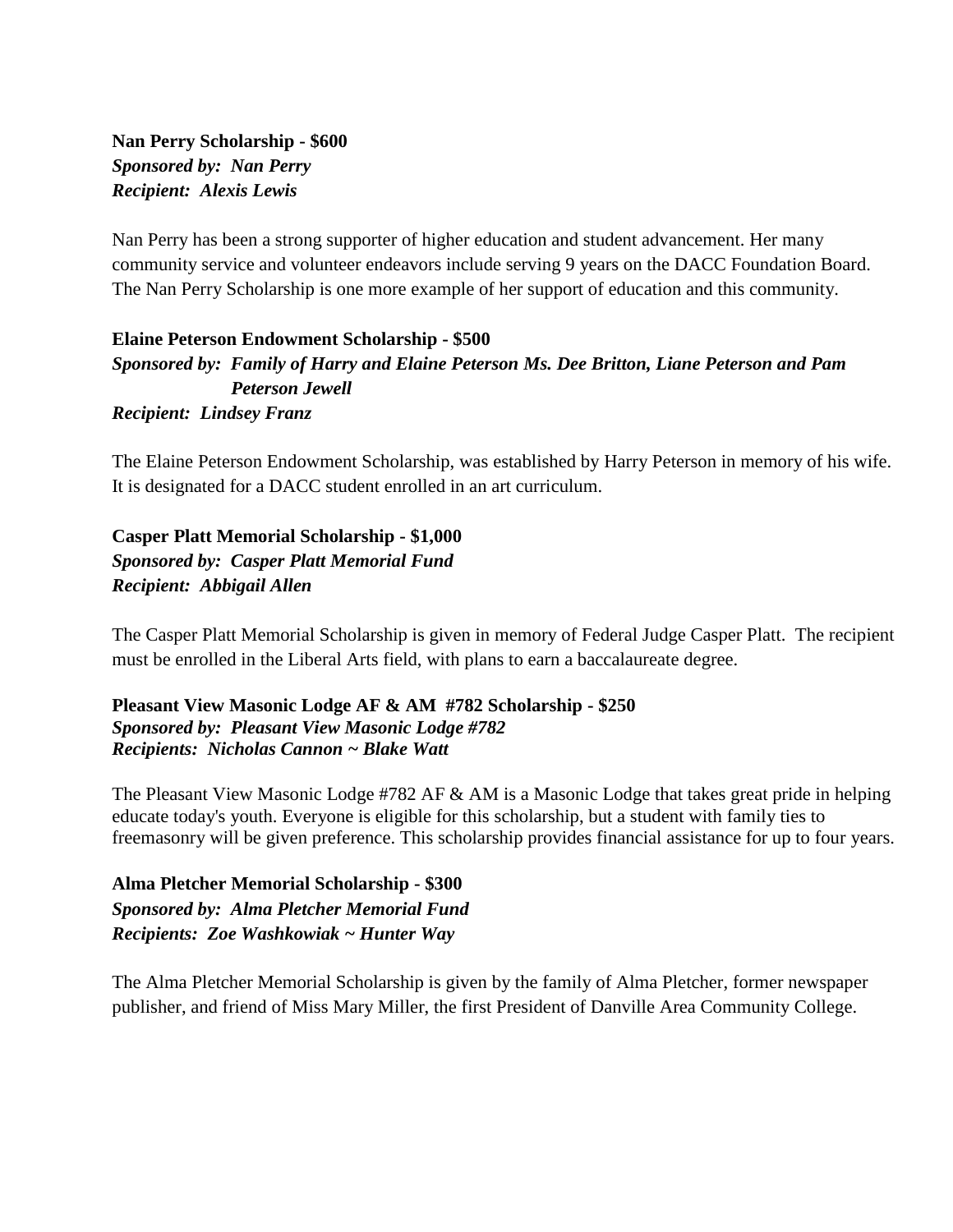**Nan Perry Scholarship - \$600** *Sponsored by: Nan Perry Recipient: Alexis Lewis*

Nan Perry has been a strong supporter of higher education and student advancement. Her many community service and volunteer endeavors include serving 9 years on the DACC Foundation Board. The Nan Perry Scholarship is one more example of her support of education and this community.

**Elaine Peterson Endowment Scholarship - \$500** *Sponsored by: Family of Harry and Elaine Peterson Ms. Dee Britton, Liane Peterson and Pam Peterson Jewell Recipient: Lindsey Franz*

The Elaine Peterson Endowment Scholarship, was established by Harry Peterson in memory of his wife. It is designated for a DACC student enrolled in an art curriculum.

**Casper Platt Memorial Scholarship - \$1,000** *Sponsored by: Casper Platt Memorial Fund Recipient: Abbigail Allen*

The Casper Platt Memorial Scholarship is given in memory of Federal Judge Casper Platt. The recipient must be enrolled in the Liberal Arts field, with plans to earn a baccalaureate degree.

**Pleasant View Masonic Lodge AF & AM #782 Scholarship - \$250** *Sponsored by: Pleasant View Masonic Lodge #782 Recipients: Nicholas Cannon ~ Blake Watt*

The Pleasant View Masonic Lodge #782 AF & AM is a Masonic Lodge that takes great pride in helping educate today's youth. Everyone is eligible for this scholarship, but a student with family ties to freemasonry will be given preference. This scholarship provides financial assistance for up to four years.

**Alma Pletcher Memorial Scholarship - \$300** *Sponsored by: Alma Pletcher Memorial Fund Recipients: Zoe Washkowiak ~ Hunter Way*

The Alma Pletcher Memorial Scholarship is given by the family of Alma Pletcher, former newspaper publisher, and friend of Miss Mary Miller, the first President of Danville Area Community College.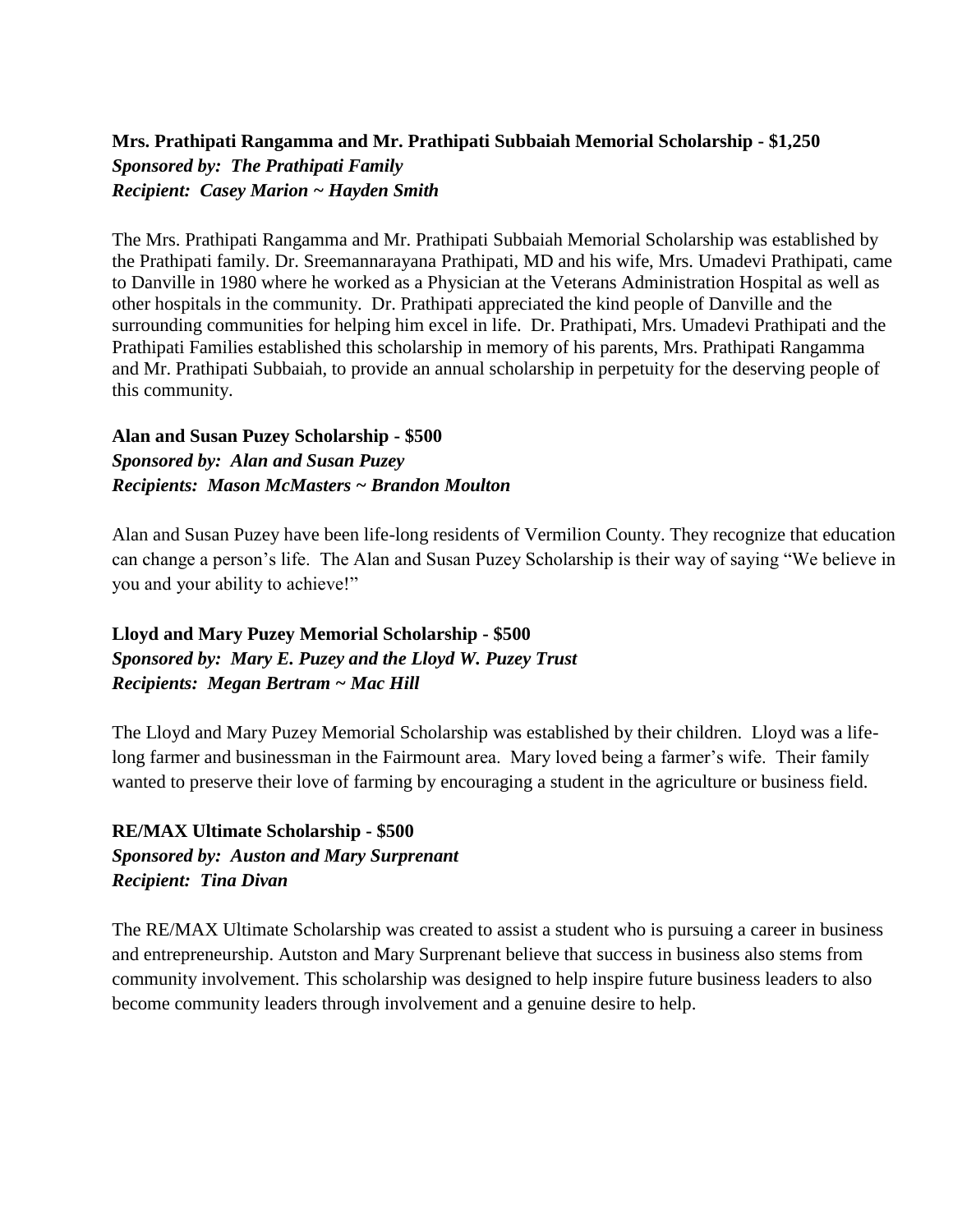#### **Mrs. Prathipati Rangamma and Mr. Prathipati Subbaiah Memorial Scholarship - \$1,250** *Sponsored by: The Prathipati Family Recipient: Casey Marion ~ Hayden Smith*

The Mrs. Prathipati Rangamma and Mr. Prathipati Subbaiah Memorial Scholarship was established by the Prathipati family. Dr. Sreemannarayana Prathipati, MD and his wife, Mrs. Umadevi Prathipati, came to Danville in 1980 where he worked as a Physician at the Veterans Administration Hospital as well as other hospitals in the community. Dr. Prathipati appreciated the kind people of Danville and the surrounding communities for helping him excel in life. Dr. Prathipati, Mrs. Umadevi Prathipati and the Prathipati Families established this scholarship in memory of his parents, Mrs. Prathipati Rangamma and Mr. Prathipati Subbaiah, to provide an annual scholarship in perpetuity for the deserving people of this community.

#### **Alan and Susan Puzey Scholarship - \$500** *Sponsored by: Alan and Susan Puzey Recipients: Mason McMasters ~ Brandon Moulton*

Alan and Susan Puzey have been life-long residents of Vermilion County. They recognize that education can change a person's life. The Alan and Susan Puzey Scholarship is their way of saying "We believe in you and your ability to achieve!"

#### **Lloyd and Mary Puzey Memorial Scholarship - \$500** *Sponsored by: Mary E. Puzey and the Lloyd W. Puzey Trust Recipients: Megan Bertram ~ Mac Hill*

The Lloyd and Mary Puzey Memorial Scholarship was established by their children. Lloyd was a lifelong farmer and businessman in the Fairmount area. Mary loved being a farmer's wife. Their family wanted to preserve their love of farming by encouraging a student in the agriculture or business field.

#### **RE/MAX Ultimate Scholarship - \$500** *Sponsored by: Auston and Mary Surprenant Recipient: Tina Divan*

The RE/MAX Ultimate Scholarship was created to assist a student who is pursuing a career in business and entrepreneurship. Autston and Mary Surprenant believe that success in business also stems from community involvement. This scholarship was designed to help inspire future business leaders to also become community leaders through involvement and a genuine desire to help.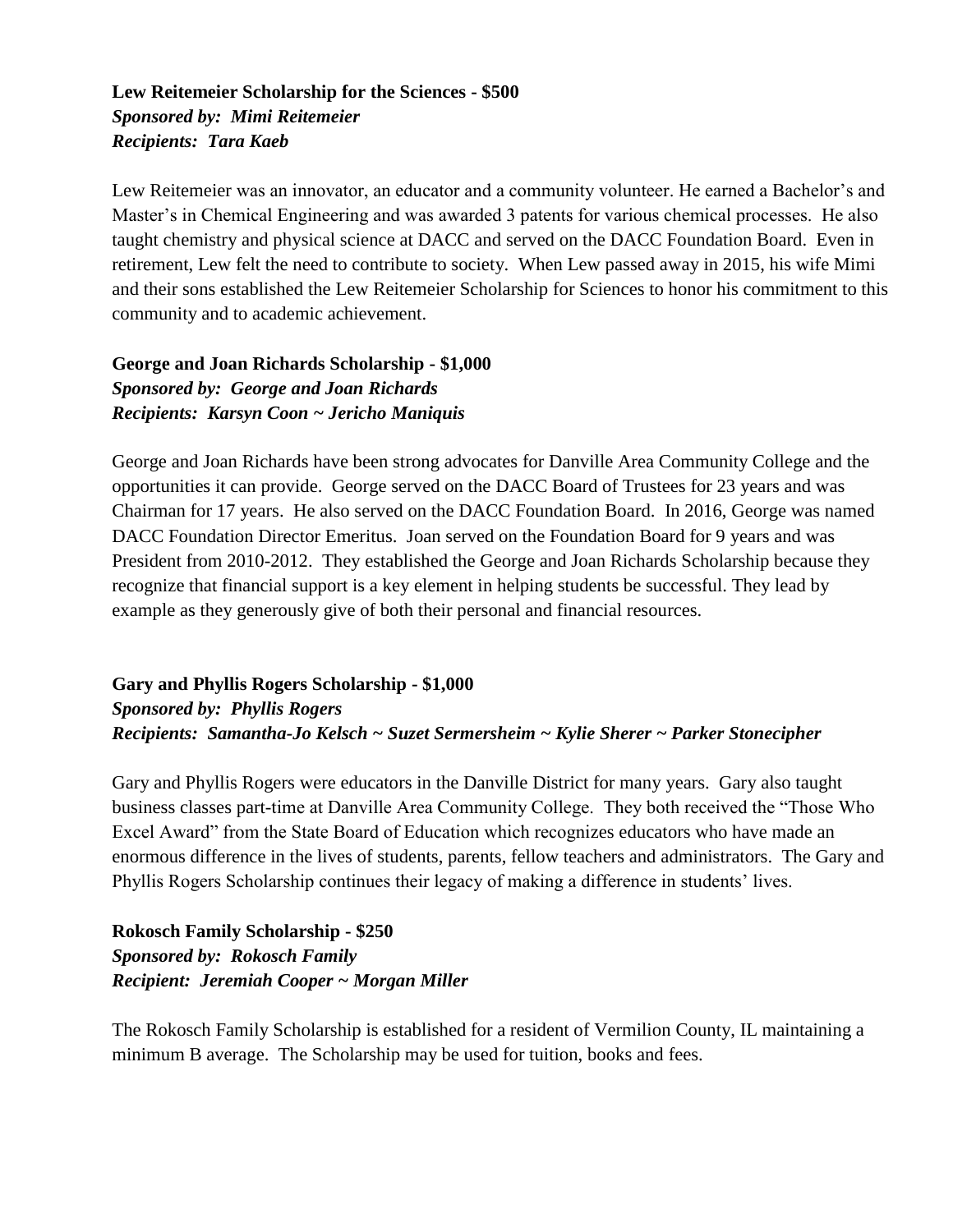#### **Lew Reitemeier Scholarship for the Sciences - \$500** *Sponsored by: Mimi Reitemeier Recipients: Tara Kaeb*

Lew Reitemeier was an innovator, an educator and a community volunteer. He earned a Bachelor's and Master's in Chemical Engineering and was awarded 3 patents for various chemical processes. He also taught chemistry and physical science at DACC and served on the DACC Foundation Board. Even in retirement, Lew felt the need to contribute to society. When Lew passed away in 2015, his wife Mimi and their sons established the Lew Reitemeier Scholarship for Sciences to honor his commitment to this community and to academic achievement.

**George and Joan Richards Scholarship - \$1,000** *Sponsored by: George and Joan Richards Recipients: Karsyn Coon ~ Jericho Maniquis*

George and Joan Richards have been strong advocates for Danville Area Community College and the opportunities it can provide. George served on the DACC Board of Trustees for 23 years and was Chairman for 17 years. He also served on the DACC Foundation Board. In 2016, George was named DACC Foundation Director Emeritus. Joan served on the Foundation Board for 9 years and was President from 2010-2012. They established the George and Joan Richards Scholarship because they recognize that financial support is a key element in helping students be successful. They lead by example as they generously give of both their personal and financial resources.

**Gary and Phyllis Rogers Scholarship - \$1,000** *Sponsored by: Phyllis Rogers Recipients: Samantha-Jo Kelsch ~ Suzet Sermersheim ~ Kylie Sherer ~ Parker Stonecipher*

Gary and Phyllis Rogers were educators in the Danville District for many years. Gary also taught business classes part-time at Danville Area Community College. They both received the "Those Who Excel Award" from the State Board of Education which recognizes educators who have made an enormous difference in the lives of students, parents, fellow teachers and administrators. The Gary and Phyllis Rogers Scholarship continues their legacy of making a difference in students' lives.

**Rokosch Family Scholarship - \$250** *Sponsored by: Rokosch Family Recipient: Jeremiah Cooper ~ Morgan Miller*

The Rokosch Family Scholarship is established for a resident of Vermilion County, IL maintaining a minimum B average. The Scholarship may be used for tuition, books and fees.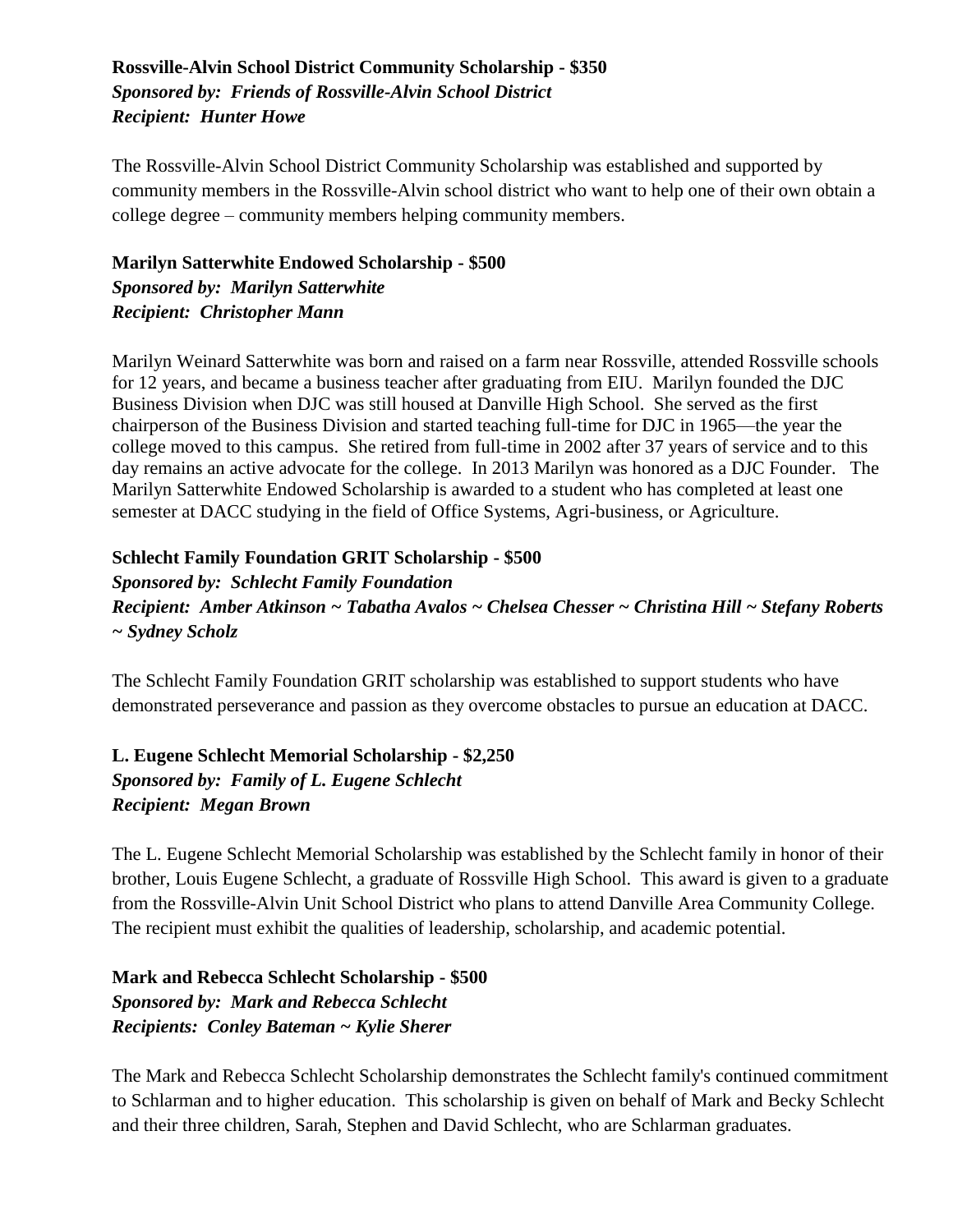#### **Rossville-Alvin School District Community Scholarship - \$350** *Sponsored by: Friends of Rossville-Alvin School District Recipient: Hunter Howe*

The Rossville-Alvin School District Community Scholarship was established and supported by community members in the Rossville-Alvin school district who want to help one of their own obtain a college degree – community members helping community members.

**Marilyn Satterwhite Endowed Scholarship - \$500** *Sponsored by: Marilyn Satterwhite Recipient: Christopher Mann*

Marilyn Weinard Satterwhite was born and raised on a farm near Rossville, attended Rossville schools for 12 years, and became a business teacher after graduating from EIU. Marilyn founded the DJC Business Division when DJC was still housed at Danville High School. She served as the first chairperson of the Business Division and started teaching full-time for DJC in 1965—the year the college moved to this campus. She retired from full-time in 2002 after 37 years of service and to this day remains an active advocate for the college. In 2013 Marilyn was honored as a DJC Founder. The Marilyn Satterwhite Endowed Scholarship is awarded to a student who has completed at least one semester at DACC studying in the field of Office Systems, Agri-business, or Agriculture.

#### **Schlecht Family Foundation GRIT Scholarship - \$500**

*Sponsored by: Schlecht Family Foundation Recipient: Amber Atkinson ~ Tabatha Avalos ~ Chelsea Chesser ~ Christina Hill ~ Stefany Roberts ~ Sydney Scholz*

The Schlecht Family Foundation GRIT scholarship was established to support students who have demonstrated perseverance and passion as they overcome obstacles to pursue an education at DACC.

**L. Eugene Schlecht Memorial Scholarship - \$2,250** *Sponsored by: Family of L. Eugene Schlecht Recipient: Megan Brown*

The L. Eugene Schlecht Memorial Scholarship was established by the Schlecht family in honor of their brother, Louis Eugene Schlecht, a graduate of Rossville High School. This award is given to a graduate from the Rossville-Alvin Unit School District who plans to attend Danville Area Community College. The recipient must exhibit the qualities of leadership, scholarship, and academic potential.

**Mark and Rebecca Schlecht Scholarship - \$500** *Sponsored by: Mark and Rebecca Schlecht Recipients: Conley Bateman ~ Kylie Sherer*

The Mark and Rebecca Schlecht Scholarship demonstrates the Schlecht family's continued commitment to Schlarman and to higher education. This scholarship is given on behalf of Mark and Becky Schlecht and their three children, Sarah, Stephen and David Schlecht, who are Schlarman graduates.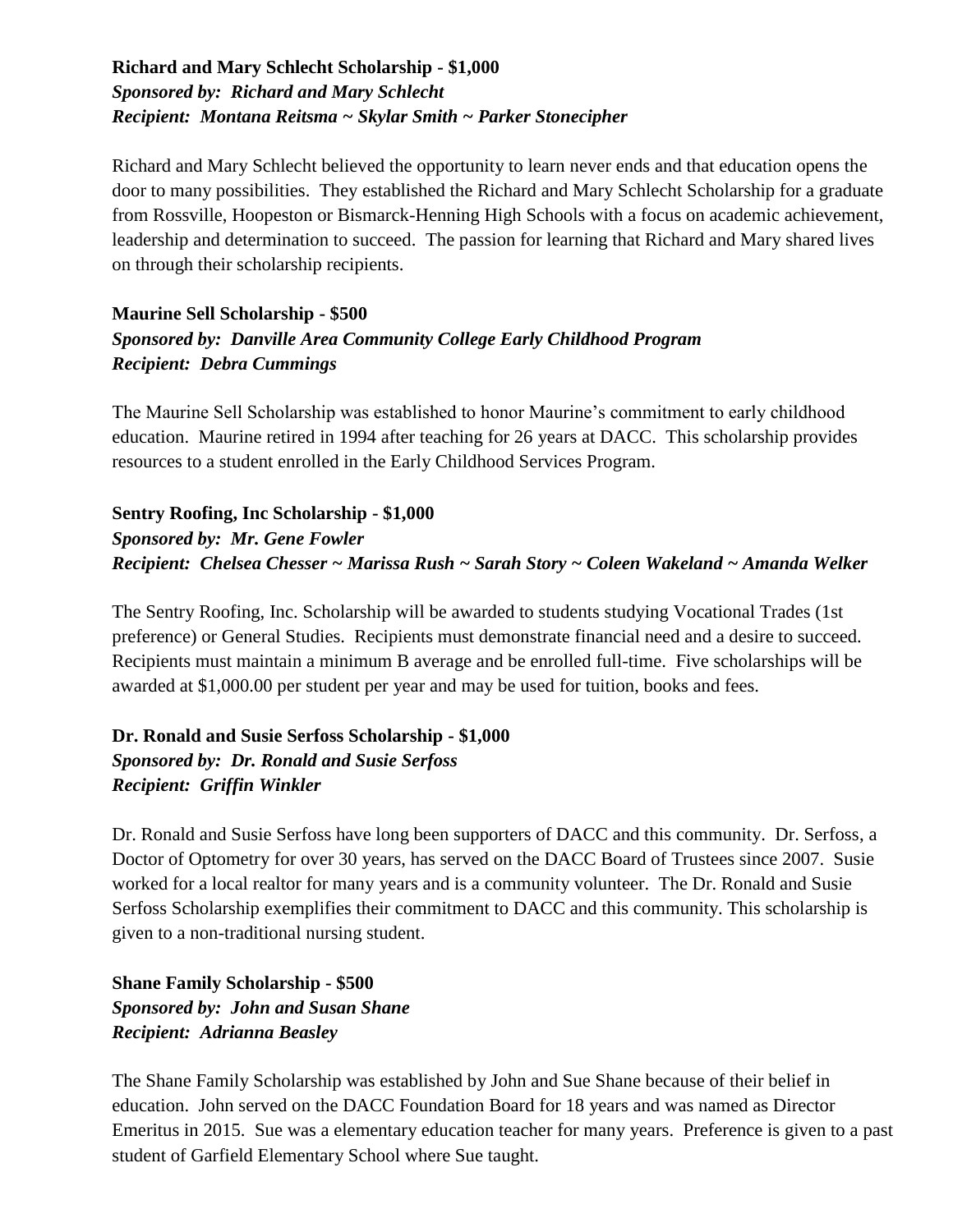#### **Richard and Mary Schlecht Scholarship - \$1,000** *Sponsored by: Richard and Mary Schlecht Recipient: Montana Reitsma ~ Skylar Smith ~ Parker Stonecipher*

Richard and Mary Schlecht believed the opportunity to learn never ends and that education opens the door to many possibilities. They established the Richard and Mary Schlecht Scholarship for a graduate from Rossville, Hoopeston or Bismarck-Henning High Schools with a focus on academic achievement, leadership and determination to succeed. The passion for learning that Richard and Mary shared lives on through their scholarship recipients.

#### **Maurine Sell Scholarship - \$500** *Sponsored by: Danville Area Community College Early Childhood Program Recipient: Debra Cummings*

The Maurine Sell Scholarship was established to honor Maurine's commitment to early childhood education. Maurine retired in 1994 after teaching for 26 years at DACC. This scholarship provides resources to a student enrolled in the Early Childhood Services Program.

**Sentry Roofing, Inc Scholarship - \$1,000** *Sponsored by: Mr. Gene Fowler Recipient: Chelsea Chesser ~ Marissa Rush ~ Sarah Story ~ Coleen Wakeland ~ Amanda Welker*

The Sentry Roofing, Inc. Scholarship will be awarded to students studying Vocational Trades (1st preference) or General Studies. Recipients must demonstrate financial need and a desire to succeed. Recipients must maintain a minimum B average and be enrolled full-time. Five scholarships will be awarded at \$1,000.00 per student per year and may be used for tuition, books and fees.

#### **Dr. Ronald and Susie Serfoss Scholarship - \$1,000** *Sponsored by: Dr. Ronald and Susie Serfoss Recipient: Griffin Winkler*

Dr. Ronald and Susie Serfoss have long been supporters of DACC and this community. Dr. Serfoss, a Doctor of Optometry for over 30 years, has served on the DACC Board of Trustees since 2007. Susie worked for a local realtor for many years and is a community volunteer. The Dr. Ronald and Susie Serfoss Scholarship exemplifies their commitment to DACC and this community. This scholarship is given to a non-traditional nursing student.

**Shane Family Scholarship - \$500** *Sponsored by: John and Susan Shane Recipient: Adrianna Beasley*

The Shane Family Scholarship was established by John and Sue Shane because of their belief in education. John served on the DACC Foundation Board for 18 years and was named as Director Emeritus in 2015. Sue was a elementary education teacher for many years. Preference is given to a past student of Garfield Elementary School where Sue taught.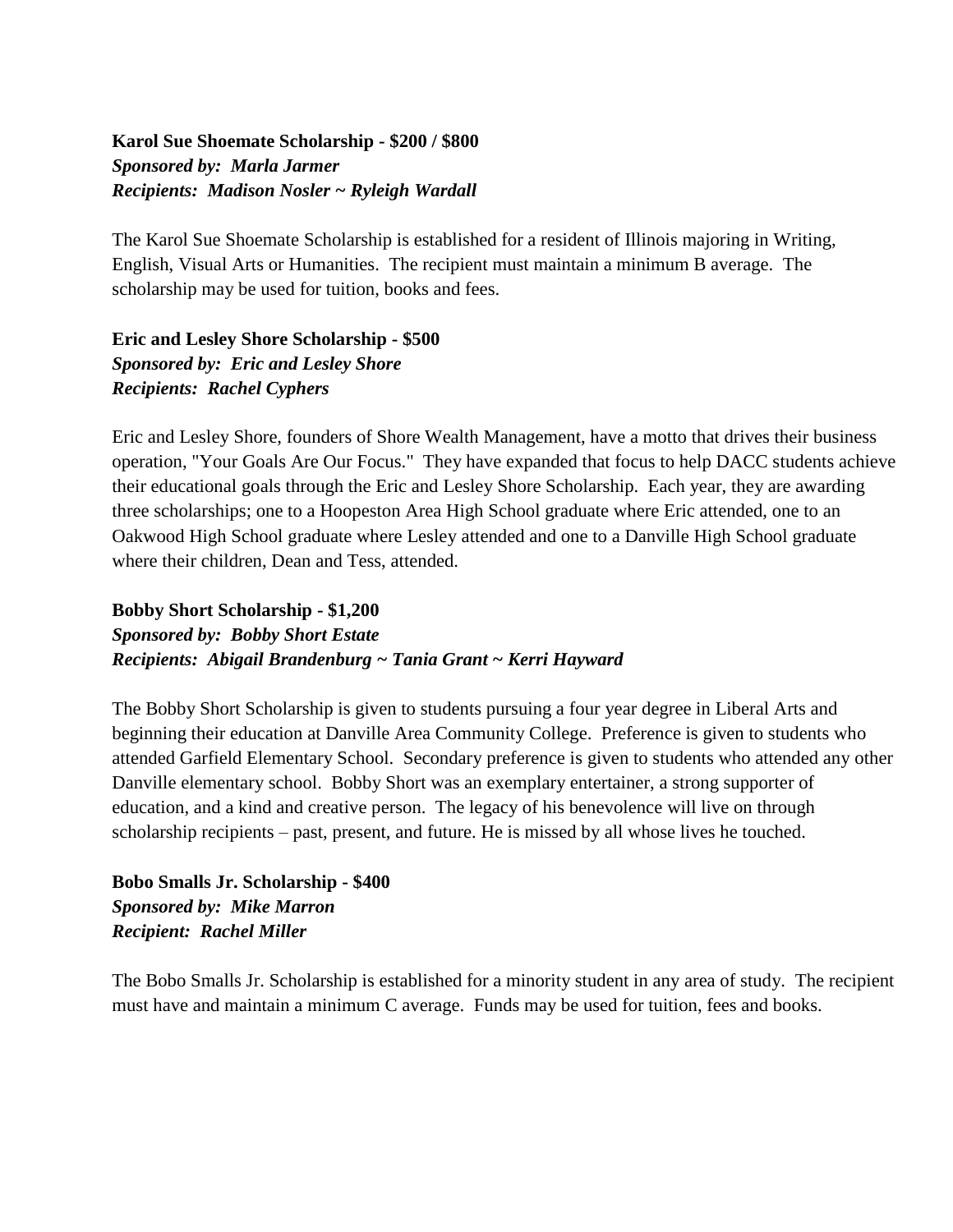#### **Karol Sue Shoemate Scholarship - \$200 / \$800** *Sponsored by: Marla Jarmer Recipients: Madison Nosler ~ Ryleigh Wardall*

The Karol Sue Shoemate Scholarship is established for a resident of Illinois majoring in Writing, English, Visual Arts or Humanities. The recipient must maintain a minimum B average. The scholarship may be used for tuition, books and fees.

**Eric and Lesley Shore Scholarship - \$500** *Sponsored by: Eric and Lesley Shore Recipients: Rachel Cyphers*

Eric and Lesley Shore, founders of Shore Wealth Management, have a motto that drives their business operation, "Your Goals Are Our Focus." They have expanded that focus to help DACC students achieve their educational goals through the Eric and Lesley Shore Scholarship. Each year, they are awarding three scholarships; one to a Hoopeston Area High School graduate where Eric attended, one to an Oakwood High School graduate where Lesley attended and one to a Danville High School graduate where their children, Dean and Tess, attended.

**Bobby Short Scholarship - \$1,200**

*Sponsored by: Bobby Short Estate Recipients: Abigail Brandenburg ~ Tania Grant ~ Kerri Hayward*

The Bobby Short Scholarship is given to students pursuing a four year degree in Liberal Arts and beginning their education at Danville Area Community College. Preference is given to students who attended Garfield Elementary School. Secondary preference is given to students who attended any other Danville elementary school. Bobby Short was an exemplary entertainer, a strong supporter of education, and a kind and creative person. The legacy of his benevolence will live on through scholarship recipients – past, present, and future. He is missed by all whose lives he touched.

**Bobo Smalls Jr. Scholarship - \$400** *Sponsored by: Mike Marron Recipient: Rachel Miller*

The Bobo Smalls Jr. Scholarship is established for a minority student in any area of study. The recipient must have and maintain a minimum C average. Funds may be used for tuition, fees and books.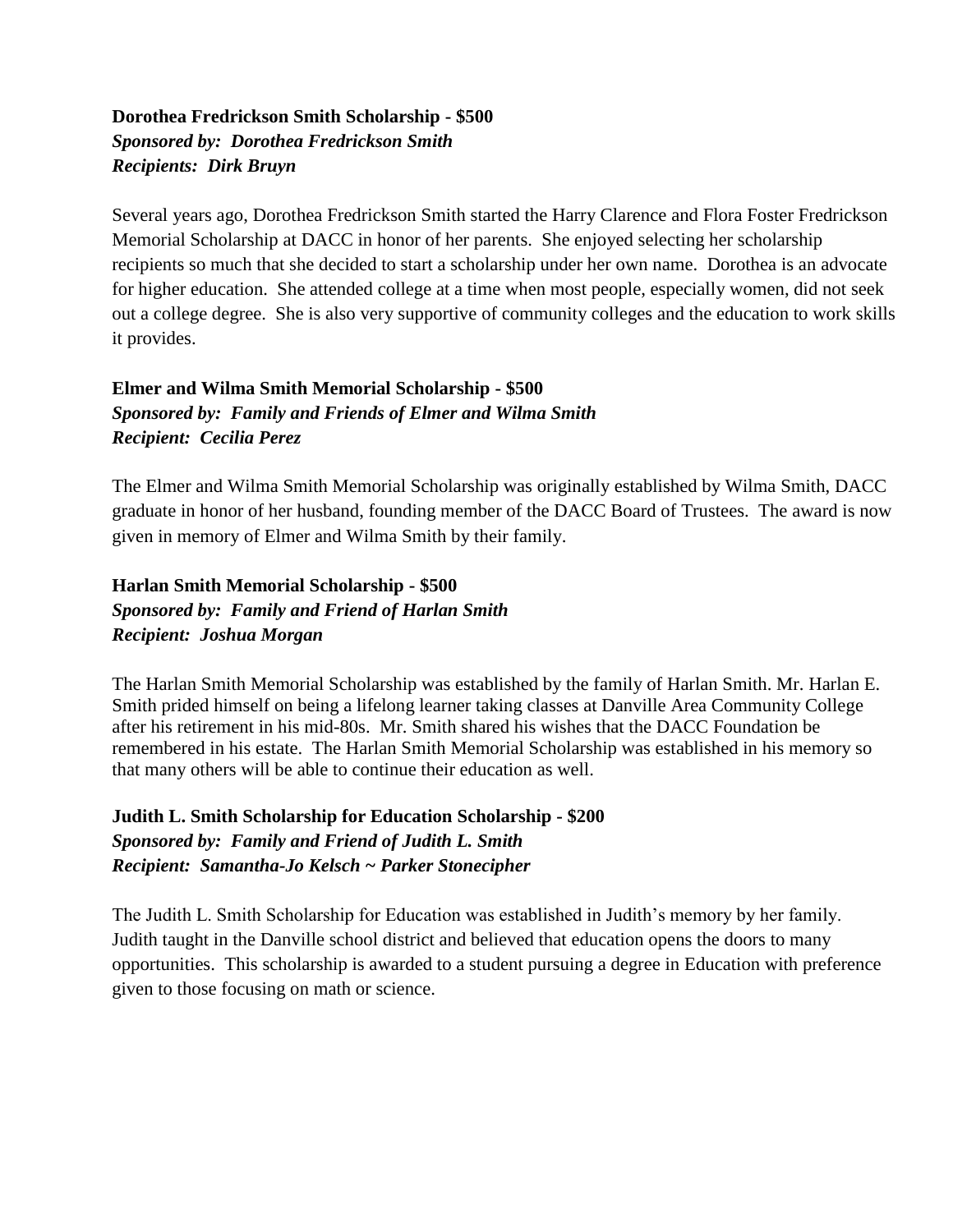#### **Dorothea Fredrickson Smith Scholarship - \$500** *Sponsored by: Dorothea Fredrickson Smith Recipients: Dirk Bruyn*

Several years ago, Dorothea Fredrickson Smith started the Harry Clarence and Flora Foster Fredrickson Memorial Scholarship at DACC in honor of her parents. She enjoyed selecting her scholarship recipients so much that she decided to start a scholarship under her own name. Dorothea is an advocate for higher education. She attended college at a time when most people, especially women, did not seek out a college degree. She is also very supportive of community colleges and the education to work skills it provides.

#### **Elmer and Wilma Smith Memorial Scholarship - \$500** *Sponsored by: Family and Friends of Elmer and Wilma Smith Recipient: Cecilia Perez*

The Elmer and Wilma Smith Memorial Scholarship was originally established by Wilma Smith, DACC graduate in honor of her husband, founding member of the DACC Board of Trustees. The award is now given in memory of Elmer and Wilma Smith by their family.

#### **Harlan Smith Memorial Scholarship - \$500** *Sponsored by: Family and Friend of Harlan Smith Recipient: Joshua Morgan*

The Harlan Smith Memorial Scholarship was established by the family of Harlan Smith. Mr. Harlan E. Smith prided himself on being a lifelong learner taking classes at Danville Area Community College after his retirement in his mid-80s. Mr. Smith shared his wishes that the DACC Foundation be remembered in his estate. The Harlan Smith Memorial Scholarship was established in his memory so that many others will be able to continue their education as well.

#### **Judith L. Smith Scholarship for Education Scholarship - \$200** *Sponsored by: Family and Friend of Judith L. Smith Recipient: Samantha-Jo Kelsch ~ Parker Stonecipher*

The Judith L. Smith Scholarship for Education was established in Judith's memory by her family. Judith taught in the Danville school district and believed that education opens the doors to many opportunities. This scholarship is awarded to a student pursuing a degree in Education with preference given to those focusing on math or science.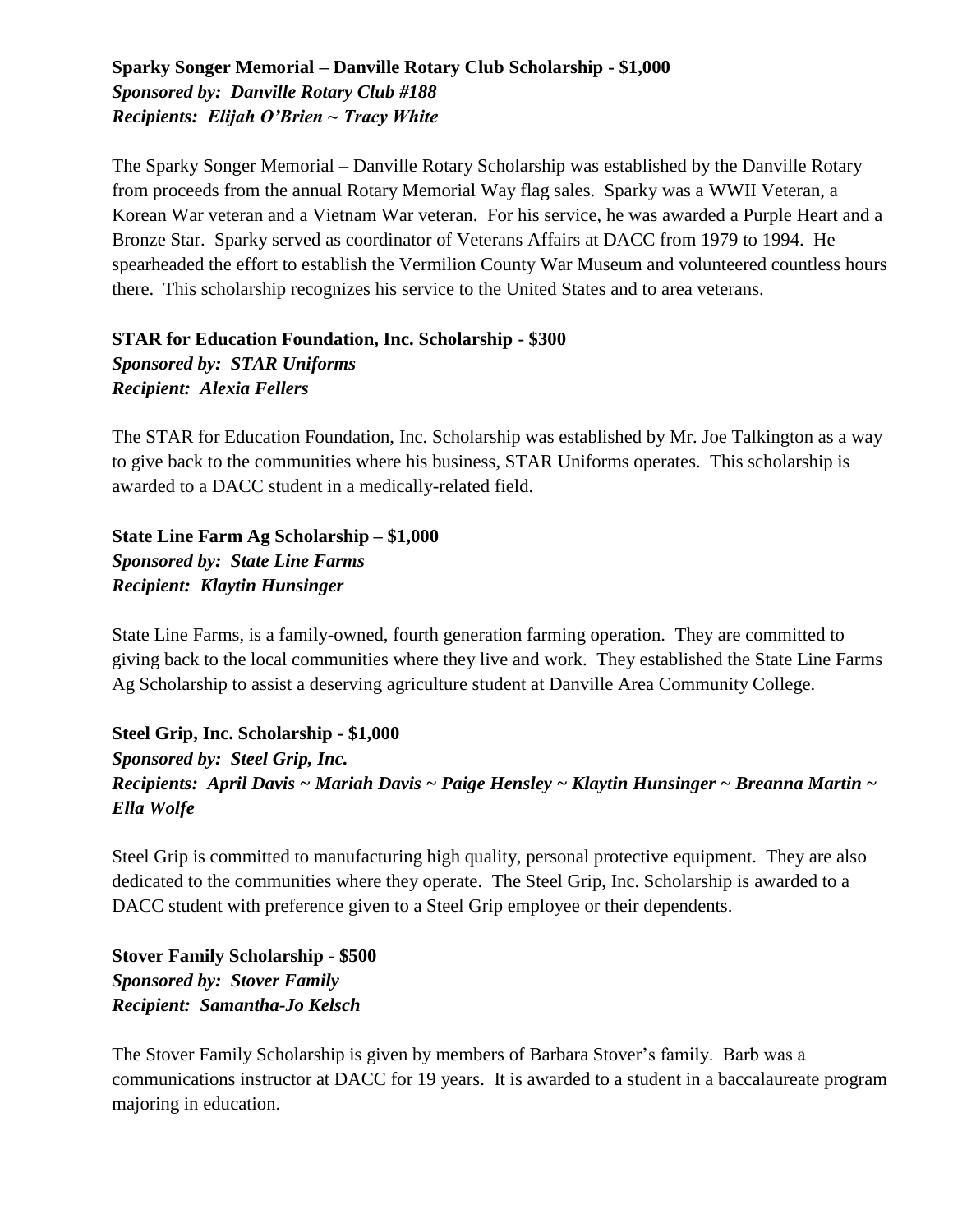#### **Sparky Songer Memorial – Danville Rotary Club Scholarship - \$1,000** *Sponsored by: Danville Rotary Club #188 Recipients: Elijah O'Brien ~ Tracy White*

The Sparky Songer Memorial – Danville Rotary Scholarship was established by the Danville Rotary from proceeds from the annual Rotary Memorial Way flag sales. Sparky was a WWII Veteran, a Korean War veteran and a Vietnam War veteran. For his service, he was awarded a Purple Heart and a Bronze Star. Sparky served as coordinator of Veterans Affairs at DACC from 1979 to 1994. He spearheaded the effort to establish the Vermilion County War Museum and volunteered countless hours there. This scholarship recognizes his service to the United States and to area veterans.

#### **STAR for Education Foundation, Inc. Scholarship - \$300** *Sponsored by: STAR Uniforms Recipient: Alexia Fellers*

The STAR for Education Foundation, Inc. Scholarship was established by Mr. Joe Talkington as a way to give back to the communities where his business, STAR Uniforms operates. This scholarship is awarded to a DACC student in a medically-related field.

**State Line Farm Ag Scholarship – \$1,000** *Sponsored by: State Line Farms Recipient: Klaytin Hunsinger*

State Line Farms, is a family-owned, fourth generation farming operation. They are committed to giving back to the local communities where they live and work. They established the State Line Farms Ag Scholarship to assist a deserving agriculture student at Danville Area Community College.

**Steel Grip, Inc. Scholarship - \$1,000** *Sponsored by: Steel Grip, Inc. Recipients: April Davis ~ Mariah Davis ~ Paige Hensley ~ Klaytin Hunsinger ~ Breanna Martin ~ Ella Wolfe*

Steel Grip is committed to manufacturing high quality, personal protective equipment. They are also dedicated to the communities where they operate. The Steel Grip, Inc. Scholarship is awarded to a DACC student with preference given to a Steel Grip employee or their dependents.

**Stover Family Scholarship - \$500** *Sponsored by: Stover Family Recipient: Samantha-Jo Kelsch*

The Stover Family Scholarship is given by members of Barbara Stover's family. Barb was a communications instructor at DACC for 19 years. It is awarded to a student in a baccalaureate program majoring in education.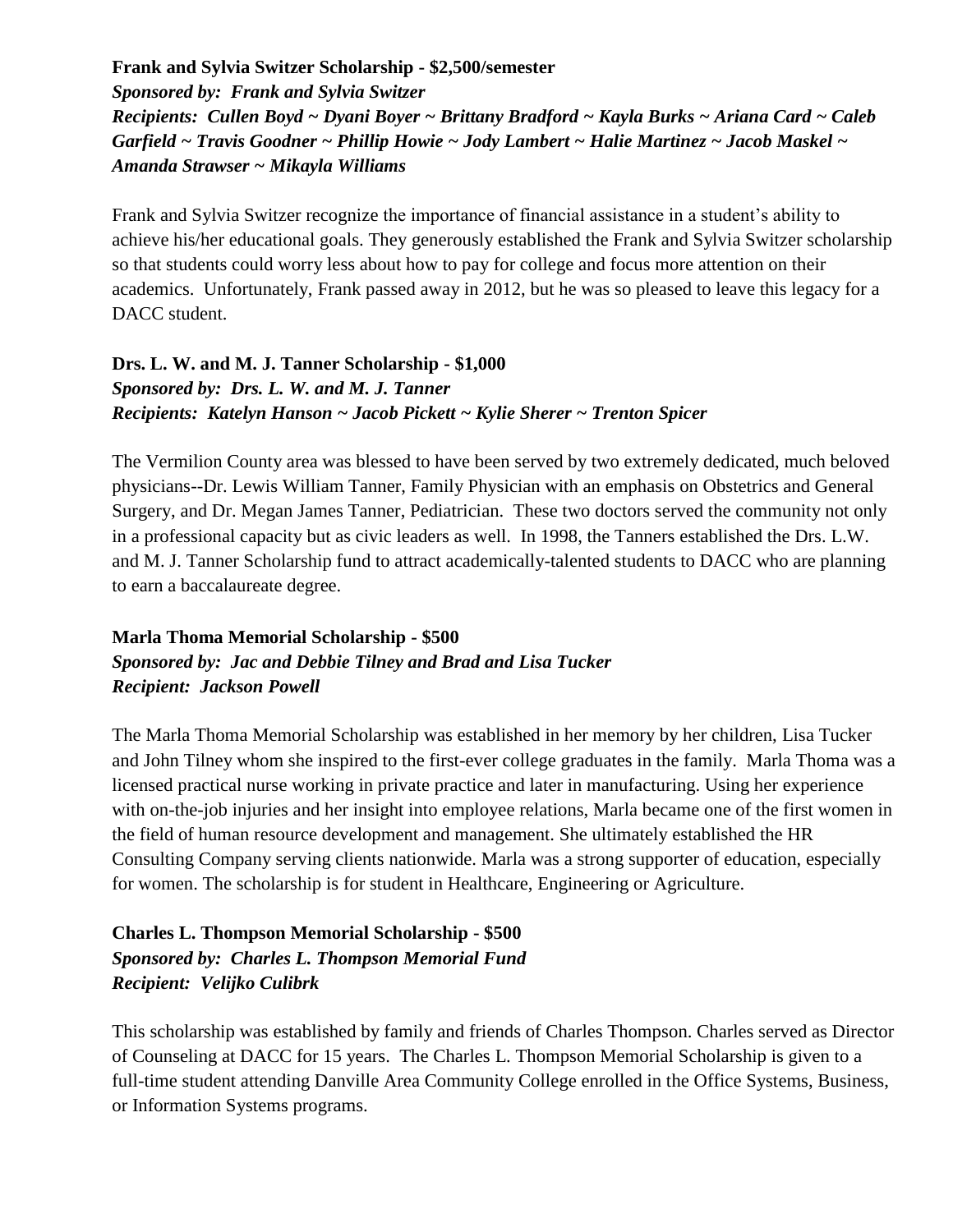#### **Frank and Sylvia Switzer Scholarship - \$2,500/semester**

*Sponsored by: Frank and Sylvia Switzer Recipients: Cullen Boyd ~ Dyani Boyer ~ Brittany Bradford ~ Kayla Burks ~ Ariana Card ~ Caleb Garfield ~ Travis Goodner ~ Phillip Howie ~ Jody Lambert ~ Halie Martinez ~ Jacob Maskel ~ Amanda Strawser ~ Mikayla Williams*

Frank and Sylvia Switzer recognize the importance of financial assistance in a student's ability to achieve his/her educational goals. They generously established the Frank and Sylvia Switzer scholarship so that students could worry less about how to pay for college and focus more attention on their academics. Unfortunately, Frank passed away in 2012, but he was so pleased to leave this legacy for a DACC student.

#### **Drs. L. W. and M. J. Tanner Scholarship - \$1,000** *Sponsored by: Drs. L. W. and M. J. Tanner Recipients: Katelyn Hanson ~ Jacob Pickett ~ Kylie Sherer ~ Trenton Spicer*

The Vermilion County area was blessed to have been served by two extremely dedicated, much beloved physicians--Dr. Lewis William Tanner, Family Physician with an emphasis on Obstetrics and General Surgery, and Dr. Megan James Tanner, Pediatrician. These two doctors served the community not only in a professional capacity but as civic leaders as well. In 1998, the Tanners established the Drs. L.W. and M. J. Tanner Scholarship fund to attract academically-talented students to DACC who are planning to earn a baccalaureate degree.

#### **Marla Thoma Memorial Scholarship - \$500** *Sponsored by: Jac and Debbie Tilney and Brad and Lisa Tucker Recipient: Jackson Powell*

The Marla Thoma Memorial Scholarship was established in her memory by her children, Lisa Tucker and John Tilney whom she inspired to the first-ever college graduates in the family. Marla Thoma was a licensed practical nurse working in private practice and later in manufacturing. Using her experience with on-the-job injuries and her insight into employee relations, Marla became one of the first women in the field of human resource development and management. She ultimately established the HR Consulting Company serving clients nationwide. Marla was a strong supporter of education, especially for women. The scholarship is for student in Healthcare, Engineering or Agriculture.

#### **Charles L. Thompson Memorial Scholarship - \$500** *Sponsored by: Charles L. Thompson Memorial Fund Recipient: Velijko Culibrk*

This scholarship was established by family and friends of Charles Thompson. Charles served as Director of Counseling at DACC for 15 years. The Charles L. Thompson Memorial Scholarship is given to a full-time student attending Danville Area Community College enrolled in the Office Systems, Business, or Information Systems programs.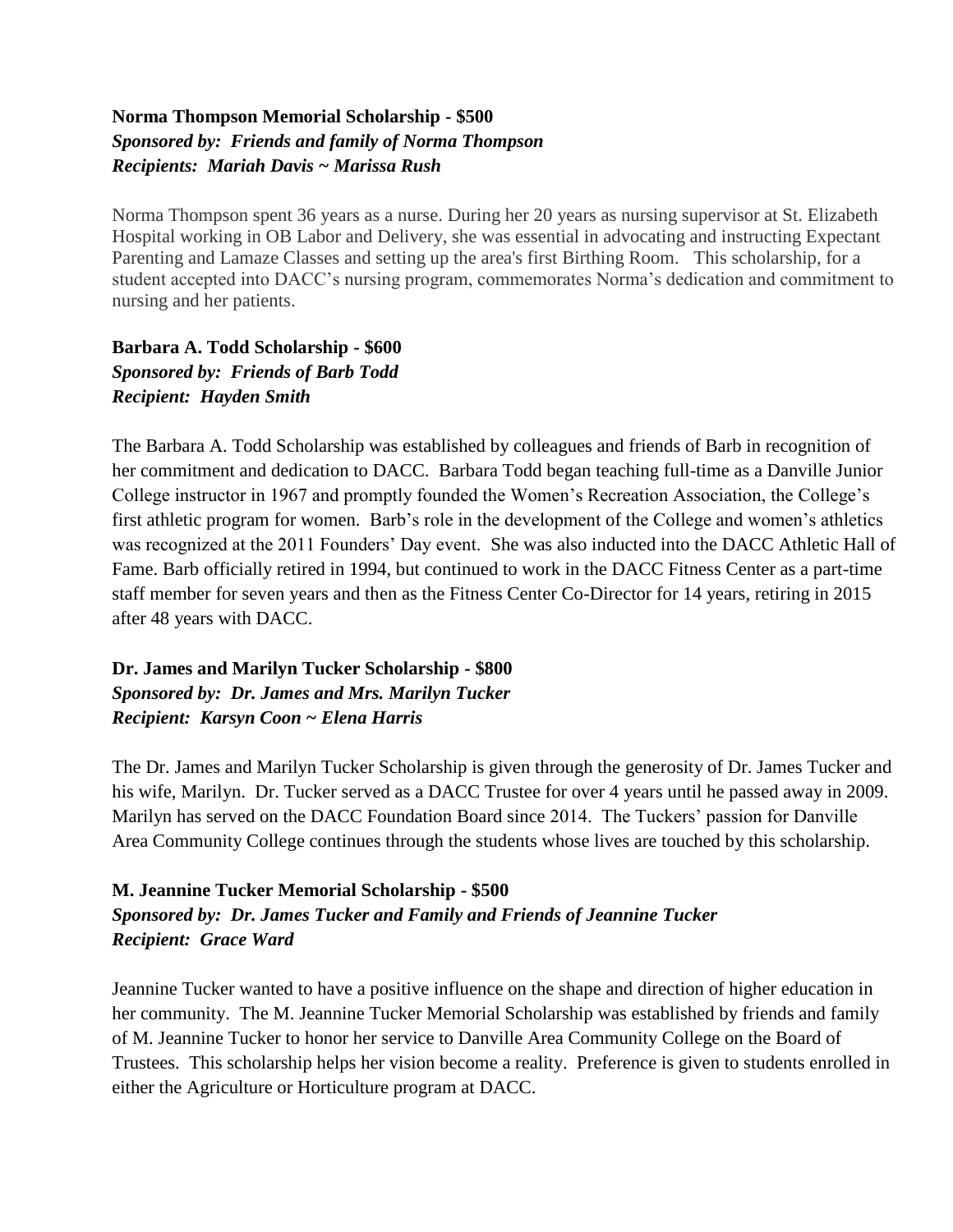#### **Norma Thompson Memorial Scholarship - \$500** *Sponsored by: Friends and family of Norma Thompson Recipients: Mariah Davis ~ Marissa Rush*

Norma Thompson spent 36 years as a nurse. During her 20 years as nursing supervisor at St. Elizabeth Hospital working in OB Labor and Delivery, she was essential in advocating and instructing Expectant Parenting and Lamaze Classes and setting up the area's first Birthing Room. This scholarship, for a student accepted into DACC's nursing program, commemorates Norma's dedication and commitment to nursing and her patients.

**Barbara A. Todd Scholarship - \$600** *Sponsored by: Friends of Barb Todd Recipient: Hayden Smith*

The Barbara A. Todd Scholarship was established by colleagues and friends of Barb in recognition of her commitment and dedication to DACC. Barbara Todd began teaching full-time as a Danville Junior College instructor in 1967 and promptly founded the Women's Recreation Association, the College's first athletic program for women. Barb's role in the development of the College and women's athletics was recognized at the 2011 Founders' Day event. She was also inducted into the DACC Athletic Hall of Fame. Barb officially retired in 1994, but continued to work in the DACC Fitness Center as a part-time staff member for seven years and then as the Fitness Center Co-Director for 14 years, retiring in 2015 after 48 years with DACC.

#### **Dr. James and Marilyn Tucker Scholarship - \$800** *Sponsored by: Dr. James and Mrs. Marilyn Tucker Recipient: Karsyn Coon ~ Elena Harris*

The Dr. James and Marilyn Tucker Scholarship is given through the generosity of Dr. James Tucker and his wife, Marilyn. Dr. Tucker served as a DACC Trustee for over 4 years until he passed away in 2009. Marilyn has served on the DACC Foundation Board since 2014. The Tuckers' passion for Danville Area Community College continues through the students whose lives are touched by this scholarship.

#### **M. Jeannine Tucker Memorial Scholarship - \$500** *Sponsored by: Dr. James Tucker and Family and Friends of Jeannine Tucker Recipient: Grace Ward*

Jeannine Tucker wanted to have a positive influence on the shape and direction of higher education in her community. The M. Jeannine Tucker Memorial Scholarship was established by friends and family of M. Jeannine Tucker to honor her service to Danville Area Community College on the Board of Trustees. This scholarship helps her vision become a reality. Preference is given to students enrolled in either the Agriculture or Horticulture program at DACC.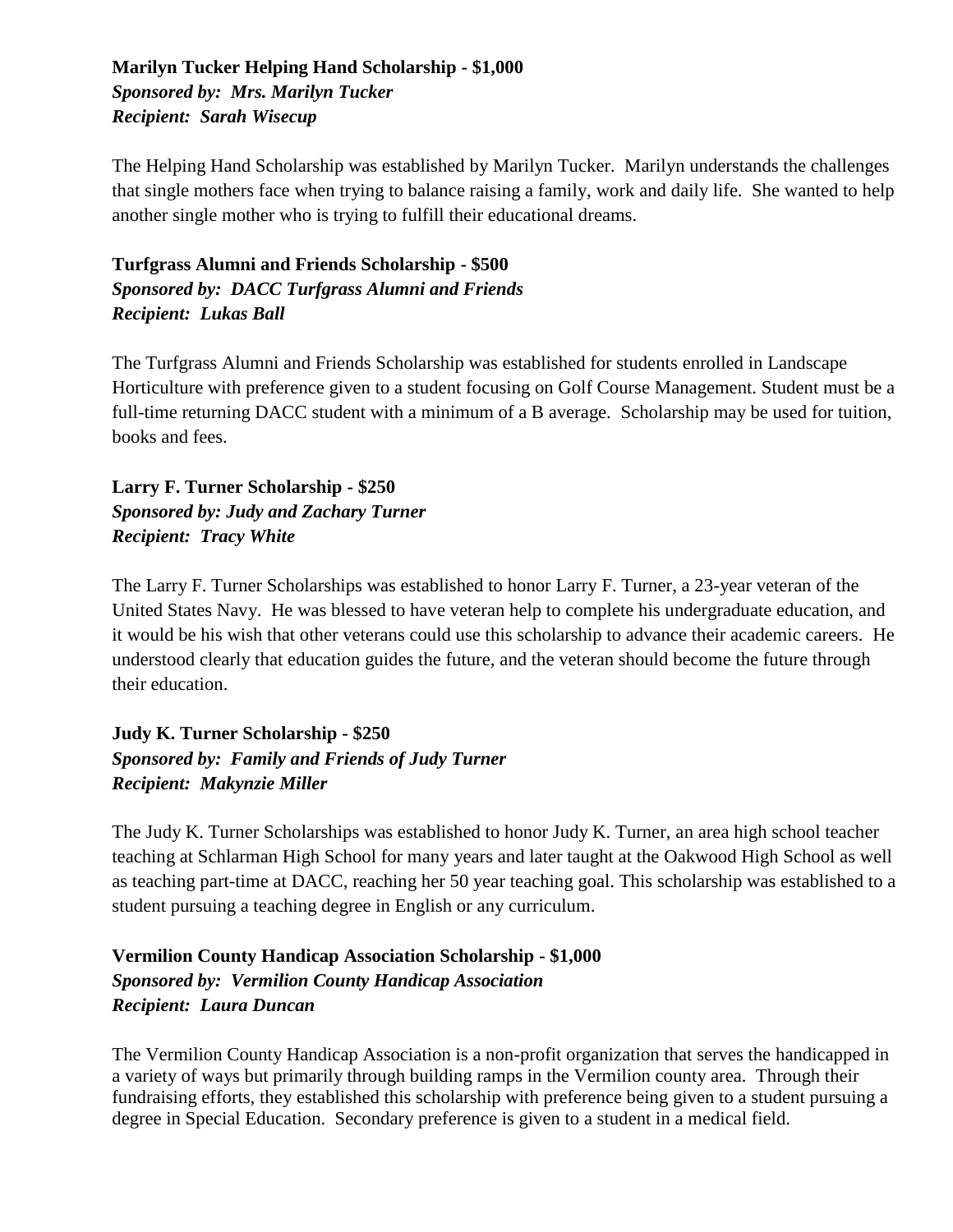#### **Marilyn Tucker Helping Hand Scholarship - \$1,000** *Sponsored by: Mrs. Marilyn Tucker Recipient: Sarah Wisecup*

The Helping Hand Scholarship was established by Marilyn Tucker. Marilyn understands the challenges that single mothers face when trying to balance raising a family, work and daily life. She wanted to help another single mother who is trying to fulfill their educational dreams.

#### **Turfgrass Alumni and Friends Scholarship - \$500** *Sponsored by: DACC Turfgrass Alumni and Friends Recipient: Lukas Ball*

The Turfgrass Alumni and Friends Scholarship was established for students enrolled in Landscape Horticulture with preference given to a student focusing on Golf Course Management. Student must be a full-time returning DACC student with a minimum of a B average. Scholarship may be used for tuition, books and fees.

#### **Larry F. Turner Scholarship - \$250** *Sponsored by: Judy and Zachary Turner Recipient: Tracy White*

The Larry F. Turner Scholarships was established to honor Larry F. Turner, a 23-year veteran of the United States Navy. He was blessed to have veteran help to complete his undergraduate education, and it would be his wish that other veterans could use this scholarship to advance their academic careers. He understood clearly that education guides the future, and the veteran should become the future through their education.

#### **Judy K. Turner Scholarship - \$250** *Sponsored by: Family and Friends of Judy Turner Recipient: Makynzie Miller*

The Judy K. Turner Scholarships was established to honor Judy K. Turner, an area high school teacher teaching at Schlarman High School for many years and later taught at the Oakwood High School as well as teaching part-time at DACC, reaching her 50 year teaching goal. This scholarship was established to a student pursuing a teaching degree in English or any curriculum.

#### **Vermilion County Handicap Association Scholarship - \$1,000** *Sponsored by: Vermilion County Handicap Association Recipient: Laura Duncan*

The Vermilion County Handicap Association is a non-profit organization that serves the handicapped in a variety of ways but primarily through building ramps in the Vermilion county area. Through their fundraising efforts, they established this scholarship with preference being given to a student pursuing a degree in Special Education. Secondary preference is given to a student in a medical field.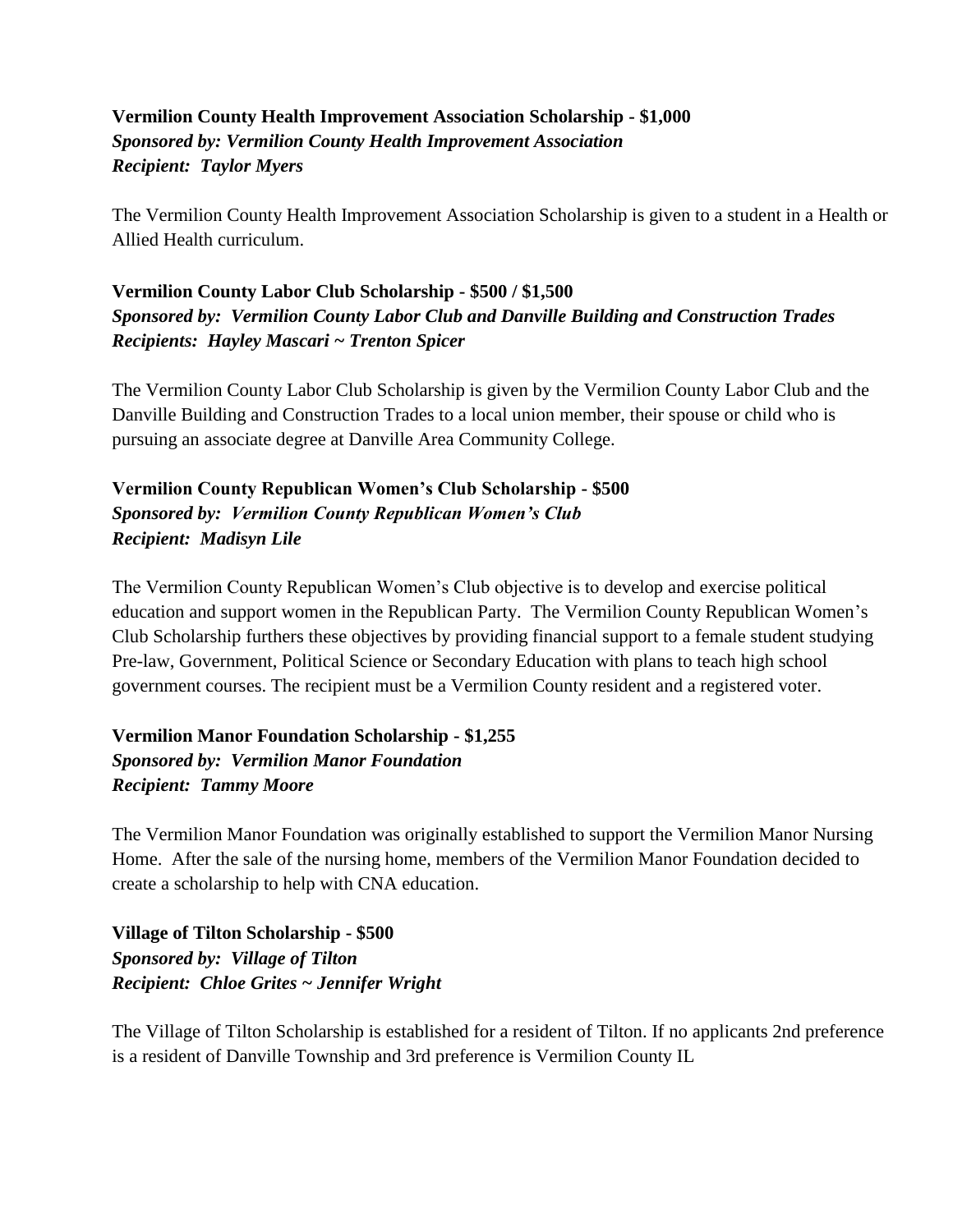#### **Vermilion County Health Improvement Association Scholarship - \$1,000** *Sponsored by: Vermilion County Health Improvement Association Recipient: Taylor Myers*

The Vermilion County Health Improvement Association Scholarship is given to a student in a Health or Allied Health curriculum.

#### **Vermilion County Labor Club Scholarship - \$500 / \$1,500** *Sponsored by: Vermilion County Labor Club and Danville Building and Construction Trades Recipients: Hayley Mascari ~ Trenton Spicer*

The Vermilion County Labor Club Scholarship is given by the Vermilion County Labor Club and the Danville Building and Construction Trades to a local union member, their spouse or child who is pursuing an associate degree at Danville Area Community College.

#### **Vermilion County Republican Women's Club Scholarship - \$500** *Sponsored by: Vermilion County Republican Women's Club Recipient: Madisyn Lile*

The Vermilion County Republican Women's Club objective is to develop and exercise political education and support women in the Republican Party. The Vermilion County Republican Women's Club Scholarship furthers these objectives by providing financial support to a female student studying Pre-law, Government, Political Science or Secondary Education with plans to teach high school government courses. The recipient must be a Vermilion County resident and a registered voter.

#### **Vermilion Manor Foundation Scholarship - \$1,255** *Sponsored by: Vermilion Manor Foundation Recipient: Tammy Moore*

The Vermilion Manor Foundation was originally established to support the Vermilion Manor Nursing Home. After the sale of the nursing home, members of the Vermilion Manor Foundation decided to create a scholarship to help with CNA education.

**Village of Tilton Scholarship - \$500** *Sponsored by: Village of Tilton Recipient: Chloe Grites ~ Jennifer Wright*

The Village of Tilton Scholarship is established for a resident of Tilton. If no applicants 2nd preference is a resident of Danville Township and 3rd preference is Vermilion County IL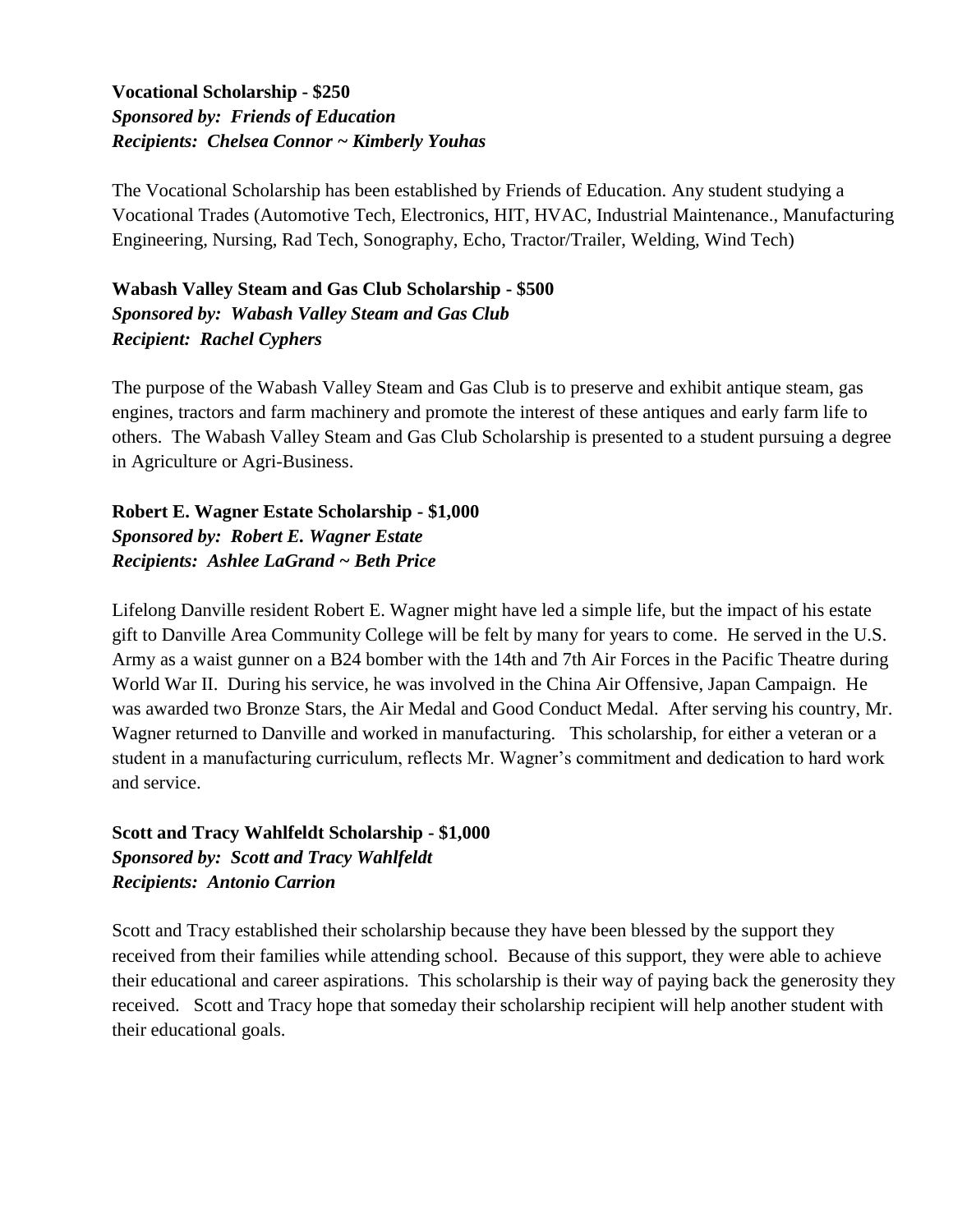#### **Vocational Scholarship - \$250** *Sponsored by: Friends of Education Recipients: Chelsea Connor ~ Kimberly Youhas*

The Vocational Scholarship has been established by Friends of Education. Any student studying a Vocational Trades (Automotive Tech, Electronics, HIT, HVAC, Industrial Maintenance., Manufacturing Engineering, Nursing, Rad Tech, Sonography, Echo, Tractor/Trailer, Welding, Wind Tech)

**Wabash Valley Steam and Gas Club Scholarship - \$500** *Sponsored by: Wabash Valley Steam and Gas Club Recipient: Rachel Cyphers*

The purpose of the Wabash Valley Steam and Gas Club is to preserve and exhibit antique steam, gas engines, tractors and farm machinery and promote the interest of these antiques and early farm life to others. The Wabash Valley Steam and Gas Club Scholarship is presented to a student pursuing a degree in Agriculture or Agri-Business.

**Robert E. Wagner Estate Scholarship - \$1,000** *Sponsored by: Robert E. Wagner Estate Recipients: Ashlee LaGrand ~ Beth Price*

Lifelong Danville resident Robert E. Wagner might have led a simple life, but the impact of his estate gift to Danville Area Community College will be felt by many for years to come. He served in the U.S. Army as a waist gunner on a B24 bomber with the 14th and 7th Air Forces in the Pacific Theatre during World War II. During his service, he was involved in the China Air Offensive, Japan Campaign. He was awarded two Bronze Stars, the Air Medal and Good Conduct Medal. After serving his country, Mr. Wagner returned to Danville and worked in manufacturing. This scholarship, for either a veteran or a student in a manufacturing curriculum, reflects Mr. Wagner's commitment and dedication to hard work and service.

**Scott and Tracy Wahlfeldt Scholarship - \$1,000** *Sponsored by: Scott and Tracy Wahlfeldt Recipients: Antonio Carrion*

Scott and Tracy established their scholarship because they have been blessed by the support they received from their families while attending school. Because of this support, they were able to achieve their educational and career aspirations. This scholarship is their way of paying back the generosity they received. Scott and Tracy hope that someday their scholarship recipient will help another student with their educational goals.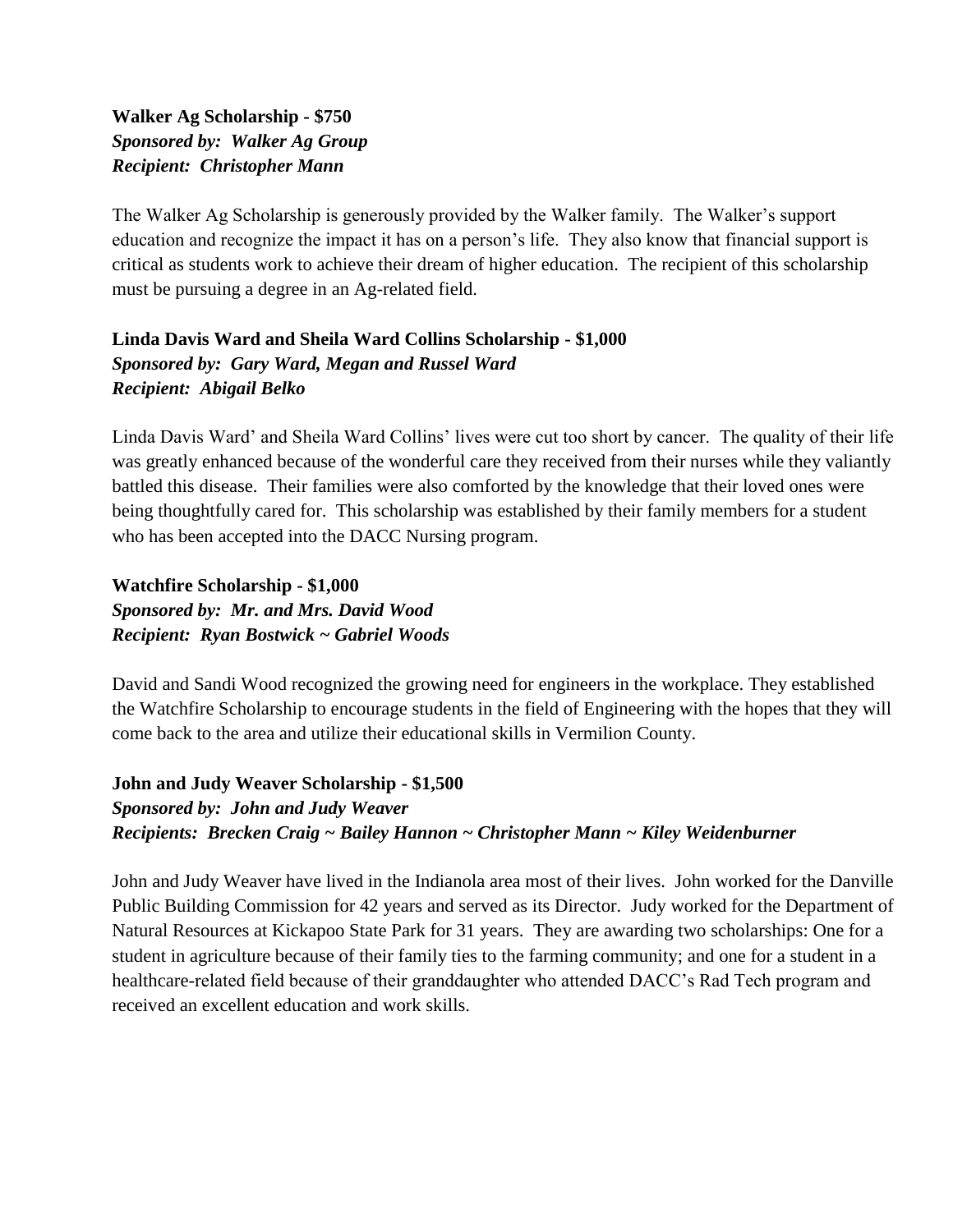#### **Walker Ag Scholarship - \$750** *Sponsored by: Walker Ag Group Recipient: Christopher Mann*

The Walker Ag Scholarship is generously provided by the Walker family. The Walker's support education and recognize the impact it has on a person's life. They also know that financial support is critical as students work to achieve their dream of higher education. The recipient of this scholarship must be pursuing a degree in an Ag-related field.

#### **Linda Davis Ward and Sheila Ward Collins Scholarship - \$1,000** *Sponsored by: Gary Ward, Megan and Russel Ward Recipient: Abigail Belko*

Linda Davis Ward' and Sheila Ward Collins' lives were cut too short by cancer. The quality of their life was greatly enhanced because of the wonderful care they received from their nurses while they valiantly battled this disease. Their families were also comforted by the knowledge that their loved ones were being thoughtfully cared for. This scholarship was established by their family members for a student who has been accepted into the DACC Nursing program.

**Watchfire Scholarship - \$1,000** *Sponsored by: Mr. and Mrs. David Wood Recipient: Ryan Bostwick ~ Gabriel Woods*

David and Sandi Wood recognized the growing need for engineers in the workplace. They established the Watchfire Scholarship to encourage students in the field of Engineering with the hopes that they will come back to the area and utilize their educational skills in Vermilion County.

#### **John and Judy Weaver Scholarship - \$1,500** *Sponsored by: John and Judy Weaver Recipients: Brecken Craig ~ Bailey Hannon ~ Christopher Mann ~ Kiley Weidenburner*

John and Judy Weaver have lived in the Indianola area most of their lives. John worked for the Danville Public Building Commission for 42 years and served as its Director. Judy worked for the Department of Natural Resources at Kickapoo State Park for 31 years. They are awarding two scholarships: One for a student in agriculture because of their family ties to the farming community; and one for a student in a healthcare-related field because of their granddaughter who attended DACC's Rad Tech program and received an excellent education and work skills.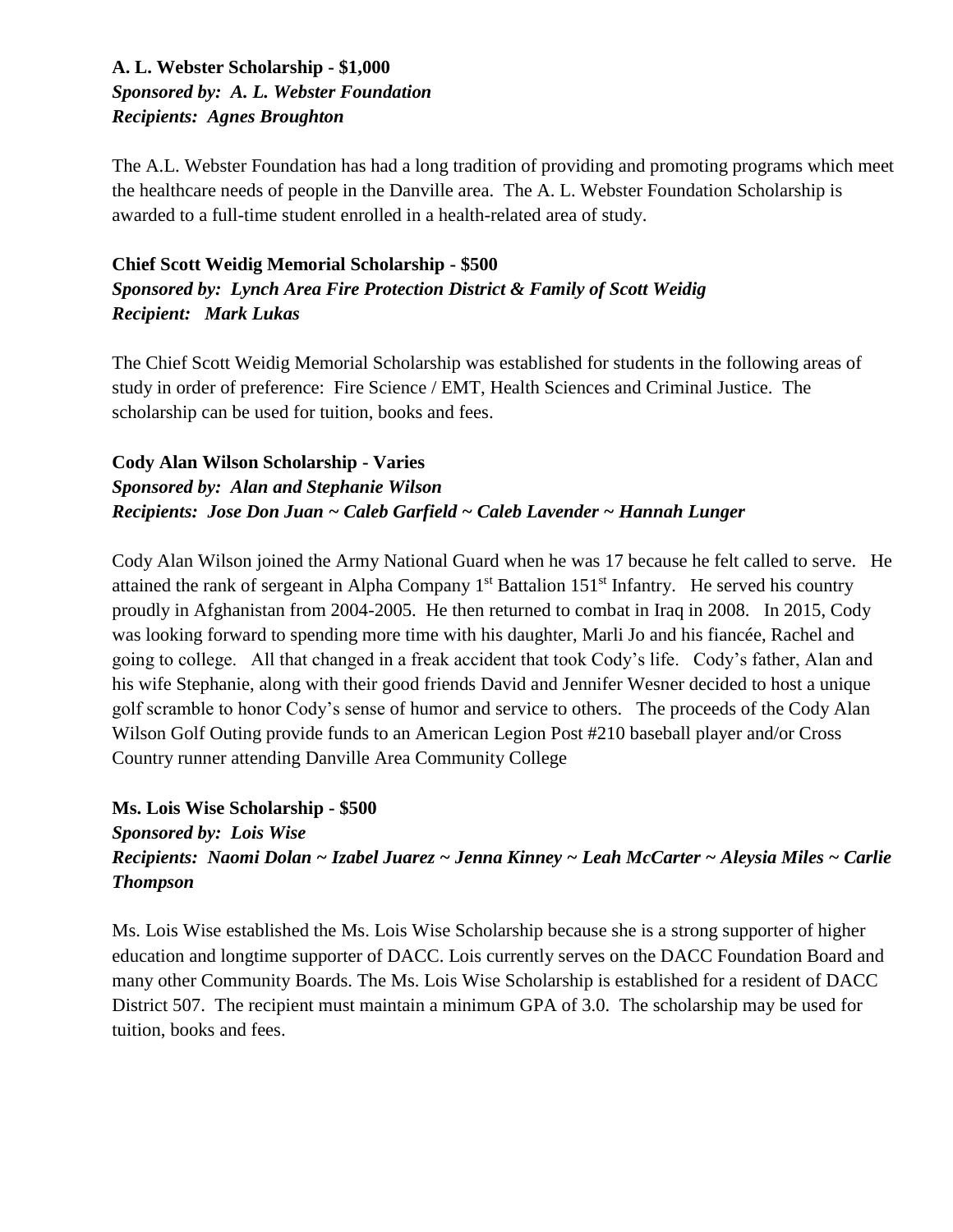#### **A. L. Webster Scholarship - \$1,000** *Sponsored by: A. L. Webster Foundation Recipients: Agnes Broughton*

The A.L. Webster Foundation has had a long tradition of providing and promoting programs which meet the healthcare needs of people in the Danville area. The A. L. Webster Foundation Scholarship is awarded to a full-time student enrolled in a health-related area of study.

#### **Chief Scott Weidig Memorial Scholarship - \$500** *Sponsored by: Lynch Area Fire Protection District & Family of Scott Weidig Recipient: Mark Lukas*

The Chief Scott Weidig Memorial Scholarship was established for students in the following areas of study in order of preference: Fire Science / EMT, Health Sciences and Criminal Justice. The scholarship can be used for tuition, books and fees.

#### **Cody Alan Wilson Scholarship - Varies** *Sponsored by: Alan and Stephanie Wilson Recipients: Jose Don Juan ~ Caleb Garfield ~ Caleb Lavender ~ Hannah Lunger*

Cody Alan Wilson joined the Army National Guard when he was 17 because he felt called to serve. He attained the rank of sergeant in Alpha Company  $1<sup>st</sup>$  Battalion  $151<sup>st</sup>$  Infantry. He served his country proudly in Afghanistan from 2004-2005. He then returned to combat in Iraq in 2008. In 2015, Cody was looking forward to spending more time with his daughter, Marli Jo and his fiancée, Rachel and going to college. All that changed in a freak accident that took Cody's life. Cody's father, Alan and his wife Stephanie, along with their good friends David and Jennifer Wesner decided to host a unique golf scramble to honor Cody's sense of humor and service to others. The proceeds of the Cody Alan Wilson Golf Outing provide funds to an American Legion Post #210 baseball player and/or Cross Country runner attending Danville Area Community College

#### **Ms. Lois Wise Scholarship - \$500** *Sponsored by: Lois Wise Recipients: Naomi Dolan ~ Izabel Juarez ~ Jenna Kinney ~ Leah McCarter ~ Aleysia Miles ~ Carlie Thompson*

Ms. Lois Wise established the Ms. Lois Wise Scholarship because she is a strong supporter of higher education and longtime supporter of DACC. Lois currently serves on the DACC Foundation Board and many other Community Boards. The Ms. Lois Wise Scholarship is established for a resident of DACC District 507. The recipient must maintain a minimum GPA of 3.0. The scholarship may be used for tuition, books and fees.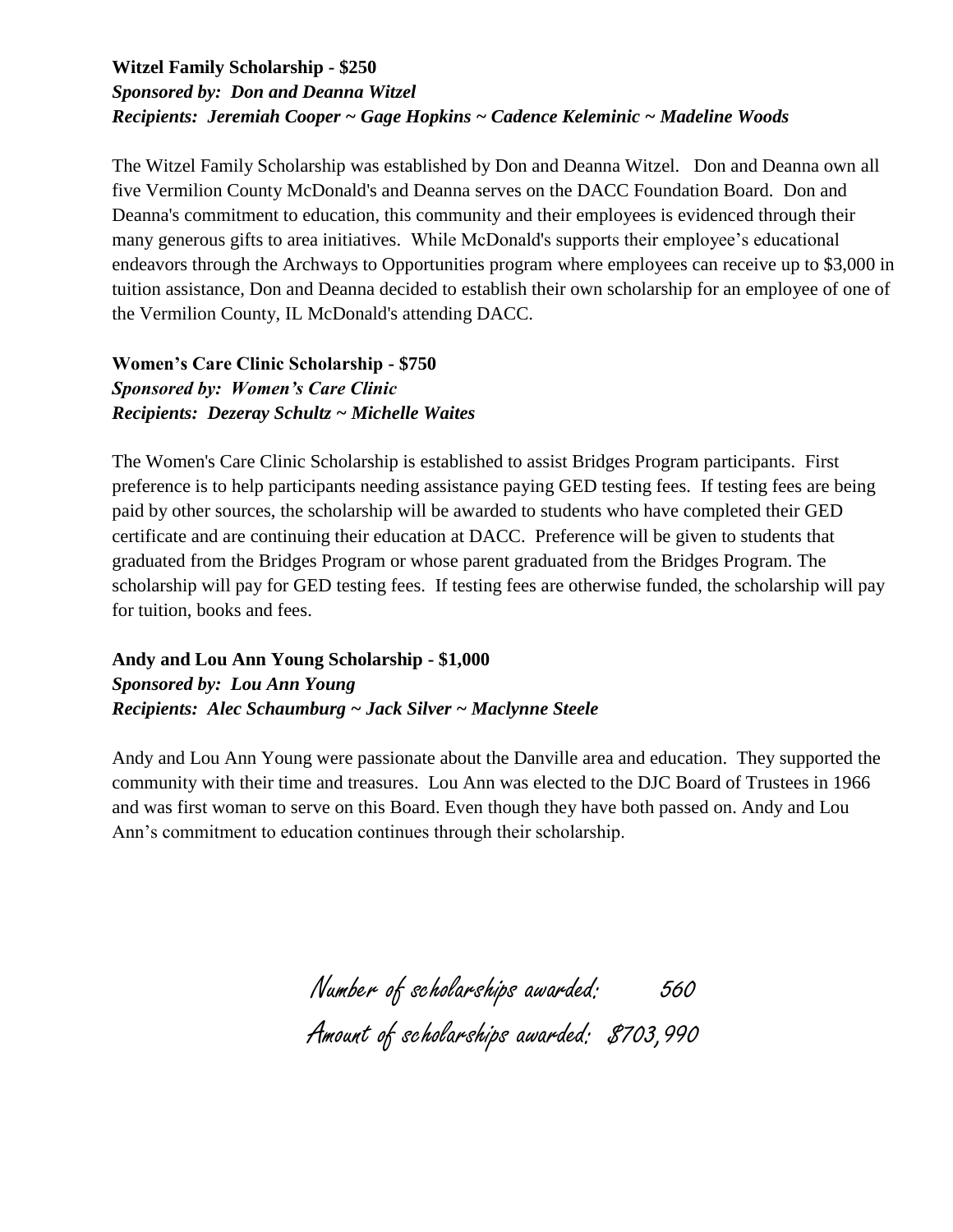#### **Witzel Family Scholarship - \$250** *Sponsored by: Don and Deanna Witzel Recipients: Jeremiah Cooper ~ Gage Hopkins ~ Cadence Keleminic ~ Madeline Woods*

The Witzel Family Scholarship was established by Don and Deanna Witzel. Don and Deanna own all five Vermilion County McDonald's and Deanna serves on the DACC Foundation Board. Don and Deanna's commitment to education, this community and their employees is evidenced through their many generous gifts to area initiatives. While McDonald's supports their employee's educational endeavors through the Archways to Opportunities program where employees can receive up to \$3,000 in tuition assistance, Don and Deanna decided to establish their own scholarship for an employee of one of the Vermilion County, IL McDonald's attending DACC.

**Women's Care Clinic Scholarship - \$750** *Sponsored by: Women's Care Clinic Recipients: Dezeray Schultz ~ Michelle Waites*

The Women's Care Clinic Scholarship is established to assist Bridges Program participants. First preference is to help participants needing assistance paying GED testing fees. If testing fees are being paid by other sources, the scholarship will be awarded to students who have completed their GED certificate and are continuing their education at DACC. Preference will be given to students that graduated from the Bridges Program or whose parent graduated from the Bridges Program. The scholarship will pay for GED testing fees. If testing fees are otherwise funded, the scholarship will pay for tuition, books and fees.

**Andy and Lou Ann Young Scholarship - \$1,000** *Sponsored by: Lou Ann Young Recipients: Alec Schaumburg ~ Jack Silver ~ Maclynne Steele*

Andy and Lou Ann Young were passionate about the Danville area and education. They supported the community with their time and treasures. Lou Ann was elected to the DJC Board of Trustees in 1966 and was first woman to serve on this Board. Even though they have both passed on. Andy and Lou Ann's commitment to education continues through their scholarship.

> Number of scholarships awarded: 560 Amount of scholarships awarded: \$703,990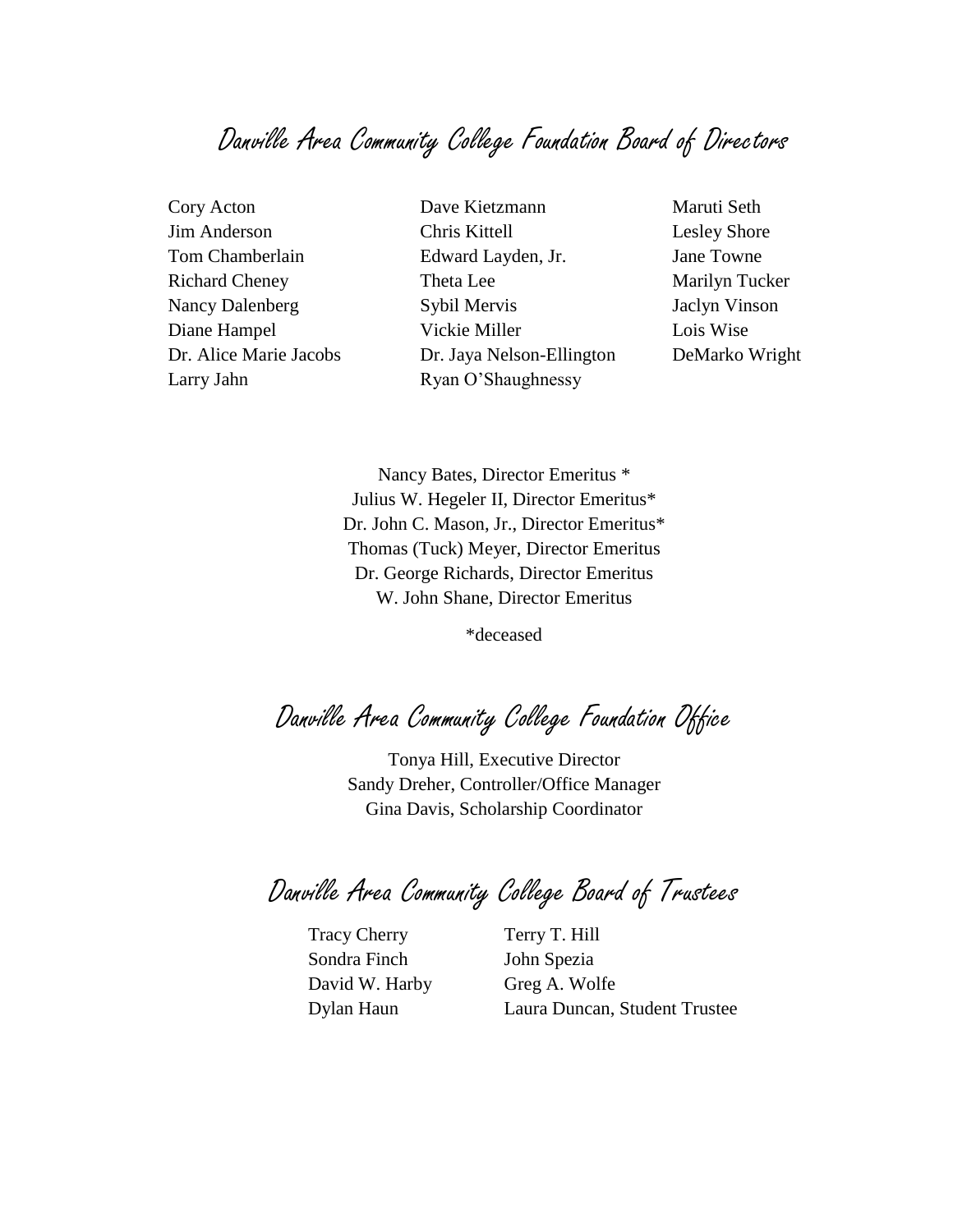### Danville Area Community College Foundation Board of Directors

Larry Jahn Ryan O'Shaughnessy

Cory Acton **Dave Kietzmann** Maruti Seth Jim Anderson Chris Kittell Lesley Shore Tom Chamberlain Edward Layden, Jr. Jane Towne Richard Cheney Theta Lee Marilyn Tucker Nancy Dalenberg Sybil Mervis Jaclyn Vinson Diane Hampel Vickie Miller Lois Wise Dr. Alice Marie Jacobs Dr. Jaya Nelson-Ellington DeMarko Wright

Nancy Bates, Director Emeritus \* Julius W. Hegeler II, Director Emeritus\* Dr. John C. Mason, Jr., Director Emeritus\* Thomas (Tuck) Meyer, Director Emeritus Dr. George Richards, Director Emeritus W. John Shane, Director Emeritus

\*deceased

Danville Area Community College Foundation Office

Tonya Hill, Executive Director Sandy Dreher, Controller/Office Manager Gina Davis, Scholarship Coordinator

Danville Area Community College Board of Trustees

Tracy Cherry T. Hill Sondra Finch John Spezia David W. Harby Greg A. Wolfe

Dylan Haun Laura Duncan, Student Trustee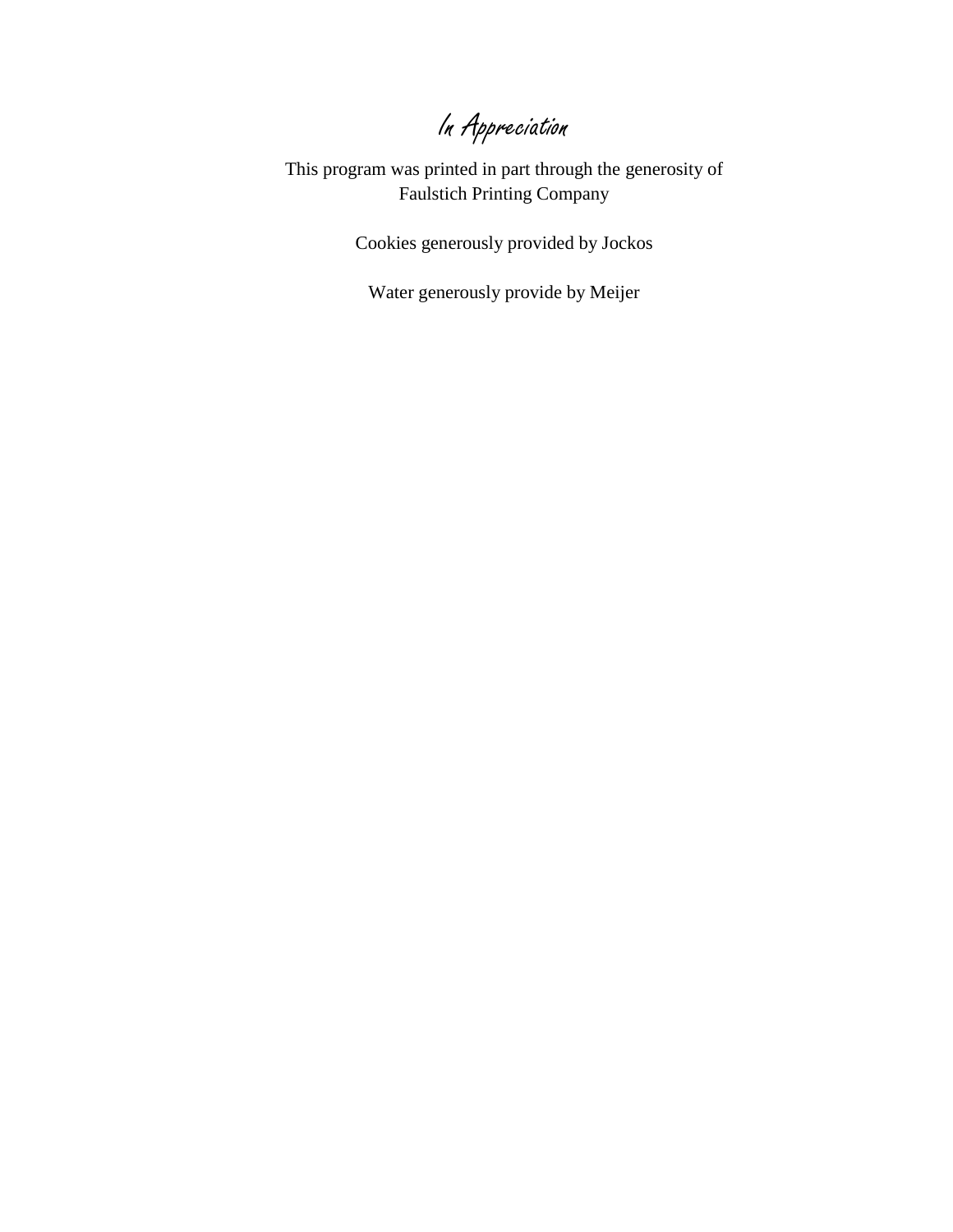In Appreciation

This program was printed in part through the generosity of Faulstich Printing Company

Cookies generously provided by Jockos

Water generously provide by Meijer